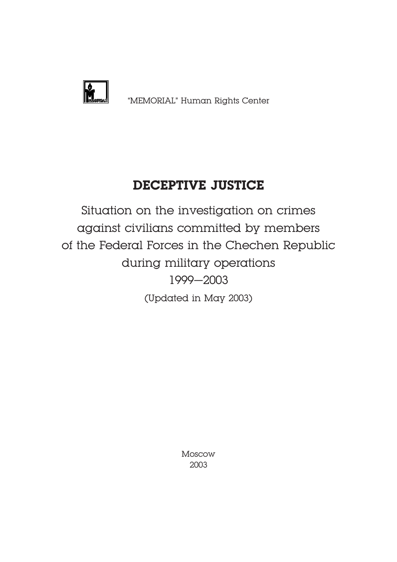

# **DECEPTIVE JUSTICE**

Situation on the investigation on crimes against civilians committed by members of the Federal Forces in the Chechen Republic during military operations 1999–2003 (Updated in May 2003)

> Moscow 2003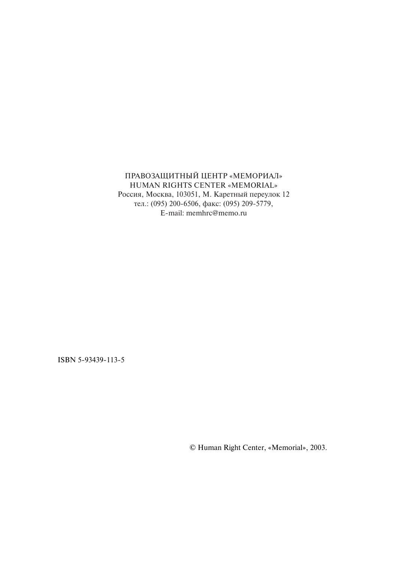## ПРАВОЗАЩИТНЫЙ ЦЕНТР «МЕМОРИАЛ» HUMAN RIGHTS CENTER «MEMORIAL» Россия, Москва, 103051, М. Каретный переулок 12 тел.: (095) 200-6506, факс: (095) 209-5779,

E-mail: memhrc@memo.ru

ISBN 5-93439-113-5

© Human Right
Center, «Memorial», 2003.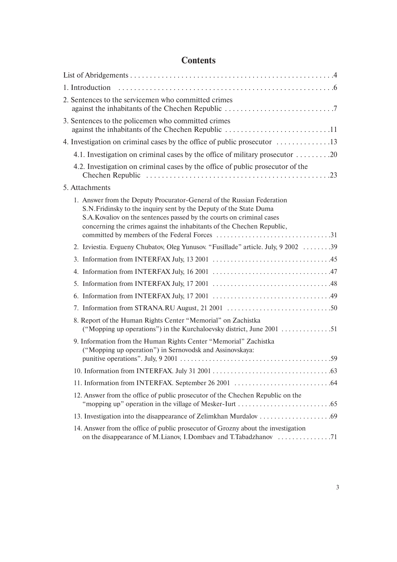## **Contents**

| 2. Sentences to the servicemen who committed crimes                                                                                                                                                                                                                                             |
|-------------------------------------------------------------------------------------------------------------------------------------------------------------------------------------------------------------------------------------------------------------------------------------------------|
| 3. Sentences to the policemen who committed crimes<br>against the inhabitants of the Chechen Republic 11                                                                                                                                                                                        |
| 4. Investigation on criminal cases by the office of public prosecutor 13                                                                                                                                                                                                                        |
| 4.1. Investigation on criminal cases by the office of military prosecutor  20                                                                                                                                                                                                                   |
| 4.2. Investigation on criminal cases by the office of public prosecutor of the                                                                                                                                                                                                                  |
| 5. Attachments                                                                                                                                                                                                                                                                                  |
| 1. Answer from the Deputy Procurator-General of the Russian Federation<br>S.N. Fridinsky to the inquiry sent by the Deputy of the State Duma<br>S.A. Kovaliov on the sentences passed by the courts on criminal cases<br>concerning the crimes against the inhabitants of the Chechen Republic, |
| 2. Izviestia. Evgueny Chubatov, Oleg Yunusov. "Fusillade" article. July, 9 2002 39                                                                                                                                                                                                              |
|                                                                                                                                                                                                                                                                                                 |
|                                                                                                                                                                                                                                                                                                 |
|                                                                                                                                                                                                                                                                                                 |
|                                                                                                                                                                                                                                                                                                 |
|                                                                                                                                                                                                                                                                                                 |
| 8. Report of the Human Rights Center "Memorial" on Zachistka<br>("Mopping up operations") in the Kurchaloevsky district, June $2001$ 51                                                                                                                                                         |
| 9. Information from the Human Rights Center "Memorial" Zachistka<br>("Mopping up operation") in Sernovodsk and Assinovskaya:                                                                                                                                                                    |
|                                                                                                                                                                                                                                                                                                 |
|                                                                                                                                                                                                                                                                                                 |
| 12. Answer from the office of public prosecutor of the Chechen Republic on the                                                                                                                                                                                                                  |
|                                                                                                                                                                                                                                                                                                 |
| 14. Answer from the office of public prosecutor of Grozny about the investigation                                                                                                                                                                                                               |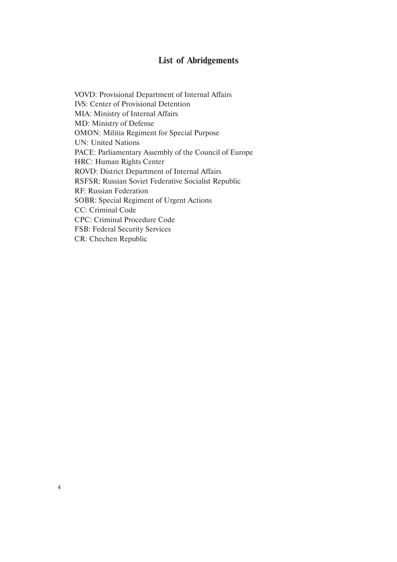## **List of Abridgements**

VOVD: Provisional Department of Internal Affairs IVS: Center of Provisional Detention MIA: Ministry of Internal Affairs MD: Ministry of Defense OMON: Militia Regiment for Special Purpose UN: United Nations PACE: Parliamentary Assembly of the Council of Europe HRC: Human Rights Center ROVD: District Department of Internal Affairs RSFSR: Russian Soviet Federative Socialist Republic RF: Russian Federation SOBR: Special Regiment of Urgent Actions CC: Criminal Code CPC: Criminal Procedure Code FSB: Federal Security Services CR: Chechen Republic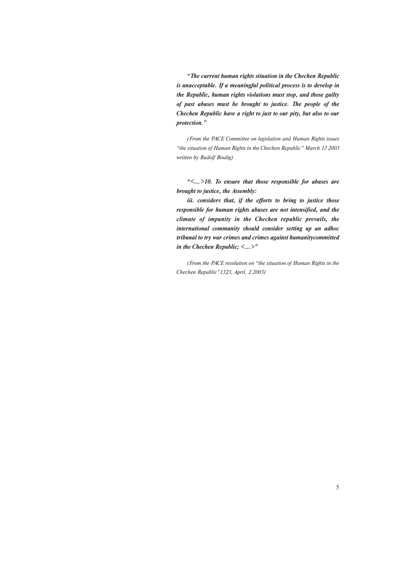**"***The current human rights situation in the Chechen Republic is unacceptable. If a meaningful political process is to develop in the Republic, human rights violations must stop, and those guilty of past abuses must be brought to justice. The people of the Chechen Republic have a right to just to our pity, but also to our protection."*

*(From the PACE Committee on legislation and Human Rights issues "the situation of Human Rights in the Chechen Republic" March 13 2003 written by Rudolf Bindig)*

*"<…>10. To ensure that those responsible for abuses are brought to justice, the Assembly:*

*iii. considers that, if the efforts to bring to justice those responsible for human rights abuses are not intensified, and the climate of impunity in the Chechen republic prevails, the international community should consider setting up an adhoc tribunal to try war crimes and crimes against humanitycommitted in the Chechen Republic; <…>"*

*(From the PACE resolution on "the situation of Human Rights in the Chechen Republic"1323, April, 2 2003)*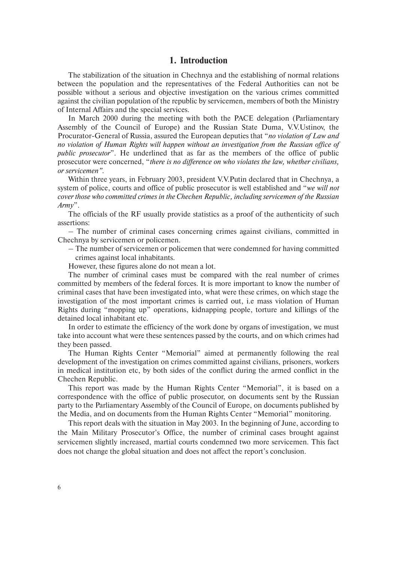### **1. Introduction**

The stabilization of the situation in Chechnya and the establishing of normal relations between the population and the representatives of the Federal Authorities can not be possible without a serious and objective investigation on the various crimes committed against the civilian population of the republic by servicemen, members of both the Ministry of Internal Affairs and the special services.

In March 2000 during the meeting with both the PACE delegation (Parliamentary Assembly of the Council of Europe) and the Russian State Duma, V.V.Ustinov, the Procurator-General of Russia, assured the European deputies that "*no violation of Law and no violation of Human Rights will happen without an investigation from the Russian office of public prosecutor*". He underlined that as far as the members of the office of public prosecutor were concerned, "*there is no difference on who violates the law, whether civilians, or servicemen".*

Within three years, in February 2003, president V.V.Putin declared that in Chechnya, a system of police, courts and office of public prosecutor is well established and "*we will not cover those who committed crimes in the Chechen Republic, including servicemen of the Russian Army*".

The officials of the RF usually provide statistics as a proof of the authenticity of such assertions:

– The number of criminal cases concerning crimes against civilians, committed in Chechnya by servicemen or policemen.

– The number of servicemen or policemen that were condemned for having committed crimes against local inhabitants.

However, these figures alone do not mean a lot.

The number of criminal cases must be compared with the real number of crimes committed by members of the federal forces. It is more important to know the number of criminal cases that have been investigated into, what were these crimes, on which stage the investigation of the most important crimes is carried out, i.e mass violation of Human Rights during "mopping up" operations, kidnapping people, torture and killings of the detained local inhabitant etc.

In order to estimate the efficiency of the work done by organs of investigation, we must take into account what were these sentences passed by the courts, and on which crimes had they been passed.

The Human Rights Center "Memorial" aimed at permanently following the real development of the investigation on crimes committed against civilians, prisoners, workers in medical institution etc, by both sides of the conflict during the armed conflict in the Chechen Republic.

This report was made by the Human Rights Center "Memorial", it is based on a correspondence with the office of public prosecutor, on documents sent by the Russian party to the Parliamentary Assembly of the Council of Europe, on documents published by the Media, and on documents from the Human Rights Center "Memorial" monitoring.

This report deals with the situation in May 2003. In the beginning of June, according to the Main Military Prosecutor's Office, the number of criminal cases brought against servicemen slightly increased, martial courts condemned two more servicemen. This fact does not change the global situation and does not affect the report's conclusion.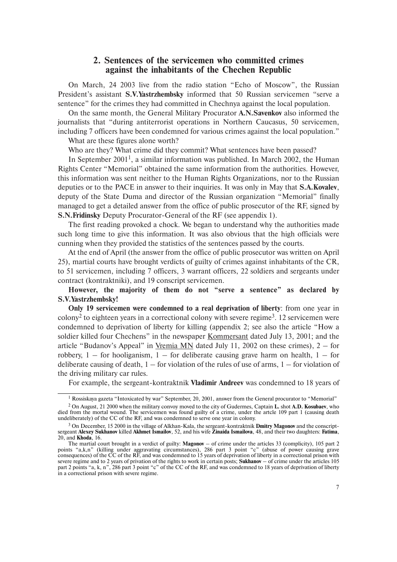## **2. Sentences of the servicemen who committed crimes against the inhabitants of the Chechen Republic**

On March, 24 2003 live from the radio station "Echo of Moscow", the Russian President's assistant **S.V.Yastrzhembsky** informed that 50 Russian servicemen "serve a sentence" for the crimes they had committed in Chechnya against the local population.

On the same month, the General Military Procurator **A.N.Savenkov** also informed the journalists that "during antiterrorist operations in Northern Caucasus, 50 servicemen, including 7 officers have been condemned for various crimes against the local population."

What are these figures alone worth?

Who are they? What crime did they commit? What sentences have been passed?

In September 2001<sup>1</sup>, a similar information was published. In March 2002, the Human Rights Center "Memorial" obtained the same information from the authorities. However, this information was sent neither to the Human Rights Organizations, nor to the Russian deputies or to the PACE in answer to their inquiries. It was only in May that **S.A.Kovalev**, deputy of the State Duma and director of the Russian organization "Memorial" finally managed to get a detailed answer from the office of public prosecutor of the RF, signed by **S.N.Fridinsky** Deputy Procurator-General of the RF (see appendix 1).

The first reading provoked a chock. We began to understand why the authorities made such long time to give this information. It was also obvious that the high officials were cunning when they provided the statistics of the sentences passed by the courts.

At the end of April (the answer from the office of public prosecutor was written on April 25), martial courts have brought verdicts of guilty of crimes against inhabitants of the CR, to 51 servicemen, including 7 officers, 3 warrant officers, 22 soldiers and sergeants under contract (kontraktniki), and 19 conscript servicemen.

**However, the majority of them do not "serve a sentence" as declared by S.V.Yastrzhembsky!**

**Only 19 servicemen were condemned to a real deprivation of liberty**: from one year in colony<sup>2</sup> to eighteen years in a correctional colony with severe regime<sup>3</sup>. 12 servicemen were condemned to deprivation of liberty for killing (appendix 2; see also the article "How a soldier killed four Chechens" in the newspaper Kommersant dated July 13, 2001; and the article "Budanov's Appeal" in <u>Vremia MN</u> dated July 11, 2002 on these crimes),  $2 -$  for robbery,  $1 -$  for hooliganism,  $1 -$  for deliberate causing grave harm on health,  $1 -$  for deliberate causing of death,  $1 -$  for violation of the rules of use of arms,  $1 -$  for violation of the driving military car rules.

For example, the sergeant-kontraktnik **Vladimir Andreev** was condemned to 18 years of

<sup>&</sup>lt;sup>1</sup> Rossiskaya gazeta "Intoxicated by war" September, 20, 2001, answer from the General procurator to "Memorial"

<sup>2</sup> On August, 21 2000 when the military convoy moved to the city of Gudermes, Captain **L.** shot **A.D. Kosubaev**, who died from the mortal wound. The servicemen was found guilty of a crime, under the artcle 109 part 1 (causing death undeliberately) of the CC of the RF, and was condemned to serve one year in colony.

<sup>3</sup> On December, 15 2000 in the village of Alkhan-Kala, the sergeant-kontraktnik **Dmitry Magonov** and the conscriptsergeant **Alexey Sukhanov** killed **Akhmet Ismailov**, 52, and his wife **Zinaida Ismailova**, 48, and their two daughters: **Fatima**, 20, and **Khoda**, 16.

The martial court brought in a verdict of guilty: **Magonov** – of crime under the articles 33 (complicity), 105 part 2 points "a,k,n" (killing under aggravating circumstances), 286 part 3 point "c" (abuse of power causing grave consequences) of the CC of the RF, and was condemned to 15 years of deprivation of liberty in a correctional prison with severe regime and to 2 years of privation of the rights to work in certain posts; **Sukhanov** – of crime under the articles 105 part 2 points "a, k, n", 286 part 3 point "c" of the CC of the RF, and was condemned to 18 years of deprivation of liberty in a correctional prison with severe regime.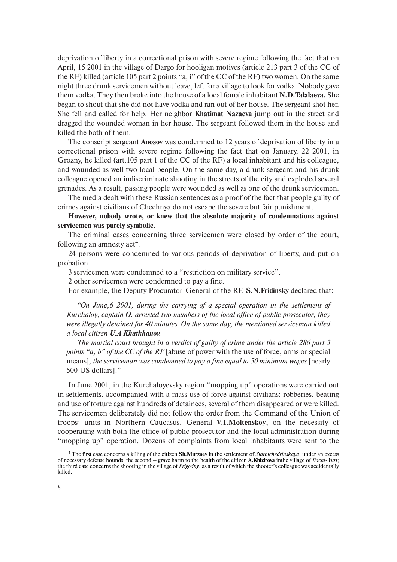deprivation of liberty in a correctional prison with severe regime following the fact that on April, 15 2001 in the village of Dargo for hooligan motives (article 213 part 3 of the CC of the RF) killed (article 105 part 2 points "a, i" of the CC of the RF) two women. On the same night three drunk servicemen without leave, left for a village to look for vodka. Nobody gave them vodka. They then broke into the house of a local female inhabitant **N.D.Talalaeva.** She began to shout that she did not have vodka and ran out of her house. The sergeant shot her. She fell and called for help. Her neighbor **Khatimat Nazaeva** jump out in the street and dragged the wounded woman in her house. The sergeant followed them in the house and killed the both of them.

The conscript sergeant **Anosov** was condemned to 12 years of deprivation of liberty in a correctional prison with severe regime following the fact that on January, 22 2001, in Grozny, he killed (art.105 part 1 of the CC of the RF) a local inhabitant and his colleague, and wounded as well two local people. On the same day, a drunk sergeant and his drunk colleague opened an indiscriminate shooting in the streets of the city and exploded several grenades. As a result, passing people were wounded as well as one of the drunk servicemen.

The media dealt with these Russian sentences as a proof of the fact that people guilty of crimes against civilians of Chechnya do not escape the severe but fair punishment.

**However, nobody wrote, or knew that the absolute majority of condemnations against servicemen was purely symbolic.**

The criminal cases concerning three servicemen were closed by order of the court, following an amnesty act<sup>4</sup>.

24 persons were condemned to various periods of deprivation of liberty, and put on probation.

3 servicemen were condemned to a "restriction on military service".

2 other servicemen were condemned to pay a fine.

For example, the Deputy Procurator-General of the RF, **S.N.Fridinsky** declared that:

*"On June,6 2001, during the carrying of a special operation in the settlement of Kurchaloy, captain O. arrested two members of the local office of public prosecutor, they were illegally detained for 40 minutes. On the same day, the mentioned serviceman killed a local citizen U.A Khatkhanov.*

*The martial court brought in a verdict of guilty of crime under the article 286 part 3 points "a, b" of the CC of the RF* [abuse of power with the use of force, arms or special means]*, the serviceman was condemned to pay a fine equal to 50 minimum wages* [nearly 500 US dollars]."

In June 2001, in the Kurchaloyevsky region "mopping up" operations were carried out in settlements, accompanied with a mass use of force against civilians: robberies, beating and use of torture against hundreds of detainees, several of them disappeared or were killed. The servicemen deliberately did not follow the order from the Command of the Union of troops' units in Northern Caucasus, General **V.I.Moltenskoy**, on the necessity of cooperating with both the office of public prosecutor and the local administration during "mopping up" operation. Dozens of complaints from local inhabitants were sent to the

<sup>4</sup> The first case concerns a killing of the citizen **Sh.Murzaev** in the settlement of *Starotchedrinskaya*, under an excess of necessary defense bounds; the second – grave harm to the health of the citizen **A.Khizirova** inthe village of *Bachi-Yurt*; the third case concerns the shooting in the village of *Prigodny*, as a result of which the shooter's colleague was accidentally killed.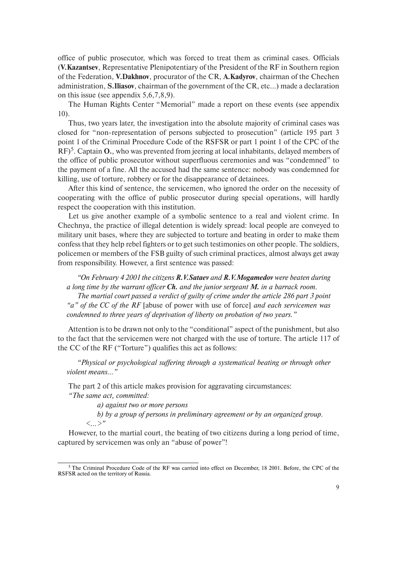office of public prosecutor, which was forced to treat them as criminal cases. Officials (**V.Kazantsev**, Representative Plenipotentiary of the President of the RF in Southern region of the Federation, **V.Dakhnov**, procurator of the CR, **A.Kadyrov**, chairman of the Chechen administration, **S.Iliasov**, chairman of the government of the CR, etc…) made a declaration on this issue (see appendix 5,6,7,8,9).

The Human Rights Center "Memorial" made a report on these events (see appendix 10).

Thus, two years later, the investigation into the absolute majority of criminal cases was closed for "non-representation of persons subjected to prosecution" (article 195 part 3 point 1 of the Criminal Procedure Code of the RSFSR or part 1 point 1 of the CPC of the RF)5. Captain **O.**, who was prevented from jeering at local inhabitants, delayed members of the office of public prosecutor without superfluous ceremonies and was "condemned" to the payment of a fine. All the accused had the same sentence: nobody was condemned for killing, use of torture, robbery or for the disappearance of detainees.

After this kind of sentence, the servicemen, who ignored the order on the necessity of cooperating with the office of public prosecutor during special operations, will hardly respect the cooperation with this institution.

Let us give another example of a symbolic sentence to a real and violent crime. In Chechnya, the practice of illegal detention is widely spread: local people are conveyed to military unit bases, where they are subjected to torture and beating in order to make them confess that they help rebel fighters or to get such testimonies on other people. The soldiers, policemen or members of the FSB guilty of such criminal practices, almost always get away from responsibility. However, a first sentence was passed:

*"On February 4 2001 the citizens R.V.Sataev and R.V.Mogamedov were beaten during a long time by the warrant officer Ch. and the junior sergeant M. in a barrack room. The martial court passed a verdict of guilty of crime under the article 286 part 3 point "a" of the CC of the RF* [abuse of power with use of force] *and each servicemen was condemned to three years of deprivation of liberty on probation of two years."*

Attention is to be drawn not only to the "conditional" aspect of the punishment, but also to the fact that the servicemen were not charged with the use of torture. The article 117 of the CC of the RF ("Torture") qualifies this act as follows:

*"Physical or psychological suffering through a systematical beating or through other violent means…"*

The part 2 of this article makes provision for aggravating circumstances:

*"The same act, committed:*

*a) against two or more persons*

*b) by a group of persons in preliminary agreement or by an organized group.*

*<…>"*

However, to the martial court, the beating of two citizens during a long period of time, captured by servicemen was only an "abuse of power"!

 $5$  The Criminal Procedure Code of the RF was carried into effect on December, 18 2001. Before, the CPC of the RSFSR acted on the territory of Russia.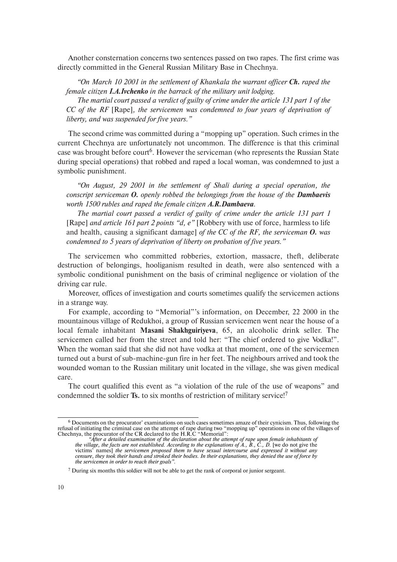Another consternation concerns two sentences passed on two rapes. The first crime was directly committed in the General Russian Military Base in Chechnya.

*"On March 10 2001 in the settlement of Khankala the warrant officer Ch. raped the female citizen I.A.Ivchenko in the barrack of the military unit lodging. The martial court passed a verdict of guilty of crime under the article 131 part 1 of the CC of the RF* [Rape]*, the servicemen was condemned to four years of deprivation of*

*liberty, and was suspended for five years."*

The second crime was committed during a "mopping up" operation. Such crimes in the current Chechnya are unfortunately not uncommon. The difference is that this criminal case was brought before court<sup>6</sup>. However the serviceman (who represents the Russian State during special operations) that robbed and raped a local woman, was condemned to just a symbolic punishment.

*"On August, 29 2001 in the settlement of Shali during a special operation, the conscript serviceman O. openly robbed the belongings from the house of the Dambaevis worth 1500 rubles and raped the female citizen A.R.Dambaeva.*

*The martial court passed a verdict of guilty of crime under the article 131 part 1* [Rape] *and article 161 part 2 points "d, e"* [Robbery with use of force, harmless to life and health, causing a significant damage] *of the CC of the RF, the serviceman O. was condemned to 5 years of deprivation of liberty on probation of five years."*

The servicemen who committed robberies, extortion, massacre, theft, deliberate destruction of belongings, hooliganism resulted in death, were also sentenced with a symbolic conditional punishment on the basis of criminal negligence or violation of the driving car rule.

Moreover, offices of investigation and courts sometimes qualify the servicemen actions in a strange way.

For example, according to "Memorial"'s information, on December, 22 2000 in the mountainous village of Redukhoi, a group of Russian servicemen went near the house of a local female inhabitant **Masani Shakhguiriyeva**, 65, an alcoholic drink seller. The servicemen called her from the street and told her: "The chief ordered to give Vodka!". When the woman said that she did not have vodka at that moment, one of the servicemen turned out a burst of sub-machine-gun fire in her feet. The neighbours arrived and took the wounded woman to the Russian military unit located in the village, she was given medical care.

The court qualified this event as "a violation of the rule of the use of weapons" and condemned the soldier **Ts.** to six months of restriction of military service!7

<sup>6</sup> Documents on the procurator' examinations on such cases sometimes amaze of their cynicism. Thus, following the refusal of initiating the criminal case on the attempt of rape during two "mopping up" operations in one of the villages of Chechnya, the procurator of the CR declared to the H.R.C "Memorial":

*<sup>&</sup>quot;After a detailed examination of the declaration about the attempt of rape upon female inhabitants of the village, the facts are not established. According to the explanations of A., B., C., D.* [we do not give the victims' names] *the servicemen proposed them to have sexual intercourse and expressed it without any censure, they took their hands and stroked their bodies. In their explanations, they denied the use of force by the servicemen in order to reach their goals".*

<sup>7</sup> During six months this soldier will not be able to get the rank of corporal or junior sergeant.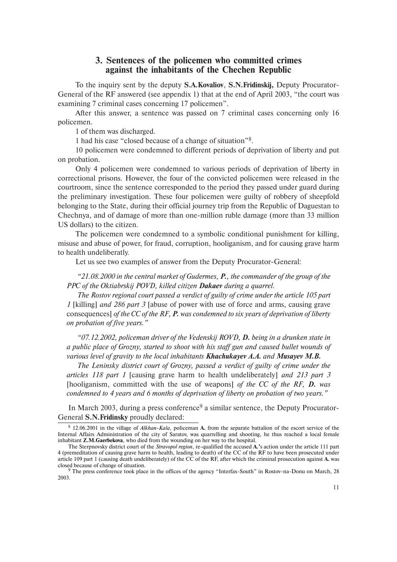## **3. Sentences of the policemen who committed crimes against the inhabitants of the Chechen Republic**

To the inquiry sent by the deputy **S.A.Kovaliov**, **S.N.Fridinskij,** Deputy Procurator-General of the RF answered (see appendix 1) that at the end of April 2003, "the court was examining 7 criminal cases concerning 17 policemen".

After this answer, a sentence was passed on 7 criminal cases concerning only 16 policemen.

1 of them was discharged.

1 had his case "closed because of a change of situation"8.

10 policemen were condemned to different periods of deprivation of liberty and put on probation.

Only 4 policemen were condemned to various periods of deprivation of liberty in correctional prisons. However, the four of the convicted policemen were released in the courtroom, since the sentence corresponded to the period they passed under guard during the preliminary investigation. These four policemen were guilty of robbery of sheepfold belonging to the State, during their official journey trip from the Republic of Daguestan to Chechnya, and of damage of more than one-million ruble damage (more than 33 million US dollars) to the citizen.

The policemen were condemned to a symbolic conditional punishment for killing, misuse and abuse of power, for fraud, corruption, hooliganism, and for causing grave harm to health undeliberatly.

Let us see two examples of answer from the Deputy Procurator-General:

*"21.08.2000 in the central market of Gudermes, P., the commander of the group of the PPC of the Oktiabrskij POVD, killed citizen Dakaev during a quarrel.*

*The Rostov regional court passed a verdict of guilty of crime under the article 105 part 1* [killing] *and 286 part 3* [abuse of power with use of force and arms, causing grave consequences] *of the CC of the RF, P. was condemned to six years of deprivation of liberty on probation of five years."*

*"07.12.2002, policeman driver of the Vedenskij ROVD, D. being in a drunken state in a public place of Grozny, started to shoot with his staff gun and caused bullet wounds of various level of gravity to the local inhabitants Khachukayev A.A. and Musayev M.B.*

*The Leninsky district court of Grozny, passed a verdict of guilty of crime under the articles 118 part 1* [causing grave harm to health undeliberately] *and 213 part 3* [hooliganism, committed with the use of weapons] *of the CC of the RF, D. was condemned to 4 years and 6 months of deprivation of liberty on probation of two years."*

In March 2003, during a press conference<sup>9</sup> a similar sentence, the Deputy Procurator-General **S.N.Fridinsky** proudly declared:

<sup>8</sup> 12.06.2001 in the village of *Alkhan-Kala*, policeman **A.** from the separate battalion of the escort service of the Internal Affairs Administration of the city of Saratov, was quarrelling and shooting, he thus reached a local female inhabitant **Z.M.Gaerbekova**, who died from the wounding on her way to the hospital.

The Sterpnovsky district court of the *Stravopol region*, re-qualified the accused **A.'**s action under the article 111 part 4 (premeditation of causing grave harm to health, leading to death) of the CC of the RF to have been prosecuted under article 109 part 1 (causing death undeliberately) of the CC of the RF, after which the criminal prosecution against **A.** was closed because of change of situation.

<sup>9</sup> The press conference took place in the offices of the agency "Interfax-South" in Rostov-na-Donu on March, 28 2003.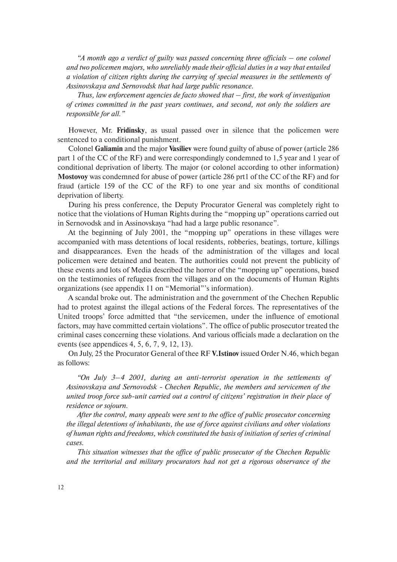*"A month ago a verdict of guilty was passed concerning three officials – one colonel and two policemen majors, who unreliably made their official duties in a way that entailed a violation of citizen rights during the carrying of special measures in the settlements of Assinovskaya and Sernovodsk that had large public resonance.*

*Thus, law enforcement agencies de facto showed that – first, the work of investigation of crimes committed in the past years continues, and second, not only the soldiers are responsible for all."*

However, Mr. **Fridinsky**, as usual passed over in silence that the policemen were sentenced to a conditional punishment.

Colonel **Galiamin** and the major **Vasiliev** were found guilty of abuse of power (article 286 part 1 of the CC of the RF) and were correspondingly condemned to 1,5 year and 1 year of conditional deprivation of liberty. The major (or colonel according to other information) **Mostovoy** was condemned for abuse of power (article 286 prt1 of the CC of the RF) and for fraud (article 159 of the CC of the RF) to one year and six months of conditional deprivation of liberty.

During his press conference, the Deputy Procurator General was completely right to notice that the violations of Human Rights during the "mopping up" operations carried out in Sernovodsk and in Assinovskaya "had had a large public resonance".

At the beginning of July 2001, the "mopping up" operations in these villages were accompanied with mass detentions of local residents, robberies, beatings, torture, killings and disappearances. Even the heads of the administration of the villages and local policemen were detained and beaten. The authorities could not prevent the publicity of these events and lots of Media described the horror of the "mopping up" operations, based on the testimonies of refugees from the villages and on the documents of Human Rights organizations (see appendix 11 on "Memorial"'s information).

A scandal broke out. The administration and the government of the Chechen Republic had to protest against the illegal actions of the Federal forces. The representatives of the United troops' force admitted that "the servicemen, under the influence of emotional factors, may have committed certain violations". The office of public prosecutor treated the criminal cases concerning these violations. And various officials made a declaration on the events (see appendices 4, 5, 6, 7, 9, 12, 13).

On July, 25 the Procurator General of thee RF **V.Istinov** issued Order N.46, which began as follows:

*"On July 3–4 2001, during an anti-terrorist operation in the settlements of Assinovskaya and Sernovodsk - Chechen Republic, the members and servicemen of the united troop force sub-unit carried out a control of citizens' registration in their place of residence or sojourn.*

*After the control, many appeals were sent to the office of public prosecutor concerning the illegal detentions of inhabitants, the use of force against civilians and other violations of human rights and freedoms, which constituted the basis of initiation of series of criminal cases.*

*This situation witnesses that the office of public prosecutor of the Chechen Republic and the territorial and military procurators had not get a rigorous observance of the*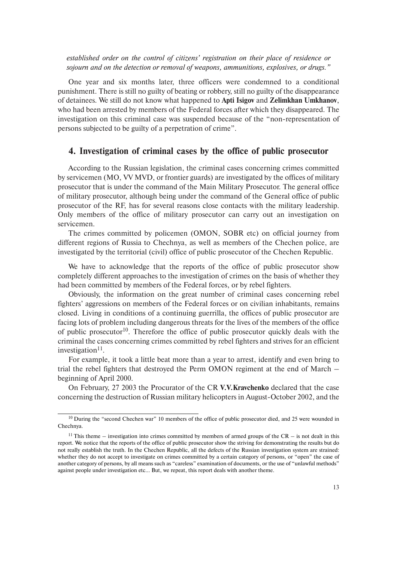*established order on the control of citizens' registration on their place of residence or sojourn and on the detection or removal of weapons, ammunitions, explosives, or drugs."*

One year and six months later, three officers were condemned to a conditional punishment. There is still no guilty of beating or robbery, still no guilty of the disappearance of detainees. We still do not know what happened to **Apti Isigov** and **Zelimkhan Umkhanov**, who had been arrested by members of the Federal forces after which they disappeared. The investigation on this criminal case was suspended because of the "non-representation of persons subjected to be guilty of a perpetration of crime".

### **4. Investigation of criminal cases by the office of public prosecutor**

According to the Russian legislation, the criminal cases concerning crimes committed by servicemen (MO, VV MVD, or frontier guards) are investigated by the offices of military prosecutor that is under the command of the Main Military Prosecutor. The general office of military prosecutor, although being under the command of the General office of public prosecutor of the RF, has for several reasons close contacts with the military leadership. Only members of the office of military prosecutor can carry out an investigation on servicemen.

The crimes committed by policemen (OMON, SOBR etc) on official journey from different regions of Russia to Chechnya, as well as members of the Chechen police, are investigated by the territorial (civil) office of public prosecutor of the Chechen Republic.

We have to acknowledge that the reports of the office of public prosecutor show completely different approaches to the investigation of crimes on the basis of whether they had been committed by members of the Federal forces, or by rebel fighters.

Obviously, the information on the great number of criminal cases concerning rebel fighters' aggressions on members of the Federal forces or on civilian inhabitants, remains closed. Living in conditions of a continuing guerrilla, the offices of public prosecutor are facing lots of problem including dangerous threats for the lives of the members of the office of public prosecutor<sup>10</sup>. Therefore the office of public prosecutor quickly deals with the criminal the cases concerning crimes committed by rebel fighters and strives for an efficient investigation $11$ .

For example, it took a little beat more than a year to arrest, identify and even bring to trial the rebel fighters that destroyed the Perm OMON regiment at the end of March – beginning of April 2000.

On February, 27 2003 the Procurator of the CR **V.V.Kravchenko** declared that the case concerning the destruction of Russian military helicopters in August-October 2002, and the

<sup>&</sup>lt;sup>10</sup> During the "second Chechen war" 10 members of the office of public prosecutor died, and 25 were wounded in Chechnya.

<sup>&</sup>lt;sup>11</sup> This theme – investigation into crimes committed by members of armed groups of the CR – is not dealt in this report. We notice that the reports of the office of public prosecutor show the striving for demonstrating the results but do not really establish the truth. In the Chechen Republic, all the defects of the Russian investigation system are strained: whether they do not accept to investigate on crimes committed by a certain category of persons, or "open" the case of another category of persons, by all means such as "careless" examination of documents, or the use of "unlawful methods" against people under investigation etc… But, we repeat, this report deals with another theme.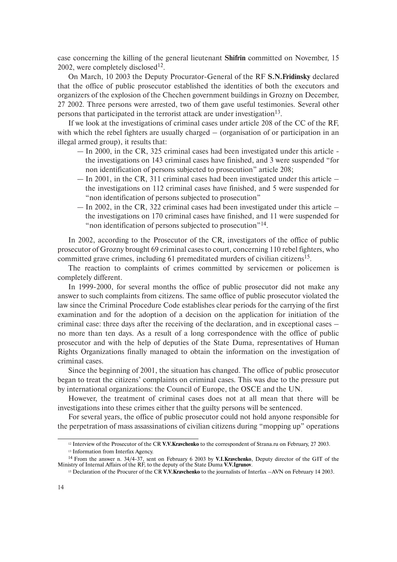case concerning the killing of the general lieutenant **Shifrin** committed on November, 15 2002, were completely disclosed<sup>12</sup>.

On March, 10 2003 the Deputy Procurator-General of the RF **S.N.Fridinsky** declared that the office of public prosecutor established the identities of both the executors and organizers of the explosion of the Chechen government buildings in Grozny on December, 27 2002. Three persons were arrested, two of them gave useful testimonies. Several other persons that participated in the terrorist attack are under investigation<sup>13</sup>.

If we look at the investigations of criminal cases under article 208 of the CC of the RF, with which the rebel fighters are usually charged – (organisation of or participation in an illegal armed group), it results that:

- In 2000, in the CR, 325 criminal cases had been investigated under this article the investigations on 143 criminal cases have finished, and 3 were suspended "for non identification of persons subjected to prosecution" article 208;
- $-$  In 2001, in the CR, 311 criminal cases had been investigated under this article  $$ the investigations on 112 criminal cases have finished, and 5 were suspended for "non identification of persons subjected to prosecution"
- $-$  In 2002, in the CR, 322 criminal cases had been investigated under this article  $$ the investigations on 170 criminal cases have finished, and 11 were suspended for " non identification of persons subjected to prosecution"<sup>14</sup>.

In 2002, according to the Prosecutor of the CR, investigators of the office of public prosecutor of Grozny brought 69 criminal cases to court, concerning 110 rebel fighters, who committed grave crimes, including 61 premeditated murders of civilian citizens<sup>15</sup>.

The reaction to complaints of crimes committed by servicemen or policemen is completely different.

In 1999-2000, for several months the office of public prosecutor did not make any answer to such complaints from citizens. The same office of public prosecutor violated the law since the Criminal Procedure Code establishes clear periods for the carrying of the first examination and for the adoption of a decision on the application for initiation of the criminal case: three days after the receiving of the declaration, and in exceptional cases – no more than ten days. As a result of a long correspondence with the office of public prosecutor and with the help of deputies of the State Duma, representatives of Human Rights Organizations finally managed to obtain the information on the investigation of criminal cases.

Since the beginning of 2001, the situation has changed. The office of public prosecutor began to treat the citizens' complaints on criminal cases. This was due to the pressure put by international organizations: the Council of Europe, the OSCE and the UN.

However, the treatment of criminal cases does not at all mean that there will be investigations into these crimes either that the guilty persons will be sentenced.

For several years, the office of public prosecutor could not hold anyone responsible for the perpetration of mass assassinations of civilian citizens during "mopping up" operations

<sup>12</sup> Interview of the Prosecutor of the CR **V.V.Kravchenko** to the correspondent of Strana.ru on February, 27 2003.

<sup>13</sup> Information from Interfax Agency.

<sup>14</sup> From the answer n. 34/4-37, sent on February 6 2003 by **V.I.Kravchenko**, Deputy director of the GIT of the Ministry of Internal Affairs of the RF, to the deputy of the State Duma **V.V.Igrunov**.

<sup>15</sup> Declaration of the Procurer of the CR **V.V.Kravchenko** to the journalists of Interfax –AVN on February 14 2003.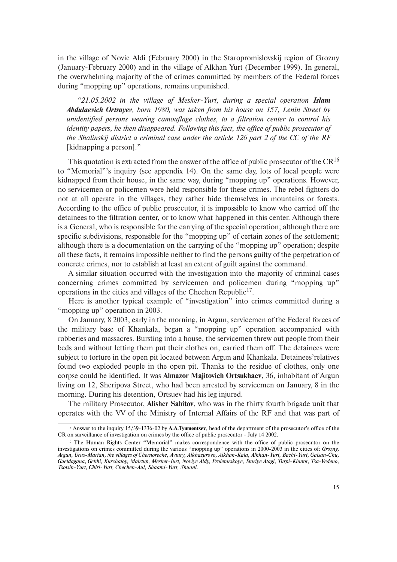in the village of Novie Aldi (February 2000) in the Staropromislovskij region of Grozny (January-February 2000) and in the village of Alkhan Yurt (December 1999). In general, the overwhelming majority of the of crimes committed by members of the Federal forces during "mopping up" operations, remains unpunished.

*"21.05.2002 in the village of Mesker-Yurt, during a special operation Islam Abdulaevich Ortsuyev, born 1980, was taken from his house on 157, Lenin Street by unidentified persons wearing camouflage clothes, to a filtration center to control his identity papers, he then disappeared. Following this fact, the office of public prosecutor of the Shalinskij district a criminal case under the article 126 part 2 of the CC of the RF* [kidnapping a person]."

This quotation is extracted from the answer of the office of public prosecutor of the  $CR^{16}$ to "Memorial"'s inquiry (see appendix 14). On the same day, lots of local people were kidnapped from their house, in the same way, during "mopping up" operations. However, no servicemen or policemen were held responsible for these crimes. The rebel fighters do not at all operate in the villages, they rather hide themselves in mountains or forests. According to the office of public prosecutor, it is impossible to know who carried off the detainees to the filtration center, or to know what happened in this center. Although there is a General, who is responsible for the carrying of the special operation; although there are specific subdivisions, responsible for the "mopping up" of certain zones of the settlement; although there is a documentation on the carrying of the "mopping up" operation; despite all these facts, it remains impossible neither to find the persons guilty of the perpetration of concrete crimes, nor to establish at least an extent of guilt against the command.

A similar situation occurred with the investigation into the majority of criminal cases concerning crimes committed by servicemen and policemen during "mopping up" operations in the cities and villages of the Chechen Republic<sup>17</sup>.

Here is another typical example of "investigation" into crimes committed during a "mopping up" operation in 2003.

On January, 8 2003, early in the morning, in Argun, servicemen of the Federal forces of the military base of Khankala, began a "mopping up" operation accompanied with robberies and massacres. Bursting into a house, the servicemen threw out people from their beds and without letting them put their clothes on, carried them off. The detainees were subject to torture in the open pit located between Argun and Khankala. Detainees'relatives found two exploded people in the open pit. Thanks to the residue of clothes, only one corpse could be identified. It was **Almazor Majitovich Ortsukhaev**, 36, inhabitant of Argun living on 12, Sheripova Street, who had been arrested by servicemen on January, 8 in the morning. During his detention, Ortsuev had his leg injured.

The military Prosecutor, **Alisher Sabitov**, who was in the thirty fourth brigade unit that operates with the VV of the Ministry of Internal Affairs of the RF and that was part of

<sup>16</sup> Answer to the inquiry 15/39-1336-02 by **A.A.Tyumentsev**, head of the department of the prosecutor's office of the CR on surveillance of investigation on crimes by the office of public prosecutor - July 14 2002.

<sup>17</sup> The Human Rights Center "Memorial" makes correspondence with the office of public prosecutor on the investigations on crimes committed during the various "mopping up" operations in 2000-2003 in the cities of: *Grozny, Argun, Urus-Martan, the villages of Chernoreche, Avtury, Alkhazurovo, Alkhan-Kala, Alkhan-Yurt, Bachi-Yurt, Galsan-Chu, Gueldagana, Gekhi, Kurchaloy, Mairtup, Mesker-Iurt, Noviye Aldy, Proletarskoye, Stariye Atagi, Turpi-Khutor, Tsa-Vedeno, Tsotsin-Yurt, Chiri-Yurt, Chechen-Aul, Shaami-Yurt, Shuani.*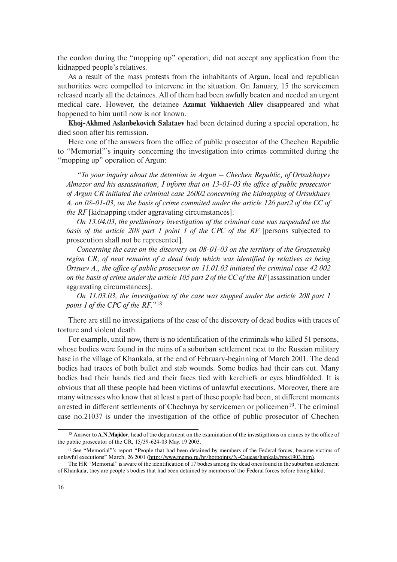the cordon during the "mopping up" operation, did not accept any application from the kidnapped people's relatives.

As a result of the mass protests from the inhabitants of Argun, local and republican authorities were compelled to intervene in the situation. On January, 15 the servicemen released nearly all the detainees. All of them had been awfully beaten and needed an urgent medical care. However, the detainee **Azamat Vakhaevich Aliev** disappeared and what happened to him until now is not known.

**Khoj-Akhmed Aslanbekovich Salataev** had been detained during a special operation, he died soon after his remission.

Here one of the answers from the office of public prosecutor of the Chechen Republic to "Memorial"'s inquiry concerning the investigation into crimes committed during the "mopping up" operation of Argun:

*"To your inquiry about the detention in Argun – Chechen Republic, of Ortsukhayev Almazor and his assassination, I inform that on 13-01-03 the office of public prosecutor of Argun CR initiated the criminal case 26002 concerning the kidnapping of Ortsukhaev A. on 08-01-03, on the basis of crime commited under the article 126 part2 of the CC of the RF* [kidnapping under aggravating circumstances].

*On 13.04.03, the preliminary investigation of the criminal case was suspended on the basis of the article 208 part 1 point 1 of the CPC of the RF* [persons subjected to prosecution shall not be represented].

*Concerning the case on the discovery on 08-01-03 on the territory of the Groznenskij region CR, of neat remains of a dead body which was identified by relatives as being Ortsuev A., the office of public prosecutor on 11.01.03 initiated the criminal case 42 002 on the basis of crime under the article 105 part 2 of the CC of the RF* [assassination under aggravating circumstances].

*On 11.03.03, the investigation of the case was stopped under the article 208 part 1 point 1 of the CPC of the RF.*"<sup>18</sup>

There are still no investigations of the case of the discovery of dead bodies with traces of torture and violent death.

For example, until now, there is no identification of the criminals who killed 51 persons, whose bodies were found in the ruins of a suburban settlement next to the Russian military base in the village of Khankala, at the end of February-beginning of March 2001. The dead bodies had traces of both bullet and stab wounds. Some bodies had their ears cut. Many bodies had their hands tied and their faces tied with kerchiefs or eyes blindfolded. It is obvious that all these people had been victims of unlawful executions. Moreover, there are many witnesses who know that at least a part of these people had been, at different moments arrested in different settlements of Chechnya by servicemen or policemen<sup>19</sup>. The criminal case no.21037 is under the investigation of the office of public prosecutor of Chechen

<sup>18</sup> Answer to **A.N.Majidov**, head of the department on the examination of the investigations on crimes by the office of the public prosecutor of the CR, 15/39-624-03 May, 19 2003.

<sup>19</sup> See "Memorial"'s report "People that had been detained by members of the Federal forces, became victims of unlawful executions" March, 26 2001 (http://www.memo.ru/hr/hotpoints/N-Caucas/hankala/pres1903.htm).

The HR "Memorial" is aware of the identification of 17 bodies among the dead ones found in the suburban settlement of Khankala, they are people's bodies that had been detained by members of the Federal forces before being killed.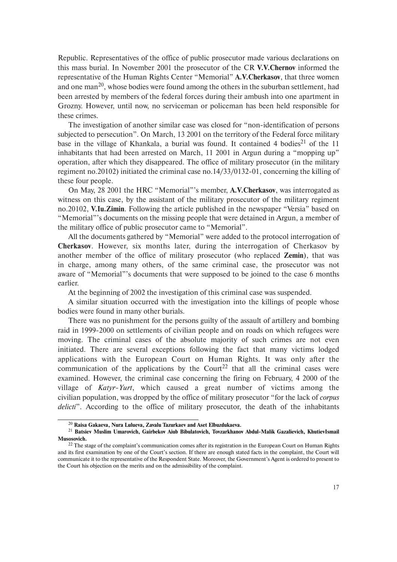Republic. Representatives of the office of public prosecutor made various declarations on this mass burial. In November 2001 the prosecutor of the CR **V.V.Chernov** informed the representative of the Human Rights Center "Memorial" **A.V.Cherkasov**, that three women and one man<sup>20</sup>, whose bodies were found among the others in the suburban settlement, had been arrested by members of the federal forces during their ambush into one apartment in Grozny. However, until now, no serviceman or policeman has been held responsible for these crimes.

The investigation of another similar case was closed for "non-identification of persons subjected to persecution". On March, 13 2001 on the territory of the Federal force military base in the village of Khankala, a burial was found. It contained 4 bodies<sup>21</sup> of the 11 inhabitants that had been arrested on March, 11 2001 in Argun during a "mopping up" operation, after which they disappeared. The office of military prosecutor (in the military regiment no.20102) initiated the criminal case no.14/33/0132-01, concerning the killing of these four people.

On May, 28 2001 the HRC "Memorial"'s member, **A.V.Cherkasov**, was interrogated as witness on this case, by the assistant of the military prosecutor of the military regiment no.20102, **V.Iu.Zimin**. Following the article published in the newspaper "Versia" based on "Memorial"'s documents on the missing people that were detained in Argun, a member of the military office of public prosecutor came to "Memorial".

All the documents gathered by "Memorial" were added to the protocol interrogation of **Cherkasov**. However, six months later, during the interrogation of Cherkasov by another member of the office of military prosecutor (who replaced **Zemin**), that was in charge, among many others, of the same criminal case, the prosecutor was not aware of "Memorial"'s documents that were supposed to be joined to the case 6 months earlier.

At the beginning of 2002 the investigation of this criminal case was suspended.

A similar situation occurred with the investigation into the killings of people whose bodies were found in many other burials.

There was no punishment for the persons guilty of the assault of artillery and bombing raid in 1999-2000 on settlements of civilian people and on roads on which refugees were moving. The criminal cases of the absolute majority of such crimes are not even initiated. There are several exceptions following the fact that many victims lodged applications with the European Court on Human Rights. It was only after the communication of the applications by the Court<sup>22</sup> that all the criminal cases were examined. However, the criminal case concerning the firing on February, 4 2000 of the village of *Katyr-Yurt*, which caused a great number of victims among the civilian population, was dropped by the office of military prosecutor "for the lack of *corpus delicti*". According to the office of military prosecutor, the death of the inhabitants

<sup>20</sup> **Raisa Gakaeva, Nura Lulueva, Zavalu Tazurkaev and Aset Elbuzdukaeva.**

<sup>21</sup> **Batsiev Muslim Umarovich, Gairbekov Aiub Bibulatovich, Tovzarkhanov Abdul-Malik Gazalievich, KhutievIsmail Musosovich.**

<sup>&</sup>lt;sup>22</sup> The stage of the complaint's communication comes after its registration in the European Court on Human Rights and its first examination by one of the Court's section. If there are enough stated facts in the complaint, the Court will communicate it to the representative of the Respondent State. Moreover, the Government's Agent is ordered to present to the Court his objection on the merits and on the admissibility of the complaint.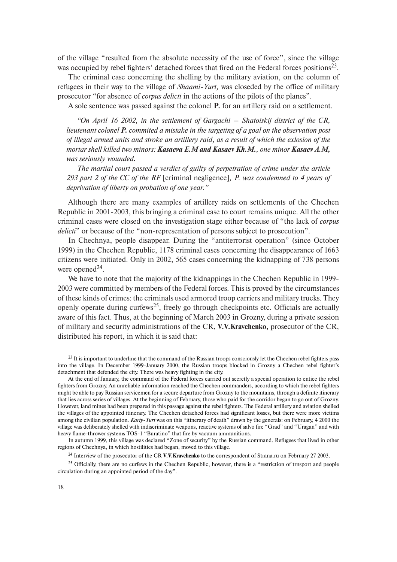of the village "resulted from the absolute necessity of the use of force", since the village was occupied by rebel fighters' detached forces that fired on the Federal forces positions<sup>23</sup>.

The criminal case concerning the shelling by the military aviation, on the column of refugees in their way to the village of *Shaami-Yurt,* was closeded by the office of military prosecutor "for absence of *corpus delicti* in the actions of the pilots of the planes".

A sole sentence was passed against the colonel **P.** for an artillery raid on a settlement.

*"On April 16 2002, in the settlement of Gargachi – Shatoiskij district of the CR, lieutenant colonel P. commited a mistake in the targeting of a goal on the observation post of illegal armed units and stroke an artillery raid, as a result of which the exlosion of the mortar shell killed two minors: Kasaeva E.M and Kasaev Kh.M., one minor Kasaev A.M, was seriously wounded.*

*The martial court passed a verdict of guilty of perpetration of crime under the article 293 part 2 of the CC of the RF* [criminal negligence]*, P. was condemned to 4 years of deprivation of liberty on probation of one year."*

Although there are many examples of artillery raids on settlements of the Chechen Republic in 2001-2003, this bringing a criminal case to court remains unique. All the other criminal cases were closed on the investigation stage either because of "the lack of *corpus delicti*" or because of the "non-representation of persons subject to prosecution".

In Chechnya, people disappear. During the "antiterrorist operation" (since October 1999) in the Chechen Republic, 1178 criminal cases concerning the disappearance of 1663 citizens were initiated. Only in 2002, 565 cases concerning the kidnapping of 738 persons were opened $24$ .

We have to note that the majority of the kidnappings in the Chechen Republic in 1999- 2003 were committed by members of the Federal forces. This is proved by the circumstances of these kinds of crimes: the criminals used armored troop carriers and military trucks. They openly operate during curfews<sup>25</sup>, freely go through checkpoints etc. Officials are actually aware of this fact. Thus, at the beginning of March 2003 in Grozny, during a private session of military and security administrations of the CR, **V.V.Kravchenko,** prosecutor of the CR, distributed his report, in which it is said that:

<sup>&</sup>lt;sup>23</sup> It is important to underline that the command of the Russian troops consciously let the Chechen rebel fighters pass into the village. In December 1999-January 2000, the Russian troops blocked in Grozny a Chechen rebel fighter's detachment that defended the city. There was heavy fighting in the city.

At the end of January, the command of the Federal forces carried out secretly a special operation to entice the rebel fighters from Grozny. An unreliable information reached the Chechen commanders, according to which the rebel fighters might be able to pay Russian servicemen for a secure departure from Grozny to the mountains, through a definite itinerary that lies across series of villages. At the beginning of February, those who paid for the corridor began to go out of Grozny. However, land mines had been prepared in this passage against the rebel fighters. The Federal artillery and aviation shelled the villages of the appointed itinerary. The Chechen detached forces had significant losses, but there were more victims among the civilian population. *Karty-Yurt* was on this "itinerary of death" drawn by the generals: on February, 4 2000 the village was deliberately shelled with indiscriminate weapons, reactive systems of salvo fire "Grad" and "Uragan" and with heavy flame-thrower systems TOS-1 "Buratino" that fire by vacuum ammunitions.

In autumn 1999, this village was declared "Zone of security" by the Russian command. Refugees that lived in other regions of Chechnya, in which hostilities had began, moved to this village.

<sup>24</sup> Interview of the prosecutor of the CR **V.V.Kravchenko** to the correspondent of Strana.ru on February 27 2003.

<sup>&</sup>lt;sup>25</sup> Officially, there are no curfews in the Chechen Republic, however, there is a "restriction of trnsport and people circulation during an appointed period of the day".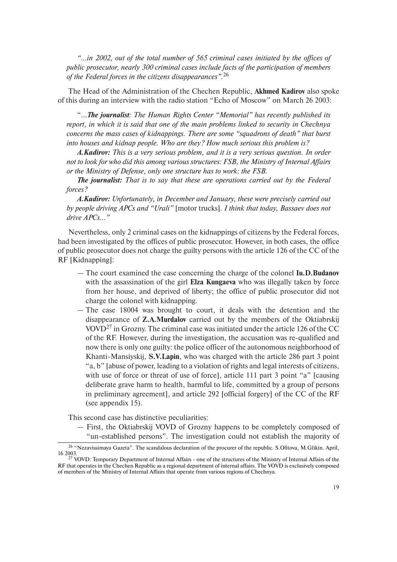*"…in 2002, out of the total number of 565 criminal cases initiated by the offices of public prosecutor, nearly 300 criminal cases include facts of the participation of members of the Federal forces in the citizens disappearances".*<sup>26</sup>

The Head of the Administration of the Chechen Republic, **Akhmed Kadirov** also spoke of this during an interview with the radio station "Echo of Moscow" on March 26 2003:

"…*The journalist: The Human Rights Center "Memorial" has recently published its report, in which it is said that one of the main problems linked to security in Chechnya concerns the mass cases of kidnappings. There are some "squadrons of death" that burst into houses and kidnap people. Who are they? How much serious this problem is?*

*A.Kadirov: This is a very serious problem, and it is a very serious question. In order not to look for who did this among various structures: FSB, the Ministry of Internal Affairs or the Ministry of Defense, only one structure has to work: the FSB.*

*The journalist: That is to say that these are operations carried out by the Federal forces?*

*A.Kadirov: Unfortunately, in December and January, these were precisely carried out by people driving APCs and "Urali"* [motor trucks]*. I think that today, Bassaev does not drive APCs…"*

Nevertheless, only 2 criminal cases on the kidnappings of citizens by the Federal forces, had been investigated by the offices of public prosecutor. However, in both cases, the office of public prosecutor does not charge the guilty persons with the article 126 of the CC of the RF [Kidnapping]:

- The court examined the case concerning the charge of the colonel **Iu.D.Budanov** with the assassination of the girl **Elza Kungaeva** who was illegally taken by force from her house, and deprived of liberty; the office of public prosecutor did not charge the colonel with kidnapping.
- The case 18004 was brought to court, it deals with the detention and the disappearance of **Z.A.Murdalov** carried out by the members of the Oktiabrskij VOVD<sup>27</sup> in Grozny. The criminal case was initiated under the article 126 of the CC of the RF. However, during the investigation, the accusation was re-qualified and now there is only one guilty: the police officer of the autonomous neighborhood of Khanti-Mansiyskij, **S.V.Lapin**, who was charged with the article 286 part 3 point "a, b" [abuse of power, leading to a violation of rights and legal interests of citizens, with use of force or threat of use of force], article 111 part 3 point "a" [causing deliberate grave harm to health, harmful to life, committed by a group of persons in preliminary agreement], and article 292 [official forgery] of the CC of the RF (see appendix 15).

This second case has distinctive peculiarities:

— First, the Oktiabrskij VOVD of Grozny happens to be completely composed of "un-established persons". The investigation could not establish the majority of

<sup>26</sup> "Nezavissimaya Gazeta". The scandalous declaration of the procurer of the republic. S.Ofitova, M.Glikin. April,

 $27$  VOVD: Temporary Department of Internal Affairs - one of the structures of the Ministry of Internal Affairs of the RF that operates in the Chechen Republic as a regional department of internal affairs. The VOVD is exclusively composed of members of the Ministry of Internal Affairs that operate from various regions of Chechnya.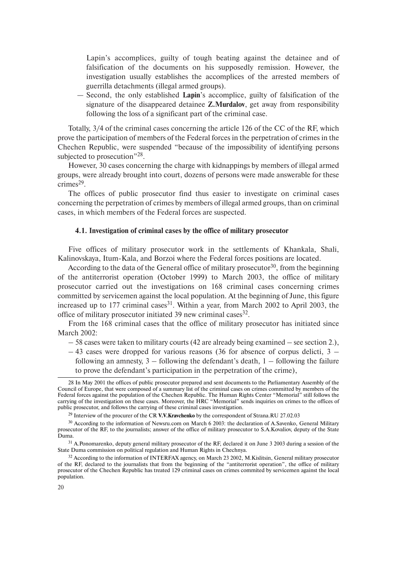Lapin's accomplices, guilty of tough beating against the detainee and of falsification of the documents on his supposedly remission. However, the investigation usually establishes the accomplices of the arrested members of guerrilla detachments (illegal armed groups).

— Second, the only established **Lapin**'s accomplice, guilty of falsification of the signature of the disappeared detainee **Z.Murdalov**, get away from responsibility following the loss of a significant part of the criminal case.

Totally, 3/4 of the criminal cases concerning the article 126 of the CC of the RF, which prove the participation of members of the Federal forces in the perpetration of crimes in the Chechen Republic, were suspended "because of the impossibility of identifying persons subjected to prosecution"<sup>28</sup>.

However, 30 cases concerning the charge with kidnappings by members of illegal armed groups, were already brought into court, dozens of persons were made answerable for these  $c$ rimes<sup>29</sup>.

The offices of public prosecutor find thus easier to investigate on criminal cases concerning the perpetration of crimes by members of illegal armed groups, than on criminal cases, in which members of the Federal forces are suspected.

#### **4.1. Investigation of criminal cases by the office of military prosecutor**

Five offices of military prosecutor work in the settlements of Khankala, Shali, Kalinovskaya, Itum-Kala, and Borzoi where the Federal forces positions are located.

According to the data of the General office of military prosecutor<sup>30</sup>, from the beginning of the antiterrorist operation (October 1999) to March 2003, the office of military prosecutor carried out the investigations on 168 criminal cases concerning crimes committed by servicemen against the local population. At the beginning of June, this figure increased up to  $177$  criminal cases<sup>31</sup>. Within a year, from March 2002 to April 2003, the office of military prosecutor initiated 39 new criminal cases  $32$ .

From the 168 criminal cases that the office of military prosecutor has initiated since March 2002:

- 58 cases were taken to military courts (42 are already being examined see section 2.),
- $-43$  cases were dropped for various reasons (36 for absence of corpus delicti, 3 following an amnesty,  $3 -$  following the defendant's death,  $1 -$  following the failure to prove the defendant's participation in the perpetration of the crime),

<sup>28</sup> In May 2001 the offices of public prosecutor prepared and sent documents to the Parliamentary Assembly of the Council of Europe, that were composed of a summary list of the criminal cases on crimes committed by members of the Federal forces against the population of the Chechen Republic. The Human Rights Center "Memorial" still follows the carrying of the investigation on these cases. Moreover, the HRC "Memorial" sends inquiries on crimes to the offices of public prosecutor, and follows the carrying of these criminal cases investigation.

<sup>29</sup> Interview of the procurer of the CR **V.V.Kravchenko** by the correspondent of Strana.RU 27.02.03

<sup>&</sup>lt;sup>30</sup> According to the information of Newsru.com on March 6 2003: the declaration of A.Savenko, General Military prosecutor of the RF, to the journalists; answer of the office of military prosecutor to S.A.Kovaliov, deputy of the State Duma.

<sup>&</sup>lt;sup>31</sup> A.Ponomarenko, deputy general military prosecutor of the RF, declared it on June 3 2003 during a session of the State Duma commission on political regulation and Human Rights in Chechnya.

<sup>&</sup>lt;sup>32</sup> According to the information of INTERFAX agency, on March 23 2002, M.Kislitsin, General military prosecutor of the RF, declared to the journalists that from the beginning of the "antiterrorist operation", the office of military prosecutor of the Chechen Republic has treated 129 criminal cases on crimes commited by servicemen against the local population.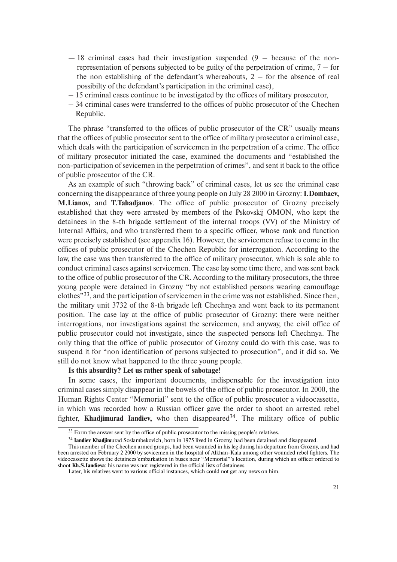- $-18$  criminal cases had their investigation suspended (9 because of the nonrepresentation of persons subjected to be guilty of the perpetration of crime,  $7 -$  for the non establishing of the defendant's whereabouts,  $2 -$  for the absence of real possibilty of the defendant's participation in the criminal case),
- 15 criminal cases continue to be investigated by the offices of military prosecutor,
- 34 criminal cases were transferred to the offices of public prosecutor of the Chechen Republic.

The phrase "transferred to the offices of public prosecutor of the CR" usually means that the offices of public prosecutor sent to the office of military prosecutor a criminal case, which deals with the participation of servicemen in the perpetration of a crime. The office of military prosecutor initiated the case, examined the documents and "established the non-participation of sevicemen in the perpetration of crimes", and sent it back to the office of public prosecutor of the CR.

As an example of such "throwing back" of criminal cases, let us see the criminal case concerning the disappearance of three young people on July 28 2000 in Grozny: **I.Dombaev, M.Lianov,** and **T.Tabadjanov**. The office of public prosecutor of Grozny precisely established that they were arrested by members of the Pskovskij OMON, who kept the detainees in the 8-th brigade settlement of the internal troops (VV) of the Ministry of Internal Affairs, and who transferred them to a specific officer, whose rank and function were precisely established (see appendix 16). However, the servicemen refuse to come in the offices of public prosecutor of the Chechen Republic for interrogation. According to the law, the case was then transferred to the office of military prosecutor, which is sole able to conduct criminal cases against servicemen. The case lay some time there, and was sent back to the office of public prosecutor of the CR. According to the military prosecutors, the three young people were detained in Grozny "by not established persons wearing camouflage clothes"33, and the participation of servicemen in the crime was not established. Since then, the military unit 3732 of the 8-th brigade left Chechnya and went back to its permanent position. The case lay at the office of public prosecutor of Grozny: there were neither interrogations, nor investigations against the servicemen, and anyway, the civil office of public prosecutor could not investigate, since the suspected persons left Chechnya. The only thing that the office of public prosecutor of Grozny could do with this case, was to suspend it for "non identification of persons subjected to prosecution", and it did so. We still do not know what happened to the three young people.

**Is this absurdity? Let us rather speak of sabotage!**

In some cases, the important documents, indispensable for the investigation into criminal cases simply disappear in the bowels of the office of public prosecutor. In 2000, the Human Rights Center "Memorial" sent to the office of public prosecutor a videocassette, in which was recorded how a Russian officer gave the order to shoot an arrested rebel fighter, **Khadjimurad Iandiev**, who then disappeared<sup>34</sup>. The military office of public

<sup>&</sup>lt;sup>33</sup> Form the answer sent by the office of public prosecutor to the missing people's relatives.

<sup>34</sup> **Iandiev Khadjim**urad Soslambekovich, born in 1975 lived in Grozny, had been detained and disappeared.

This member of the Chechen armed groups, had been wounded in his leg during his departure from Grozny, and had been arrested on February 2 2000 by sevicemen in the hospital of Alkhan-Kala among other wounded rebel fighters. The videocassette shows the detainees'embarkation in buses near "Memorial"'s location, during which an officer ordered to shoot **Kh.S.Iandieva**: his name was not registered in the official lists of detainees.

Later, his relatives went to various official instances, which could not get any news on him.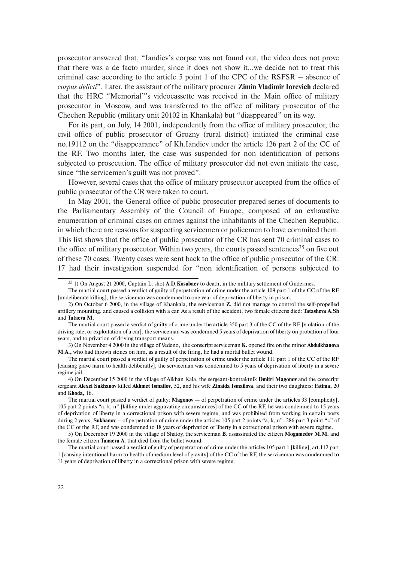prosecutor answered that, "Iandiev's corpse was not found out, the video does not prove that there was a de facto murder, since it does not show it…we decide not to treat this criminal case according to the article 5 point 1 of the CPC of the RSFSR – absence of *corpus delicti*". Later, the assistant of the military procurer **Zimin Vladimir Iorevich** declared that the HRC "Memorial"'s videocassette was received in the Main office of military prosecutor in Moscow, and was transferred to the office of military prosecutor of the Chechen Republic (military unit 20102 in Khankala) but "diasppeared" on its way.

For its part, on July, 14 2001, independently from the office of military prosecutor, the civil office of public prosecutor of Grozny (rural district) initiated the criminal case no.19112 on the "disappearance" of Kh.Iandiev under the article 126 part 2 of the CC of the RF. Two months later, the case was suspended for non identification of persons subjected to prosecution. The office of military prosecutor did not even initiate the case, since "the servicemen's guilt was not proved".

However, several cases that the office of military prosecutor accepted from the office of public prosecutor of the CR were taken to court.

In May 2001, the General office of public prosecutor prepared series of documents to the Parliamentary Assembly of the Council of Europe, composed of an exhaustive enumeration of criminal cases on crimes against the inhabitants of the Chechen Republic, in which there are reasons for suspecting servicemen or policemen to have commited them. This list shows that the office of public prosecutor of the CR has sent 70 criminal cases to the office of military prosecutor. Within two years, the courts passed sentences<sup>35</sup> on five out of these 70 cases. Twenty cases were sent back to the office of public prosecutor of the CR: 17 had their investigation suspended for "non identification of persons subjected to

3) On November 4 2000 in the village of Vedeno, the conscript serviceman **K.** opened fire on the minor **Abdulkhanova M.A.,** who had thrown stones on him, as a result of the firing, he had a mortal bullet wound.

<sup>35</sup> 1) On August 21 2000, Captain L. shot **A.D.Kosubaev** to death, in the military settlement of Gudermes.

The martial court passed a verdict of guilty of perpetration of crime under the article 109 part 1 of the CC of the RF [undeliberate killing], the serviceman was condemned to one year of deprivation of liberty in prison.

<sup>2)</sup> On October 6 2000, in the village of Khankala, the serviceman **Z.** did not manage to control the self-propelled artillery mounting, and caused a collision with a car. As a result of the accident, two female citizens died: **Tatasheva A.Sh** and **Tataeva M.**

The martial court passed a verdict of guilty of crime under the article 350 part 3 of the CC of the RF [violation of the driving rule, or exploitation of a car], the serviceman was condemned 5 years of deprivation of liberty on probation of four years, and to privation of driving transport means.

The martial court passed a verdict of guilty of perpetration of crime under the article 111 part 1 of the CC of the RF [causing grave harm to health deliberatly], the serviceman was condemned to 5 years of deprivation of liberty in a severe regime jail.

<sup>4)</sup> On December 15 2000 in the village of Alkhan Kala, the sergeant-kontraktnik **Dmitri Magonov** and the conscript sergeant **Alexei Sukhanov** killed **Akhmet Ismailov**, 52, and his wife **Zinaida Ismailova**, and their two daughters**: Fatima,** 20 and **Khoda,** 16.

The martial court passed a verdict of guilty: **Magonov** — of perpetration of crime under the articles 33 [complicity], 105 part 2 points "a, k, n" [killing under aggravating circumstances] of the CC of the RF, he was condemned to 15 years of deprivation of liberty in a correctional prison with severe regime, and was prohibited from working in certain posts during 2 years; **Sukhanov** – of perpetration of crime under the articles 105 part 2 points "a, k, n", 286 part 3 point "c" of the CC of the RF, and was condemned to 18 years of deprivation of liberty in a correctional prison with severe regime.

<sup>5)</sup> On December 19 2000 in the village of Shatoy, the serviceman **B.** assassinated the citizen **Mogamedov M.M.** and the female citizen **Tunaeva A.** that died from the bullet wound.

The martial court passed a verdict of guilty of perpetration of crime under the articles 105 part 1 [killing], art.112 part 1 [causing intentional harm to health of medium level of gravity] of the CC of the RF, the serviceman was condemned to 11 years of deprivation of liberty in a correctional prison with severe regime.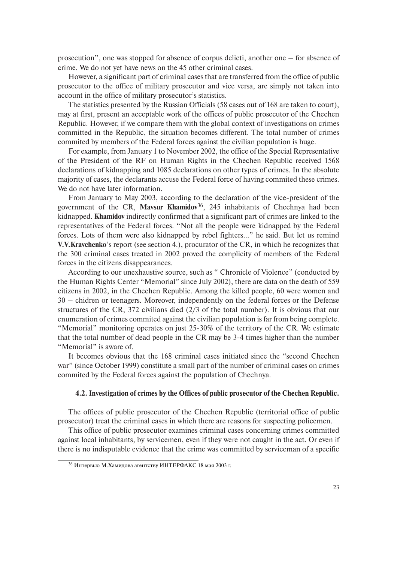prosecution", one was stopped for absence of corpus delicti, another one – for absence of crime. We do not yet have news on the 45 other criminal cases.

However, a significant part of criminal cases that are transferred from the office of public prosecutor to the office of military prosecutor and vice versa, are simply not taken into account in the office of military prosecutor's statistics.

The statistics presented by the Russian Officials (58 cases out of 168 are taken to court), may at first, present an acceptable work of the offices of public prosecutor of the Chechen Republic. However, if we compare them with the global context of investigations on crimes committed in the Republic, the situation becomes different. The total number of crimes commited by members of the Federal forces against the civilian population is huge.

For example, from January 1 to November 2002, the office of the Special Representative of the President of the RF on Human Rights in the Chechen Republic received 1568 declarations of kidnapping and 1085 declarations on other types of crimes. In the absolute majority of cases, the declarants accuse the Federal force of having commited these crimes. We do not have later information.

From January to May 2003, according to the declaration of the vice-president of the government of the CR, **Mavsur Khamidov**36, 245 inhabitants of Chechnya had been kidnapped. **Khamidov** indirectly confirmed that a significant part of crimes are linked to the representatives of the Federal forces. "Not all the people were kidnapped by the Federal forces. Lots of them were also kidnapped by rebel fighters…" he said. But let us remind **V.V.Kravchenko**'s report (see section 4.), procurator of the CR, in which he recognizes that the 300 criminal cases treated in 2002 proved the complicity of members of the Federal forces in the citizens disappearances.

According to our unexhaustive source, such as " Chronicle of Violence" (conducted by the Human Rights Center "Memorial" since July 2002), there are data on the death of 559 citizens in 2002, in the Chechen Republic. Among the killed people, 60 were women and 30 – chidren or teenagers. Moreover, independently on the federal forces or the Defense structures of the CR, 372 civilians died (2/3 of the total number). It is obvious that our enumeration of crimes commited against the civilian population is far from being complete. "Memorial" monitoring operates on just 25-30% of the territory of the CR. We estimate that the total number of dead people in the CR may be 3-4 times higher than the number "Memorial" is aware of.

It becomes obvious that the 168 criminal cases initiated since the "second Chechen war" (since October 1999) constitute a small part of the number of criminal cases on crimes commited by the Federal forces against the population of Chechnya.

#### **4.2. Investigation of crimes by the Offices of public prosecutor of the Chechen Republic.**

The offices of public prosecutor of the Chechen Republic (territorial office of public prosecutor) treat the criminal cases in which there are reasons for suspecting policemen.

This office of public prosecutor examines criminal cases concerning crimes committed against local inhabitants, by servicemen, even if they were not caught in the act. Or even if there is no indisputable evidence that the crime was committed by serviceman of a specific

<sup>36</sup> Интервью М.Хамидова агентству ИНТЕРФАКС 18 мая 2003 г.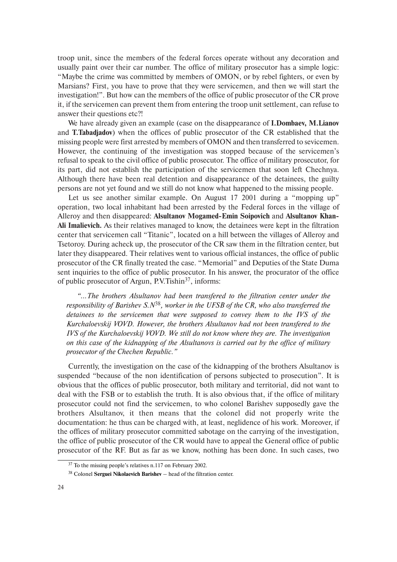troop unit, since the members of the federal forces operate without any decoration and usually paint over their car number. The office of military prosecutor has a simple logic: "Maybe the crime was committed by members of OMON, or by rebel fighters, or even by Marsians? First, you have to prove that they were servicemen, and then we will start the investigation!". But how can the members of the office of public prosecutor of the CR prove it, if the servicemen can prevent them from entering the troop unit settlement, can refuse to answer their questions etc?!

We have already given an example (case on the disappearance of **I.Dombaev, M.Lianov** and **T.Tabadjadov**) when the offices of public prosecutor of the CR established that the missing people were first arrested by members of OMON and then transferred to sevicemen. However, the continuing of the investigation was stopped because of the servicemen's refusal to speak to the civil office of public prosecutor. The office of military prosecutor, for its part, did not establish the participation of the servicemen that soon left Chechnya. Although there have been real detention and disappearance of the detainees, the guilty persons are not yet found and we still do not know what happened to the missing people.

Let us see another similar example. On August 17 2001 during a "mopping up" operation, two local inhabitant had been arrested by the Federal forces in the village of Alleroy and then disappeared: **Alsultanov Mogamed-Emin Soipovich** and **Alsultanov Khan-Ali Imalievich.** As their relatives managed to know, the detainees were kept in the filtration center that servicemen call "Titanic", located on a hill between the villages of Alleroy and Tsetoroy. During acheck up, the prosecutor of the CR saw them in the filtration center, but later they disappeared. Their relatives went to various official instances, the office of public prosecutor of the CR finally treated the case. "Memorial" and Deputies of the State Duma sent inquiries to the office of public prosecutor. In his answer, the procurator of the office of public prosecutor of Argun, P.V.Tishin37, informs:

*"...The brothers Alsultanov had been transfered to the filtration center under the responsibility of Barishev S.N*38*, worker in the UFSB of the CR, who also transferred the detainees to the servicemen that were supposed to convey them to the IVS of the Kurchaloevskij VOVD. However, the brothers Alsultanov had not been transfered to the IVS of the Kurchaloevskij VOVD. We still do not know where they are. The investigation on this case of the kidnapping of the Alsultanovs is carried out by the office of military prosecutor of the Chechen Republic."*

Currently, the investigation on the case of the kidnapping of the brothers Alsultanov is suspended "because of the non identification of persons subjected to prosecution". It is obvious that the offices of public prosecutor, both military and territorial, did not want to deal with the FSB or to establish the truth. It is also obvious that, if the office of military prosecutor could not find the servicemen, to who colonel Barishev supposedly gave the brothers Alsultanov, it then means that the colonel did not properly write the documentation: he thus can be charged with, at least, neglidence of his work. Moreover, if the offices of military prosecutor committed sabotage on the carrying of the investigation, the office of public prosecutor of the CR would have to appeal the General office of public prosecutor of the RF. But as far as we know, nothing has been done. In such cases, two

<sup>&</sup>lt;sup>37</sup> To the missing people's relatives n.117 on February 2002.

<sup>38</sup> Colonel **Serguei Nikolaevich Barishev** – head of the filtration center.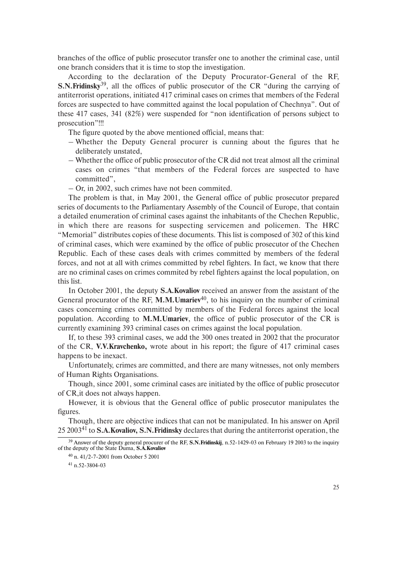branches of the office of public prosecutor transfer one to another the criminal case, until one branch considers that it is time to stop the investigation.

According to the declaration of the Deputy Procurator-General of the RF, **S.N.Fridinsky**39, all the offices of public prosecutor of the CR "during the carrying of antiterrorist operations, initiated 417 criminal cases on crimes that members of the Federal forces are suspected to have committed against the local population of Chechnya". Out of these 417 cases, 341 (82%) were suspended for "non identification of persons subject to prosecution"!!!

The figure quoted by the above mentioned official, means that:

- Whether the Deputy General procurer is cunning about the figures that he deliberately unstated,
- Whether the office of public prosecutor of the CR did not treat almost all the criminal cases on crimes "that members of the Federal forces are suspected to have committed",

– Or, in 2002, such crimes have not been commited.

The problem is that, in May 2001, the General office of public prosecutor prepared series of documents to the Parliamentary Assembly of the Council of Europe, that contain a detailed enumeration of criminal cases against the inhabitants of the Chechen Republic, in which there are reasons for suspecting servicemen and policemen. The HRC "Memorial" distributes copies of these documents. This list is composed of 302 of this kind of criminal cases, which were examined by the office of public prosecutor of the Chechen Republic. Each of these cases deals with crimes committed by members of the federal forces, and not at all with crimes committed by rebel fighters. In fact, we know that there are no criminal cases on crimes commited by rebel fighters against the local population, on this list.

In October 2001, the deputy **S.A.Kovaliov** received an answer from the assistant of the General procurator of the RF, M.M.Umariev<sup>40</sup>, to his inquiry on the number of criminal cases concerning crimes committed by members of the Federal forces against the local population. According to **M.M.Umariev**, the office of public prosecutor of the CR is currently examining 393 criminal cases on crimes against the local population.

If, to these 393 criminal cases, we add the 300 ones treated in 2002 that the procurator of the CR, **V.V.Kravchenko,** wrote about in his report; the figure of 417 criminal cases happens to be inexact.

Unfortunately, crimes are committed, and there are many witnesses, not only members of Human Rights Organisations.

Though, since 2001, some criminal cases are initiated by the office of public prosecutor of CR,it does not always happen.

However, it is obvious that the General office of public prosecutor manipulates the figures.

Though, there are objective indices that can not be manipulated. In his answer on April 25 2003<sup>41</sup> to **S.A.Kovaliov, S.N.Fridinsky** declares that during the antiterrorist operation, the

<sup>39</sup> Answer of the deputy general procurer of the RF, **S.N.Fridinskij**, n.52-1429-03 on February 19 2003 to the inquiry of the deputy of the State Duma, **S.A.Kovaliov**

 $41 n.52 - 3804 - 03$ 

<sup>40</sup> n. 41/2-7-2001 from October 5 2001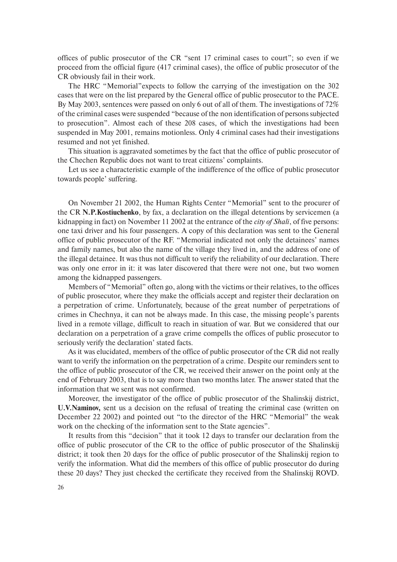offices of public prosecutor of the CR "sent 17 criminal cases to court"; so even if we proceed from the official figure (417 criminal cases), the office of public prosecutor of the CR obviously fail in their work.

The HRC "Memorial"expects to follow the carrying of the investigation on the 302 cases that were on the list prepared by the General office of public prosecutor to the PACE. By May 2003, sentences were passed on only 6 out of all of them. The investigations of 72% of the criminal cases were suspended "because of the non identification of persons subjected to prosecution". Almost each of these 208 cases, of which the investigations had been suspended in May 2001, remains motionless. Only 4 criminal cases had their investigations resumed and not yet finished.

This situation is aggravated sometimes by the fact that the office of public prosecutor of the Chechen Republic does not want to treat citizens' complaints.

Let us see a characteristic example of the indifference of the office of public prosecutor towards people' suffering.

On November 21 2002, the Human Rights Center "Memorial" sent to the procurer of the CR **N.P.Kostiuchenko**, by fax, a declaration on the illegal detentions by servicemen (a kidnapping in fact) on November 11 2002 at the entrance of the *city of Shali*, of five persons: one taxi driver and his four passengers. A copy of this declaration was sent to the General office of public prosecutor of the RF. "Memorial indicated not only the detainees' names and family names, but also the name of the village they lived in, and the address of one of the illegal detainee. It was thus not difficult to verify the reliability of our declaration. There was only one error in it: it was later discovered that there were not one, but two women among the kidnapped passengers.

Members of "Memorial" often go, along with the victims or their relatives, to the offices of public prosecutor, where they make the officials accept and register their declaration on a perpetration of crime. Unfortunately, because of the great number of perpetrations of crimes in Chechnya, it can not be always made. In this case, the missing people's parents lived in a remote village, difficult to reach in situation of war. But we considered that our declaration on a perpetration of a grave crime compells the offices of public prosecutor to seriously verify the declaration' stated facts.

As it was elucidated, members of the office of public prosecutor of the CR did not really want to verify the information on the perpetration of a crime. Despite our reminders sent to the office of public prosecutor of the CR, we received their answer on the point only at the end of February 2003, that is to say more than two months later. The answer stated that the information that we sent was not confirmed.

Moreover, the investigator of the office of public prosecutor of the Shalinskij district, **U.V.Naminov,** sent us a decision on the refusal of treating the criminal case (written on December 22 2002) and pointed out "to the director of the HRC "Memorial" the weak work on the checking of the information sent to the State agencies".

It results from this "decision" that it took 12 days to transfer our declaration from the office of public prosecutor of the CR to the office of public prosecutor of the Shalinskij district; it took then 20 days for the office of public prosecutor of the Shalinskij region to verify the information. What did the members of this office of public prosecutor do during these 20 days? They just checked the certificate they received from the Shalinskij ROVD.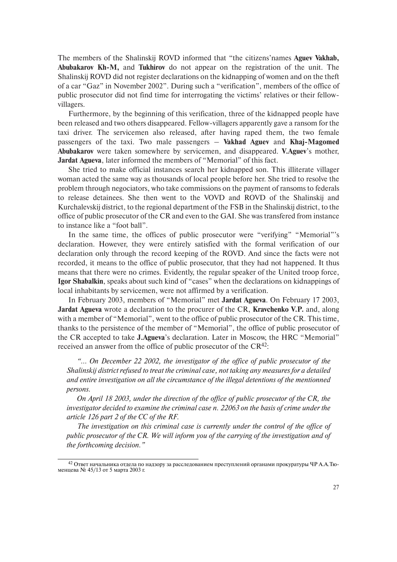The members of the Shalinskij ROVD informed that "the citizens'names **Aguev Vakhab, Abubakarov Kh-M,** and **Tukhirov** do not appear on the registration of the unit. The Shalinskij ROVD did not register declarations on the kidnapping of women and on the theft of a car "Gaz" in November 2002". During such a "verification", members of the office of public prosecutor did not find time for interrogating the victims' relatives or their fellowvillagers.

Furthermore, by the beginning of this verification, three of the kidnapped people have been released and two others disappeared. Fellow-villagers apparently gave a ransom for the taxi driver. The servicemen also released, after having raped them, the two female passengers of the taxi. Two male passengers – **Vakhad Aguev** and **Khaj-Magomed Abubakarov** were taken somewhere by servicemen, and disappeared. **V.Aguev**'s mother, **Jardat Agueva**, later informed the members of "Memorial" of this fact.

She tried to make official instances search her kidnapped son. This illiterate villager woman acted the same way as thousands of local people before her. She tried to resolve the problem through negociators, who take commissions on the payment of ransoms to federals to release detainees. She then went to the VOVD and ROVD of the Shalinskij and Kurchalevskij district, to the regional department of the FSB in the Shalinskij district, to the office of public prosecutor of the CR and even to the GAI. She was transfered from instance to instance like a "foot ball".

In the same time, the offices of public prosecutor were "verifying" "Memorial"'s declaration. However, they were entirely satisfied with the formal verification of our declaration only through the record keeping of the ROVD. And since the facts were not recorded, it means to the office of public prosecutor, that they had not happened. It thus means that there were no crimes. Evidently, the regular speaker of the United troop force, **Igor Shabalkin**, speaks about such kind of "cases" when the declarations on kidnappings of local inhabitants by servicemen, were not affirmed by a verification.

In February 2003, members of "Memorial" met **Jardat Agueva**. On February 17 2003, **Jardat Agueva** wrote a declaration to the procurer of the CR, **Kravchenko V.P.** and, along with a member of "Memorial", went to the office of public prosecutor of the CR. This time, thanks to the persistence of the member of "Memorial", the office of public prosecutor of the CR accepted to take **J.Agueva**'s declaration. Later in Moscow, the HRC "Memorial" received an answer from the office of public prosecutor of the CR<sup>42</sup>:

*"… On December 22 2002, the investigator of the office of public prosecutor of the Shalinskij district refused to treat the criminal case, not taking any measures for a detailed and entire investigation on all the circumstance of the illegal detentions of the mentionned persons.*

*On April 18 2003, under the direction of the office of public prosecutor of the CR, the investigator decided to examine the criminal case n. 22063 on the basis of crime under the article 126 part 2 of the CC of the RF.*

*The investigation on this criminal case is currently under the control of the office of public prosecutor of the CR. We will inform you of the carrying of the investigation and of the forthcoming decision."*

<sup>&</sup>lt;sup>42</sup> Ответ начальника отдела по надзору за расследованием преступлений органами прокуратуры ЧР А.А.Тюменцева № 45/13 от 5 марта 2003 г.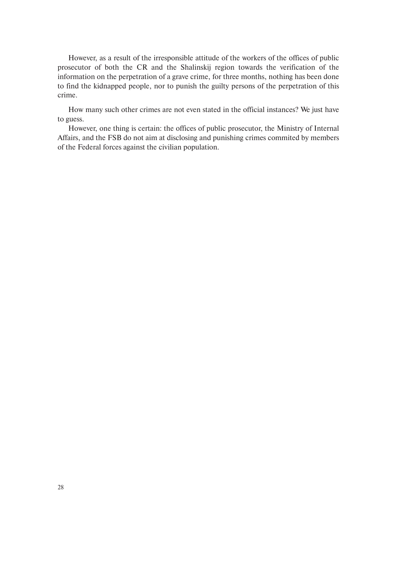However, as a result of the irresponsible attitude of the workers of the offices of public prosecutor of both the CR and the Shalinskij region towards the verification of the information on the perpetration of a grave crime, for three months, nothing has been done to find the kidnapped people, nor to punish the guilty persons of the perpetration of this crime.

How many such other crimes are not even stated in the official instances? We just have to guess.

However, one thing is certain: the offices of public prosecutor, the Ministry of Internal Affairs, and the FSB do not aim at disclosing and punishing crimes commited by members of the Federal forces against the civilian population.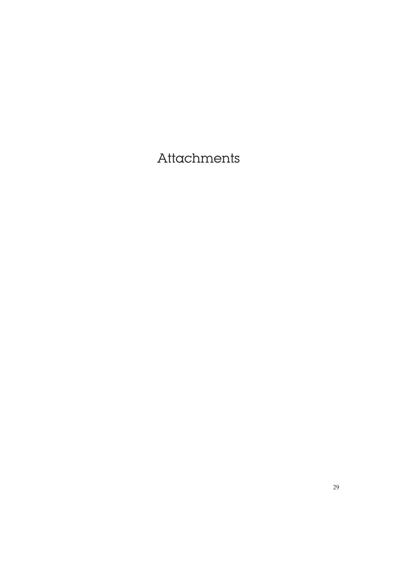## Attachments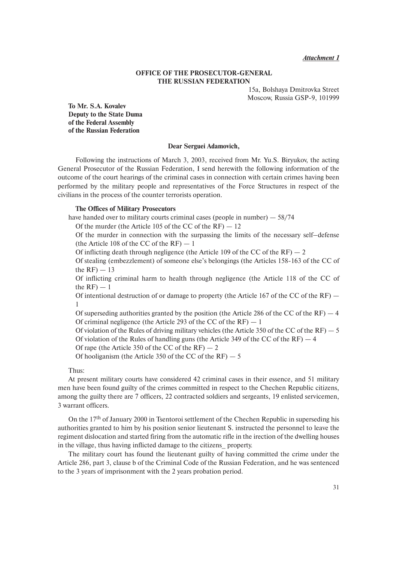#### **OFFICE OF THE PROSECUTOR-GENERAL THE RUSSIAN FEDERATION**

15a, Bolshaya Dmitrovka Street Moscow, Russia GSP-9, 101999

**To Mr. S.A. Kovalev Deputy to the State Duma of the Federal Assembly of the Russian Federation**

#### **Dear Serguei Adamovich,**

Following the instructions of March 3, 2003, received from Mr. Yu.S. Biryukov, the acting General Prosecutor of the Russian Federation, I send herewith the following information of the outcome of the court hearings of the criminal cases in connection with certain crimes having been performed by the military people and representatives of the Force Structures in respect of the civilians in the process of the counter terrorists operation.

#### **The Offices of Military Prosecutors**

have handed over to military courts criminal cases (people in number) – 58/74

Of the murder (the Article 105 of the CC of the  $RF$ )  $-12$ 

Of the murder in connection with the surpassing the limits of the necessary self–defense (the Article 108 of the CC of the  $RF$ )  $-1$ 

Of inflicting death through negligence (the Article 109 of the CC of the  $RF$ )  $-2$ 

Of stealing (embezzlement) of someone else's belongings (the Articles 158-163 of the CC of the  $RF$ )  $-13$ 

Of inflicting criminal harm to health through negligence (the Article 118 of the CC of the  $RF$ )  $-1$ 

Of intentional destruction of or damage to property (the Article 167 of the CC of the  $RF$ ) — 1

Of superseding authorities granted by the position (the Article 286 of the CC of the  $RF$ )  $-4$ Of criminal negligence (the Article 293 of the CC of the  $RF$ )  $-1$ 

Of violation of the Rules of driving military vehicles (the Article 350 of the CC of the RF)  $-5$ Of violation of the Rules of handling guns (the Article 349 of the CC of the  $RF$ )  $-4$ 

Of rape (the Article 350 of the CC of the  $RF$ )  $-2$ 

Of hooliganism (the Article 350 of the CC of the  $RF$ )  $-5$ 

Thus:

At present military courts have considered 42 criminal cases in their essence, and 51 military men have been found guilty of the crimes committed in respect to the Chechen Republic citizens, among the guilty there are 7 officers, 22 contracted soldiers and sergeants, 19 enlisted servicemen, 3 warrant officers.

On the 17th of January 2000 in Tsentoroi settlement of the Chechen Republic in superseding his authorities granted to him by his position senior lieutenant S. instructed the personnel to leave the regiment dislocation and started firing from the automatic rifle in the irection of the dwelling houses in the village, thus having inflicted damage to the citizens\_ property.

The military court has found the lieutenant guilty of having committed the crime under the Article 286, part 3, clause b of the Criminal Code of the Russian Federation, and he was sentenced to the 3 years of imprisonment with the 2 years probation period.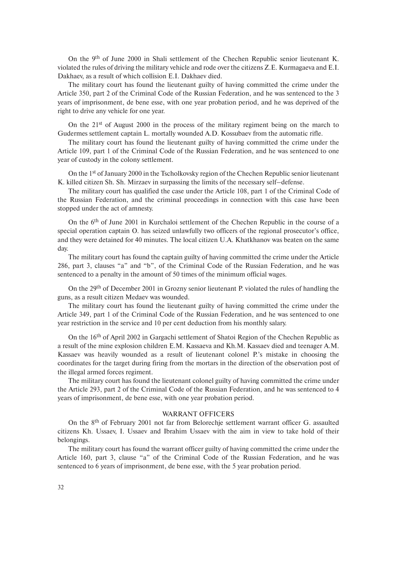On the 9th of June 2000 in Shali settlement of the Chechen Republic senior lieutenant K. violated the rules of driving the military vehicle and rode over the citizens Z.E. Kurmagaeva and E.I. Dakhaev, as a result of which collision E.I. Dakhaev died.

The military court has found the lieutenant guilty of having committed the crime under the Article 350, part 2 of the Criminal Code of the Russian Federation, and he was sentenced to the 3 years of imprisonment, de bene esse, with one year probation period, and he was deprived of the right to drive any vehicle for one year.

On the  $21<sup>st</sup>$  of August 2000 in the process of the military regiment being on the march to Gudermes settlement captain L. mortally wounded A.D. Kossubaev from the automatic rifle.

The military court has found the lieutenant guilty of having committed the crime under the Article 109, part 1 of the Criminal Code of the Russian Federation, and he was sentenced to one year of custody in the colony settlement.

On the 1st of January 2000 in the Tscholkovsky region of the Chechen Republic senior lieutenant K. killed citizen Sh. Sh. Mirzaev in surpassing the limits of the necessary self–defense.

The military court has qualified the case under the Article 108, part 1 of the Criminal Code of the Russian Federation, and the criminal proceedings in connection with this case have been stopped under the act of amnesty.

On the 6th of June 2001 in Kurchaloi settlement of the Chechen Republic in the course of a special operation captain O. has seized unlawfully two officers of the regional prosecutor's office, and they were detained for 40 minutes. The local citizen U.A. Khatkhanov was beaten on the same day.

The military court has found the captain guilty of having committed the crime under the Article 286, part 3, clauses "a" and "b", of the Criminal Code of the Russian Federation, and he was sentenced to a penalty in the amount of 50 times of the minimum official wages.

On the 29th of December 2001 in Grozny senior lieutenant P. violated the rules of handling the guns, as a result citizen Medaev was wounded.

The military court has found the lieutenant guilty of having committed the crime under the Article 349, part 1 of the Criminal Code of the Russian Federation, and he was sentenced to one year restriction in the service and 10 per cent deduction from his monthly salary.

On the 16th of April 2002 in Gargachi settlement of Shatoi Region of the Chechen Republic as a result of the mine explosion children E.M. Kassaeva and Kh.M. Kassaev died and teenager A.M. Kassaev was heavily wounded as a result of lieutenant colonel P.'s mistake in choosing the coordinates for the target during firing from the mortars in the direction of the observation post of the illegal armed forces regiment.

The military court has found the lieutenant colonel guilty of having committed the crime under the Article 293, part 2 of the Criminal Code of the Russian Federation, and he was sentenced to 4 years of imprisonment, de bene esse, with one year probation period.

#### WARRANT OFFICERS

On the 8th of February 2001 not far from Belorechje settlement warrant officer G. assaulted citizens Kh. Ussaev, I. Ussaev and Ibrahim Ussaev with the aim in view to take hold of their belongings.

The military court has found the warrant officer guilty of having committed the crime under the Article 160, part 3, clause "a" of the Criminal Code of the Russian Federation, and he was sentenced to 6 years of imprisonment, de bene esse, with the 5 year probation period.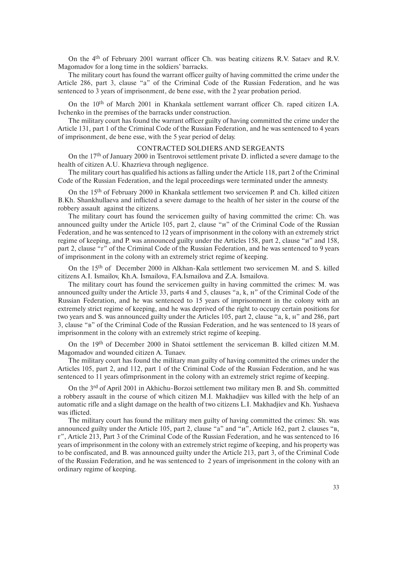On the 4th of February 2001 warrant officer Ch. was beating citizens R.V. Sataev and R.V. Magomadov for a long time in the soldiers' barracks.

The military court has found the warrant officer guilty of having committed the crime under the Article 286, part 3, clause "a" of the Criminal Code of the Russian Federation, and he was sentenced to 3 years of imprisonment, de bene esse, with the 2 year probation period.

On the 10th of March 2001 in Khankala settlement warrant officer Ch. raped citizen I.A. Ivchenko in the premises of the barracks under construction.

The military court has found the warrant officer guilty of having committed the crime under the Article 131, part 1 of the Criminal Code of the Russian Federation, and he was sentenced to 4 years of imprisonment, de bene esse, with the 5 year period of delay.

#### CONTRACTED SOLDIERS AND SERGEANTS

On the 17th of January 2000 in Tsentrovoi settlement private D. inflicted a severe damage to the health of citizen A.U. Khazrieva through negligence.

The military court has qualified his actions as falling under the Article 118, part 2 of the Criminal Code of the Russian Federation, and the legal proceedings were terminated under the amnesty.

On the 15th of February 2000 in Khankala settlement two servicemen P. and Ch. killed citizen B.Kh. Shankhullaeva and inflicted a severe damage to the health of her sister in the course of the robbery assault against the citizens.

The military court has found the servicemen guilty of having committed the crime: Ch. was announced guilty under the Article 105, part 2, clause "u" of the Criminal Code of the Russian Federation, and he was sentenced to 12 years of imprisonment in the colony with an extremely strict regime of keeping, and P. was announced guilty under the Articles 158, part 2, clause "и" and 158, part 2, clause "г" of the Criminal Code of the Russian Federation, and he was sentenced to 9 years of imprisonment in the colony with an extremely strict regime of keeping.

On the 15th of December 2000 in Alkhan-Kala settlement two servicemen M. and S. killed citizens A.I. Ismailov, Kh.A. Ismailova, F.A.Ismailova and Z.A. Ismailova.

The military court has found the servicemen guilty in having committed the crimes: M. was announced guilty under the Article 33, parts 4 and 5, clauses "a, k, н" of the Criminal Code of the Russian Federation, and he was sentenced to 15 years of imprisonment in the colony with an extremely strict regime of keeping, and he was deprived of the right to occupy certain positions for two years and S. was announced guilty under the Articles 105, part 2, clause "a, k, н" and 286, part 3, clause "в" of the Criminal Code of the Russian Federation, and he was sentenced to 18 years of imprisonment in the colony with an extremely strict regime of keeping.

On the 19th of December 2000 in Shatoi settlement the serviceman B. killed citizen M.M. Magomadov and wounded citizen A. Tunaev.

The military court has found the military man guilty of having committed the crimes under the Articles 105, part 2, and 112, part 1 of the Criminal Code of the Russian Federation, and he was sentenced to 11 years ofimprisonment in the colony with an extremely strict regime of keeping.

On the 3rd of April 2001 in Akhichu-Borzoi settlement two military men B. and Sh. committed a robbery assault in the course of which citizen M.I. Makhadjiev was killed with the help of an automatic rifle and a slight damage on the health of two citizens L.I. Makhadjiev and Kh. Yushaeva was iflicted.

The military court has found the military men guilty of having committed the crimes: Sh. was announced guilty under the Article 105, part 2, clause "a" and "и", Article 162, part 2. clauses "в, г", Article 213, Part 3 of the Criminal Code of the Russian Federation, and he was sentenced to 16 years of imprisonment in the colony with an extremely strict regime of keeping, and his property was to be confiscated, and B. was announced guilty under the Article 213, part 3, of the Criminal Code of the Russian Federation, and he was sentenced to 2 years of imprisonment in the colony with an ordinary regime of keeping.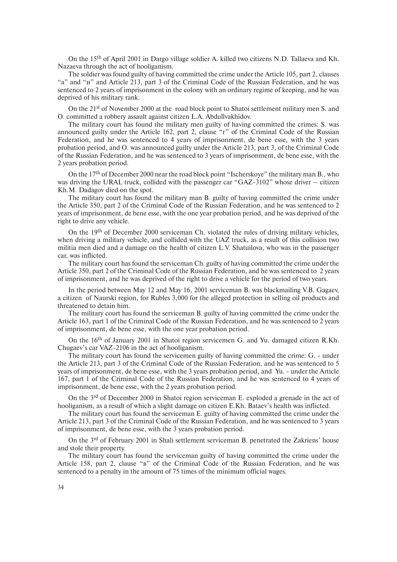On the 15th of April 2001 in Dargo village soldier A. killed two citizens N.D. Tallaeva and Kh. Nazaeva through the act of hooliganism.

The soldier was found guilty of having committed the crime under the Article 105, part 2, clauses "a" and "и" and Article 213, part 3 of the Criminal Code of the Russian Federation, and he was sentenced to 2 years of imprisonment in the colony with an ordinary regime of keeping, and he was deprived of his military rank.

On the 21<sup>st</sup> of November 2000 at the road block point to Shatoi settlement military men S, and O. committed a robbery assault against citizen L.A. Abdullvakhidov.

The military court has found the military men guilty of having committed the crimes: S. was announced guilty under the Article 162, part 2, clause "г" of the Criminal Code of the Russian Federation, and he was sentenced to 4 years of imprisonment, de bene esse, with the 3 years probation period, and O. was announced guilty under the Article 213, part 3, of the Criminal Code of the Russian Federation, and he was sentenced to 3 years of imprisonment, de bene esse, with the 2 years probation period.

On the 17<sup>th</sup> of December 2000 near the road block point "Ischerskoye" the military man B., who was driving the URAL truck, collided with the passenger car "GAZ-3102" whose driver  $-$  citizen Kh.M. Dadagov died on the spot.

The military court has found the military man B. guilty of having committed the crime under the Article 350, part 2 of the Criminal Code of the Russian Federation, and he was sentenced to 2 years of imprisonment, de bene esse, with the one year probation period, and he was deprived of the right to drive any vehicle.

On the 19th of December 2000 serviceman Ch. violated the rules of driving military vehicles, when driving a military vehicle, and collided with the UAZ truck, as a result of this collision two militia men died and a damage on the health of citizen L.V. Shatuilova, who was in the passenger car, was inflicted.

The military court has found the serviceman Ch. guilty of having committed the crime under the Article 350, part 2 of the Criminal Code of the Russian Federation, and he was sentenced to 2 years of imprisonment, and he was deprived of the right to drive a vehicle for the period of two years.

In the period between May 12 and May 16, 2001 serviceman B. was blackmailing V.B. Gagaev, a citizen of Naurski region, for Rubles 3,000 for the alleged protection in selling oil products and threatened to detain him.

The military court has found the serviceman B. guilty of having committed the crime under the Article 163, part 1 of the Criminal Code of the Russian Federation, and he was sentenced to 2 years of imprisonment, de bene esse, with the one year probation period.

On the 16th of January 2001 in Shatoi region servicemen G. and Yu. damaged citizen R.Kh. Chugaev's car VAZ-2106 in the act of hooliganism.

The military court has found the servicemen guilty of having committed the crime: G. - under the Article 213, part 3 of the Criminal Code of the Russian Federation, and he was sentenced to 5 years of imprisonment, de bene esse, with the 3 years probation period, and Yu. - under the Article 167, part 1 of the Criminal Code of the Russian Federation, and he was sentenced to 4 years of imprisonment, de bene esse, with the 2 years probation period.

On the 3rd of December 2000 in Shatoi region serviceman E. exploded a grenade in the act of hooliganism, as a result of which a slight damage on citizen E.Kh. Bataev's health was inflicted.

The military court has found the serviceman E. guilty of having committed the crime under the Article 213, part 3 of the Criminal Code of the Russian Federation, and he was sentenced to 3 years of imprisonment, de bene esse, with the 3 years probation period.

On the 3rd of February 2001 in Shali settlement serviceman B. penetrated the Zakriens' house and stole their property.

The military court has found the serviceman guilty of having committed the crime under the Article 158, part 2, clause "в" of the Criminal Code of the Russian Federation, and he was sentenced to a penalty in the amount of 75 times of the minimum official wages.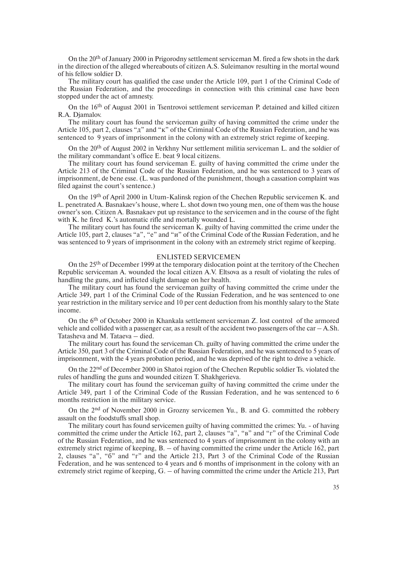On the 20th of January 2000 in Prigorodny settlement serviceman M. fired a few shots in the dark in the direction of the alleged whereabouts of citizen A.S. Suleimanov resulting in the mortal wound of his fellow soldier D.

The military court has qualified the case under the Article 109, part 1 of the Criminal Code of the Russian Federation, and the proceedings in connection with this criminal case have been stopped under the act of amnesty.

On the 16th of August 2001 in Tsentrovoi settlement serviceman P. detained and killed citizen R.A. Djamalov.

The military court has found the serviceman guilty of having committed the crime under the Article 105, part 2, clauses "д" and "к" of the Criminal Code of the Russian Federation, and he was sentenced to 9 years of imprisonment in the colony with an extremely strict regime of keeping.

On the 20th of August 2002 in Verkhny Nur settlement militia serviceman L. and the soldier of the military commandant's office E. beat 9 local citizens.

The military court has found serviceman E. guilty of having committed the crime under the Article 213 of the Criminal Code of the Russian Federation, and he was sentenced to 3 years of imprisonment, de bene esse. (L. was pardoned of the punishment, though a cassation complaint was filed against the court's sentence.)

On the 19th of April 2000 in Utum-Kalinsk region of the Chechen Republic servicemen K. and L. penetrated A. Basnakaev's house, where L. shot down two young men, one of them was the house owner's son. Citizen A. Basnakaev put up resistance to the servicemen and in the course of the fight with K. he fired K.'s automatic rifle and mortally wounded L.

The military court has found the serviceman K. guilty of having committed the crime under the Article 105, part 2, clauses "a", "e" and "и" of the Criminal Code of the Russian Federation, and he was sentenced to 9 years of imprisonment in the colony with an extremely strict regime of keeping.

#### ENLISTED SERVICEMEN

On the 25th of December 1999 at the temporary dislocation point at the territory of the Chechen Republic serviceman A. wounded the local citizen A.V. Eltsova as a result of violating the rules of handling the guns, and inflicted slight damage on her health.

The military court has found the serviceman guilty of having committed the crime under the Article 349, part 1 of the Criminal Code of the Russian Federation, and he was sentenced to one year restriction in the military service and 10 per cent deduction from his monthly salary to the State income.

On the 6th of October 2000 in Khankala settlement serviceman Z. lost control of the armored vehicle and collided with a passenger car, as a result of the accident two passengers of the car  $-A$ . Sh. Tatasheva and M. Tataeva – died.

The military court has found the serviceman Ch. guilty of having committed the crime under the Article 350, part 3 of the Criminal Code of the Russian Federation, and he was sentenced to 5 years of imprisonment, with the 4 years probation period, and he was deprived of the right to drive a vehicle.

On the 22nd of December 2000 in Shatoi region of the Chechen Republic soldier Ts. violated the rules of handling the guns and wounded citizen T. Shakhgerieva.

The military court has found the serviceman guilty of having committed the crime under the Article 349, part 1 of the Criminal Code of the Russian Federation, and he was sentenced to 6 months restriction in the military service.

On the 2nd of November 2000 in Grozny servicemen Yu., B. and G. committed the robbery assault on the foodstuffs small shop.

The military court has found servicemen guilty of having committed the crimes: Yu. - of having committed the crime under the Article 162, part 2, clauses "a", "в" and "г" of the Criminal Code of the Russian Federation, and he was sentenced to 4 years of imprisonment in the colony with an extremely strict regime of keeping, B. – of having committed the crime under the Article 162, part 2, clauses "a", "б" and "г" and the Article 213, Part 3 of the Criminal Code of the Russian Federation, and he was sentenced to 4 years and 6 months of imprisonment in the colony with an extremely strict regime of keeping, G. – of having committed the crime under the Article 213, Part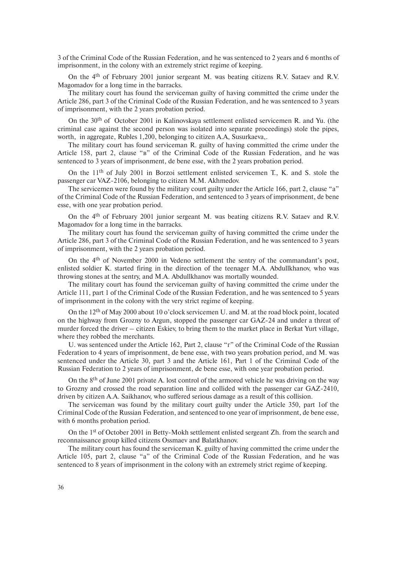3 of the Criminal Code of the Russian Federation, and he was sentenced to 2 years and 6 months of imprisonment, in the colony with an extremely strict regime of keeping.

On the 4th of February 2001 junior sergeant M. was beating citizens R.V. Sataev and R.V. Magomadov for a long time in the barracks.

The military court has found the serviceman guilty of having committed the crime under the Article 286, part 3 of the Criminal Code of the Russian Federation, and he was sentenced to 3 years of imprisonment, with the 2 years probation period.

On the 30th of October 2001 in Kalinovskaya settlement enlisted servicemen R. and Yu. (the criminal case against the second person was isolated into separate proceedings) stole the pipes, worth, in aggregate, Rubles 1,200, belonging to citizen A.A, Susurkaeva,.

The military court has found serviceman R. guilty of having committed the crime under the Article 158, part 2, clause "в" of the Criminal Code of the Russian Federation, and he was sentenced to 3 years of imprisonment, de bene esse, with the 2 years probation period.

On the 11th of July 2001 in Borzoi settlement enlisted servicemen T., K. and S. stole the passenger car VAZ-2106, belonging to citizen M.M. Akhmedov.

The servicemen were found by the military court guilty under the Article 166, part 2, clause "a" of the Criminal Code of the Russian Federation, and sentenced to 3 years of imprisonment, de bene esse, with one year probation period.

On the 4th of February 2001 junior sergeant M. was beating citizens R.V. Sataev and R.V. Magomadov for a long time in the barracks.

The military court has found the serviceman guilty of having committed the crime under the Article 286, part 3 of the Criminal Code of the Russian Federation, and he was sentenced to 3 years of imprisonment, with the 2 years probation period.

On the 4th of November 2000 in Vedeno settlement the sentry of the commandant's post, enlisted soldier K. started firing in the direction of the teenager M.A. Abdullkhanov, who was throwing stones at the sentry, and M.A. Abdullkhanov was mortally wounded.

The military court has found the serviceman guilty of having committed the crime under the Article 111, part 1 of the Criminal Code of the Russian Federation, and he was sentenced to 5 years of imprisonment in the colony with the very strict regime of keeping.

On the 12th of May 2000 about 10 o'clock servicemen U. and M. at the road block point, located on the highway from Grozny to Argun, stopped the passenger car GAZ-24 and under a threat of murder forced the driver – citizen Eskiev, to bring them to the market place in Berkat Yurt village, where they robbed the merchants.

U. was sentenced under the Article 162, Part 2, clause "г" of the Criminal Code of the Russian Federation to 4 years of imprisonment, de bene esse, with two years probation period, and M. was sentenced under the Article 30, part 3 and the Article 161, Part 1 of the Criminal Code of the Russian Federation to 2 years of imprisonment, de bene esse, with one year probation period.

On the  $8<sup>th</sup>$  of June 2001 private A. lost control of the armored vehicle he was driving on the way to Grozny and crossed the road separation line and collided with the passenger car GAZ-2410, driven by citizen A.A. Saikhanov, who suffered serious damage as a result of this collision.

The serviceman was found by the military court guilty under the Article 350, part 1of the Criminal Code of the Russian Federation, and sentenced to one year of imprisonment, de bene esse, with 6 months probation period.

On the 1st of October 2001 in Betty-Mokh settlement enlisted sergeant Zh. from the search and reconnaissance group killed citizens Ossmaev and Balatkhanov.

The military court has found the serviceman K. guilty of having committed the crime under the Article 105, part 2, clause "a" of the Criminal Code of the Russian Federation, and he was sentenced to 8 years of imprisonment in the colony with an extremely strict regime of keeping.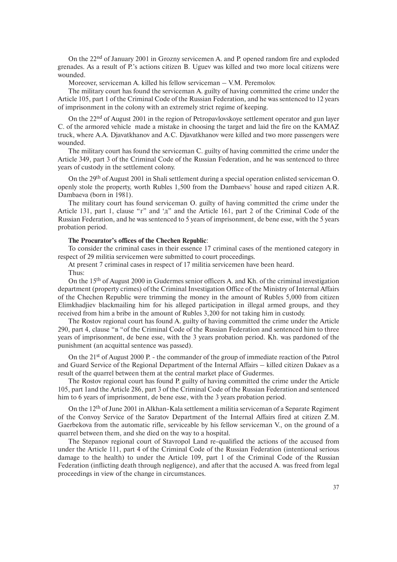On the 22nd of January 2001 in Grozny servicemen A. and P. opened random fire and exploded grenades. As a result of P.'s actions citizen B. Uguev was killed and two more local citizens were wounded.

Moreover, serviceman A. killed his fellow serviceman – V.M. Peremolov.

The military court has found the serviceman A. guilty of having committed the crime under the Article 105, part 1 of the Criminal Code of the Russian Federation, and he was sentenced to 12 years of imprisonment in the colony with an extremely strict regime of keeping.

On the 22nd of August 2001 in the region of Petropavlovskoye settlement operator and gun layer C. of the armored vehicle made a mistake in choosing the target and laid the fire on the KAMAZ truck, where A.A. Djavatkhanov and A.C. Djavatkhanov were killed and two more passengers were wounded.

The military court has found the serviceman C. guilty of having committed the crime under the Article 349, part 3 of the Criminal Code of the Russian Federation, and he was sentenced to three years of custody in the settlement colony.

On the 29th of August 2001 in Shali settlement during a special operation enlisted serviceman O. openly stole the property, worth Rubles 1,500 from the Dambaevs' house and raped citizen A.R. Dambaeva (born in 1981).

The military court has found serviceman O. guilty of having committed the crime under the Article 131, part 1, clause " $r$ " and ' $\pi$ " and the Article 161, part 2 of the Criminal Code of the Russian Federation, and he was sentenced to 5 years of imprisonment, de bene esse, with the 5 years probation period.

## **The Procurator's offices of the Chechen Republic**:

To consider the criminal cases in their essence 17 criminal cases of the mentioned category in respect of 29 militia servicemen were submitted to court proceedings.

At present 7 criminal cases in respect of 17 militia servicemen have been heard.

Thus:

On the 15th of August 2000 in Gudermes senior officers A. and Kh. of the criminal investigation department (property crimes) of the Criminal Investigation Office of the Ministry of Internal Affairs of the Chechen Republic were trimming the money in the amount of Rubles 5,000 from citizen Elimkhadjiev blackmailing him for his alleged participation in illegal armed groups, and they received from him a bribe in the amount of Rubles 3,200 for not taking him in custody.

The Rostov regional court has found A. guilty of having committed the crime under the Article 290, part 4, clause "в "of the Criminal Code of the Russian Federation and sentenced him to three years of imprisonment, de bene esse, with the 3 years probation period. Kh. was pardoned of the punishment (an acquittal sentence was passed).

On the  $21<sup>st</sup>$  of August 2000 P. - the commander of the group of immediate reaction of the Patrol and Guard Service of the Regional Department of the Internal Affairs – killed citizen Dakaev as a result of the quarrel between them at the central market place of Gudermes.

The Rostov regional court has found P. guilty of having committed the crime under the Article 105, part 1and the Article 286, part 3 of the Criminal Code of the Russian Federation and sentenced him to 6 years of imprisonment, de bene esse, with the 3 years probation period.

On the 12th of June 2001 in Alkhan-Kala settlement a militia serviceman of a Separate Regiment of the Convoy Service of the Saratov Department of the Internal Affairs fired at citizen Z.M. Gaerbekova from the automatic rifle, serviceable by his fellow serviceman V., on the ground of a quarrel between them, and she died on the way to a hospital.

The Stepanov regional court of Stavropol Land re-qualified the actions of the accused from under the Article 111, part 4 of the Criminal Code of the Russian Federation (intentional serious damage to the health) to under the Article 109, part 1 of the Criminal Code of the Russian Federation (inflicting death through negligence), and after that the accused A. was freed from legal proceedings in view of the change in circumstances.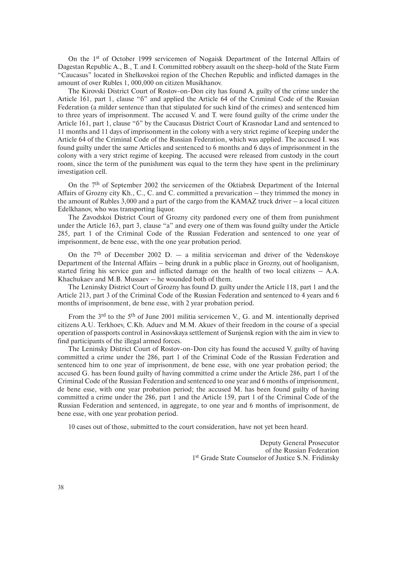On the 1st of October 1999 servicemen of Nogaisk Department of the Internal Affairs of Dagestan Republic A., B., T. and I. Committed robbery assault on the sheep-hold of the State Farm "Caucasus" located in Shelkovskoi region of the Chechen Republic and inflicted damages in the amount of over Rubles 1, 000,000 on citizen Musikhanov.

The Kirovski District Court of Rostov-on-Don city has found A. guilty of the crime under the Article 161, part 1, clause "б" and applied the Article 64 of the Criminal Code of the Russian Federation (a milder sentence than that stipulated for such kind of the crimes) and sentenced him to three years of imprisonment. The accused V. and T. were found guilty of the crime under the Article 161, part 1, clause "б" by the Caucasus District Court of Krasnodar Land and sentenced to 11 months and 11 days of imprisonment in the colony with a very strict regime of keeping under the Article 64 of the Criminal Code of the Russian Federation, which was applied. The accused I. was found guilty under the same Articles and sentenced to 6 months and 6 days of imprisonment in the colony with a very strict regime of keeping. The accused were released from custody in the court room, since the term of the punishment was equal to the term they have spent in the preliminary investigation cell.

On the 7th of September 2002 the servicemen of the Oktiabrsk Department of the Internal Affairs of Grozny city Kh., C., C. and C. committed a prevarication – they trimmed the money in the amount of Rubles 3,000 and a part of the cargo from the KAMAZ truck driver  $-$  a local citizen Edelkhanov, who was transporting liquor.

The Zavodskoi District Court of Grozny city pardoned every one of them from punishment under the Article 163, part 3, clause "a" and every one of them was found guilty under the Article 285, part 1 of the Criminal Code of the Russian Federation and sentenced to one year of imprisonment, de bene esse, with the one year probation period.

On the  $7<sup>th</sup>$  of December 2002 D.  $-$  a militia serviceman and driver of the Vedenskoye Department of the Internal Affairs – being drunk in a public place in Grozny, out of hooliganism, started firing his service gun and inflicted damage on the health of two local citizens  $-$  A.A. Khachukaev and M.B. Mussaev – he wounded both of them.

The Leninsky District Court of Grozny has found D. guilty under the Article 118, part 1 and the Article 213, part 3 of the Criminal Code of the Russian Federation and sentenced to 4 years and 6 months of imprisonment, de bene esse, with 2 year probation period.

From the 3<sup>rd</sup> to the 5<sup>th</sup> of June 2001 militia servicemen V., G. and M. intentionally deprived citizens A.U. Terkhoev, C.Kh. Aduev and M.M. Akuev of their freedom in the course of a special operation of passports control in Assinovskaya settlement of Sunjensk region with the aim in view to find participants of the illegal armed forces.

The Leninsky District Court of Rostov-on-Don city has found the accused V. guilty of having committed a crime under the 286, part 1 of the Criminal Code of the Russian Federation and sentenced him to one year of imprisonment, de bene esse, with one year probation period; the accused G. has been found guilty of having committed a crime under the Article 286, part 1 of the Criminal Code of the Russian Federation and sentenced to one year and 6 months of imprisonment, de bene esse, with one year probation period; the accused M. has been found guilty of having committed a crime under the 286, part 1 and the Article 159, part 1 of the Criminal Code of the Russian Federation and sentenced, in aggregate, to one year and 6 months of imprisonment, de bene esse, with one year probation period.

10 cases out of those, submitted to the court consideration, have not yet been heard.

Deputy General Prosecutor of the Russian Federation 1<sup>st</sup> Grade State Counselor of Justice S.N. Fridinsky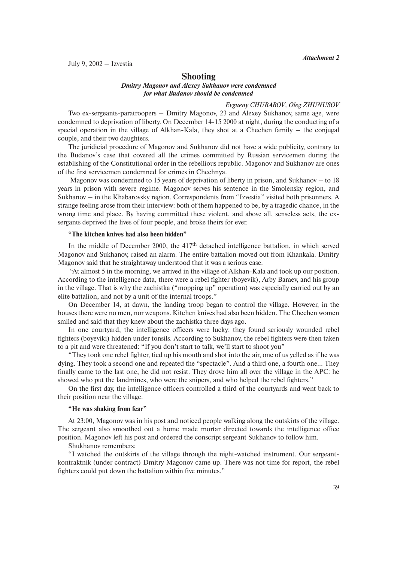*Attachment 2*

July 9, 2002 – Izvestia

# **Shooting**

# *Dmitry Magonov and Alexey Sukhanov were condemned for what Budanov should be condemned*

#### *Evgueny CHUBAROV, Oleg ZHUNUSOV*

Two ex-sergeants-paratroopers – Dmitry Magonov, 23 and Alexey Sukhanov, same age, were condemned to deprivation of liberty. On December 14-15 2000 at night, during the conducting of a special operation in the village of Alkhan-Kala, they shot at a Chechen family – the conjugal couple, and their two daughters.

The juridicial procedure of Magonov and Sukhanov did not have a wide publicity, contrary to the Budanov's case that covered all the crimes committed by Russian servicemen during the establishing of the Constitutional order in the rebellious republic. Magonov and Sukhanov are ones of the first servicemen condemned for crimes in Chechnya.

Magonov was condemned to 15 years of deprivation of liberty in prison, and Sukhanov – to 18 years in prison with severe regime. Magonov serves his sentence in the Smolensky region, and Sukhanov – in the Khabarovsky region. Correspondents from "Izvestia" visited both prisonners. A strange feeling arose from their interview: both of them happened to be, by a tragedic chance, in the wrong time and place. By having committed these violent, and above all, senseless acts, the exsergants deprived the lives of four people, and broke theirs for ever.

## **"The kitchen knives had also been hidden"**

In the middle of December 2000, the  $417<sup>th</sup>$  detached intelligence battalion, in which served Magonov and Sukhanov, raised an alarm. The entire battalion moved out from Khankala. Dmitry Magonov said that he straightaway understood that it was a serious case.

"At almost 5 in the morning, we arrived in the village of Alkhan-Kala and took up our position. According to the intelligence data, there were a rebel fighter (boyevik), Arby Baraev, and his group in the village. That is why the zachistka ("mopping up" operation) was especially carried out by an elite battalion, and not by a unit of the internal troops."

On December 14, at dawn, the landing troop began to control the village. However, in the houses there were no men, nor weapons. Kitchen knives had also been hidden. The Chechen women smiled and said that they knew about the zachistka three days ago.

In one courtyard, the intelligence officers were lucky: they found seriously wounded rebel fighters (boyeviki) hidden under tonsils. According to Sukhanov, the rebel fighters were then taken to a pit and were threatened: "If you don't start to talk, we'll start to shoot you"

"They took one rebel fighter, tied up his mouth and shot into the air, one of us yelled as if he was dying. They took a second one and repeated the "spectacle". And a third one, a fourth one… They finally came to the last one, he did not resist. They drove him all over the village in the APC: he showed who put the landmines, who were the snipers, and who helped the rebel fighters."

On the first day, the intelligence officers controlled a third of the courtyards and went back to their position near the village.

#### **"He was shaking from fear"**

At 23:00, Magonov was in his post and noticed people walking along the outskirts of the village. The sergeant also smoothed out a home made mortar directed towards the intelligence office position. Magonov left his post and ordered the conscript sergeant Sukhanov to follow him.

Shukhanov remembers:

"I watched the outskirts of the village through the night-watched instrument. Our sergeantkontraktnik (under contract) Dmitry Magonov came up. There was not time for report, the rebel fighters could put down the battalion within five minutes."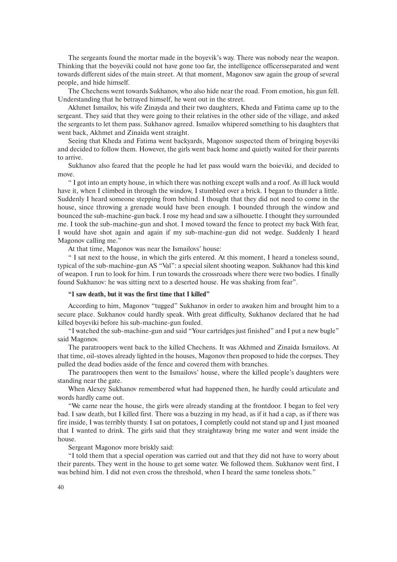The sergeants found the mortar made in the boyevik's way. There was nobody near the weapon. Thinking that the boyeviki could not have gone too far, the intelligence officersseparated and went towards different sides of the main street. At that moment, Magonov saw again the group of several people, and hide himself.

The Chechens went towards Sukhanov, who also hide near the road. From emotion, his gun fell. Understanding that he betrayed himself, he went out in the street.

Akhmet Ismailov, his wife Zinayda and their two daughters, Kheda and Fatima came up to the sergeant. They said that they were going to their relatives in the other side of the village, and asked the sergeants to let them pass. Sukhanov agreed. Ismailov whipered something to his daughters that went back, Akhmet and Zinaida went straight.

Seeing that Kheda and Fatima went backyards, Magonov suspected them of bringing boyeviki and decided to follow them. However, the girls went back home and quietly waited for their parents to arrive.

Sukhanov also feared that the people he had let pass would warn the boieviki, and decided to move.

" I got into an empty house, in which there was nothing except walls and a roof. As ill luck would have it, when I climbed in through the window, I stumbled over a brick. I began to thunder a little. Suddenly I heard someone stepping from behind. I thought that they did not need to come in the house, since throwing a grenade would have been enough. I bounded through the window and bounced the sub-machine-gun back. I rose my head and saw a silhouette. I thought they surrounded me. I took the sub-machine-gun and shot. I moved toward the fence to protect my back With fear, I would have shot again and again if my sub-machine-gun did not wedge. Suddenly I heard Magonov calling me."

At that time, Magonov was near the Ismailovs' house:

" I sat next to the house, in which the girls entered. At this moment, I heard a toneless sound, typical of the sub-machine-gun AS "Val": a special silent shooting weapon. Sukhanov had this kind of weapon. I run to look for him. I run towards the crossroads where there were two bodies. I finally found Sukhanov: he was sitting next to a deserted house. He was shaking from fear".

#### **"I saw death, but it was the first time that I killed"**

According to him, Magonov "tugged" Sukhanov in order to awaken him and brought him to a secure place. Sukhanov could hardly speak. With great difficulty, Sukhanov declared that he had killed boyeviki before his sub-machine-gun fouled.

"I watched the sub-machine-gun and said "Your cartridges just finished" and I put a new bugle" said Magonov.

The paratroopers went back to the killed Chechens. It was Akhmed and Zinaida Ismailovs. At that time, oil-stoves already lighted in the houses, Magonov then proposed to hide the corpses. They pulled the dead bodies aside of the fence and covered them with branches.

The paratroopers then went to the Ismailovs' house, where the killed people's daughters were standing near the gate.

When Alexey Sukhanov remembered what had happened then, he hardly could articulate and words hardly came out.

"We came near the house, the girls were already standing at the frontdoor. I began to feel very bad. I saw death, but I killed first. There was a buzzing in my head, as if it had a cap, as if there was fire inside, I was terribly thursty. I sat on potatoes, I completly could not stand up and I just moaned that I wanted to drink. The girls said that they straightaway bring me water and went inside the house.

Sergeant Magonov more briskly said:

"I told them that a special operation was carried out and that they did not have to worry about their parents. They went in the house to get some water. We followed them. Sukhanov went first, I was behind him. I did not even cross the threshold, when I heard the same toneless shots."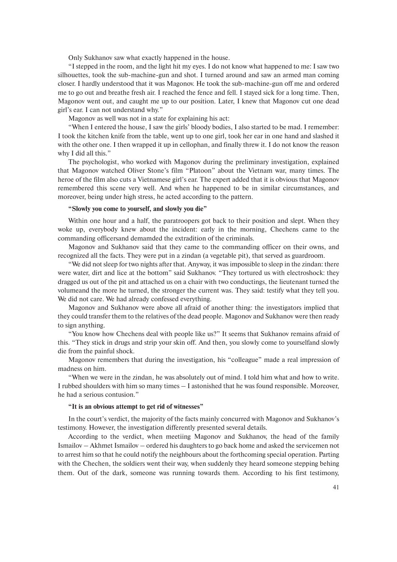Only Sukhanov saw what exactly happened in the house.

"I stepped in the room, and the light hit my eyes. I do not know what happened to me: I saw two silhouettes, took the sub-machine-gun and shot. I turned around and saw an armed man coming closer. I hardly understood that it was Magonov. He took the sub-machine-gun off me and ordered me to go out and breathe fresh air. I reached the fence and fell. I stayed sick for a long time. Then, Magonov went out, and caught me up to our position. Later, I knew that Magonov cut one dead girl's ear. I can not understand why."

Magonov as well was not in a state for explaining his act:

"When I entered the house, I saw the girls' bloody bodies, I also started to be mad. I remember: I took the kitchen knife from the table, went up to one girl, took her ear in one hand and slashed it with the other one. I then wrapped it up in cellophan, and finally threw it. I do not know the reason why I did all this."

The psychologist, who worked with Magonov during the preliminary investigation, explained that Magonov watched Oliver Stone's film "Platoon" about the Vietnam war, many times. The heroe of the film also cuts a Vietnamese girl's ear. The expert added that it is obvious that Magonov remembered this scene very well. And when he happened to be in similar circumstances, and moreover, being under high stress, he acted according to the pattern.

# **"Slowly you come to yourself, and slowly you die"**

Within one hour and a half, the paratroopers got back to their position and slept. When they woke up, everybody knew about the incident: early in the morning, Chechens came to the commanding officersand demamded the extradition of the criminals.

Magonov and Sukhanov said that they came to the commanding officer on their owns, and recognized all the facts. They were put in a zindan (a vegetable pit), that served as guardroom.

"We did not sleep for two nights after that. Anyway, it was impossible to sleep in the zindan: there were water, dirt and lice at the bottom" said Sukhanov. "They tortured us with electroshock: they dragged us out of the pit and attached us on a chair with two conductings, the lieutenant turned the volumeand the more he turned, the stronger the current was. They said: testify what they tell you. We did not care. We had already confessed everything.

Magonov and Sukhanov were above all afraid of another thing: the investigators implied that they could transfer them to the relatives of the dead people. Magonov and Sukhanov were then ready to sign anything.

"You know how Chechens deal with people like us?" It seems that Sukhanov remains afraid of this. "They stick in drugs and strip your skin off. And then, you slowly come to yourselfand slowly die from the painful shock.

Magonov remembers that during the investigation, his "colleague" made a real impression of madness on him.

"When we were in the zindan, he was absolutely out of mind. I told him what and how to write. I rubbed shoulders with him so many times – I astonished that he was found responsible. Moreover, he had a serious contusion."

#### **"It is an obvious attempt to get rid of witnesses"**

In the court's verdict, the majority of the facts mainly concurred with Magonov and Sukhanov's testimony. However, the investigation differently presented several details.

According to the verdict, when meetiing Magonov and Sukhanov, the head of the family Ismailov – Akhmet Ismailov – ordered his daughters to go back home and asked the servicemen not to arrest him so that he could notify the neighbours about the forthcoming special operation. Parting with the Chechen, the soldiers went their way, when suddenly they heard someone stepping behing them. Out of the dark, someone was running towards them. According to his first testimony,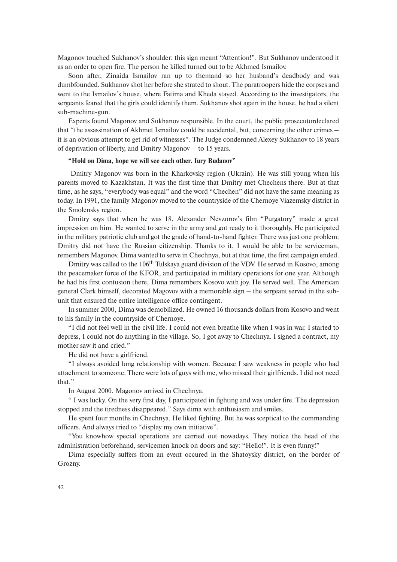Magonov touched Sukhanov's shoulder: this sign meant "Attention!". But Sukhanov understood it as an order to open fire. The person he killed turned out to be Akhmed Ismailov.

Soon after, Zinaida Ismailov ran up to themand so her husband's deadbody and was dumbfounded. Sukhanov shot her before she strated to shout. The paratroopers hide the corpses and went to the Ismailov's house, where Fatima and Kheda stayed. According to the investigators, the sergeants feared that the girls could identify them. Sukhanov shot again in the house, he had a silent sub-machine-gun.

Experts found Magonov and Sukhanov responsible. In the court, the public prosecutordeclared that "the assassination of Akhmet Ismailov could be accidental, but, concerning the other crimes – it is an obvious attempt to get rid of witnesses". The Judge condemned Alexey Sukhanov to 18 years of deprivation of liberty, and Dmitry Magonov – to 15 years.

#### **"Hold on Dima, hope we will see each other. Iury Budanov"**

Dmitry Magonov was born in the Kharkovsky region (Ukrain). He was still young when his parents moved to Kazakhstan. It was the first time that Dmitry met Chechens there. But at that time, as he says, "everybody was equal" and the word "Chechen" did not have the same meaning as today. In 1991, the family Magonov moved to the countryside of the Chernoye Viazemsky district in the Smolensky region.

Dmitry says that when he was 18, Alexander Nevzorov's film "Purgatory" made a great impression on him. He wanted to serve in the army and got ready to it thoroughly. He participated in the military patriotic club and got the grade of hand-to-hand fighter. There was just one problem: Dmitry did not have the Russian citizenship. Thanks to it, I would be able to be serviceman, remembers Magonov. Dima wanted to serve in Chechnya, but at that time, the first campaign ended.

Dmitry was called to the 106<sup>th</sup> Tulskaya guard division of the VDV. He served in Kosovo, among the peacemaker force of the KFOR, and participated in military operations for one year. Although he had his first contusion there, Dima remembers Kosovo with joy. He served well. The American general Clark himself, decorated Magovov with a memorable sign – the sergeant served in the subunit that ensured the entire intelligence office contingent.

In summer 2000, Dima was demobilized. He owned 16 thousands dollars from Kosovo and went to his family in the countryside of Chernoye.

"I did not feel well in the civil life. I could not even breathe like when I was in war. I started to depress, I could not do anything in the village. So, I got away to Chechnya. I signed a contract, my mother saw it and cried."

He did not have a girlfriend.

"I always avoided long relationship with women. Because I saw weakness in people who had attachment to someone. There were lots of guys with me, who missed their girlfriends. I did not need that."

In August 2000, Magonov arrived in Chechnya.

" I was lucky. On the very first day, I participated in fighting and was under fire. The depression stopped and the tiredness disappeared." Says dima with enthusiasm and smiles.

He spent four months in Chechnya. He liked fighting. But he was sceptical to the commanding officers. And always tried to "display my own initiative".

"You knowhow special operations are carried out nowadays. They notice the head of the administration beforehand, servicemen knock on doors and say: "Hello!". It is even funny!"

Dima especially suffers from an event occured in the Shatoysky district, on the border of Grozny.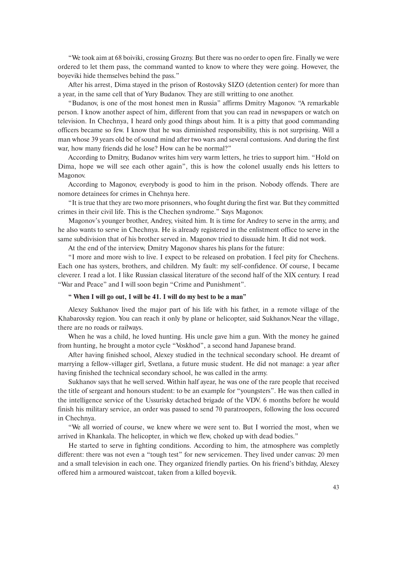"We took aim at 68 boiviki, crossing Grozny. But there was no order to open fire. Finally we were ordered to let them pass, the command wanted to know to where they were going. However, the boyeviki hide themselves behind the pass."

After his arrest, Dima stayed in the prison of Rostovsky SIZO (detention center) for more than a year, in the same cell that of Yury Budanov. They are still writting to one another.

"Budanov, is one of the most honest men in Russia" affirms Dmitry Magonov. "A remarkable person. I know another aspect of him, different from that you can read in newspapers or watch on television. In Chechnya, I heard only good things about him. It is a pitty that good commanding officers became so few. I know that he was diminished responsibility, this is not surprising. Will a man whose 39 years old be of sound mind after two wars and several contusions. And during the first war, how many friends did he lose? How can he be normal?"

According to Dmitry, Budanov writes him very warm letters, he tries to support him. "Hold on Dima, hope we will see each other again", this is how the colonel usually ends his letters to Magonov.

According to Magonov, everybody is good to him in the prison. Nobody offends. There are nomore detainees for crimes in Chehnya here.

"It is true that they are two more prisonners, who fought during the first war. But they committed crimes in their civil life. This is the Chechen syndrome." Says Magonov.

Magonov's younger brother, Andrey, visited him. It is time for Andrey to serve in the army, and he also wants to serve in Chechnya. He is already registered in the enlistment office to serve in the same subdivision that of his brother served in. Magonov tried to dissuade him. It did not work.

At the end of the interview, Dmitry Magonov shares his plans for the future:

"I more and more wish to live. I expect to be released on probation. I feel pity for Chechens. Each one has systers, brothers, and children. My fault: my self-confidence. Of course, I became cleverer. I read a lot. I like Russian classical literature of the second half of the XIX century. I read "War and Peace" and I will soon begin "Crime and Punishment".

## **" When I will go out, I will be 41. I will do my best to be a man"**

Alexey Sukhanov lived the major part of his life with his father, in a remote village of the Khabarovsky region. You can reach it only by plane or helicopter, said Sukhanov.Near the village, there are no roads or railways.

When he was a child, he loved hunting. His uncle gave him a gun. With the money he gained from hunting, he brought a motor cycle "Voskhod", a second hand Japanese brand.

After having finished school, Alexey studied in the technical secondary school. He dreamt of marrying a fellow-villager girl, Svetlana, a future music student. He did not manage: a year after having finished the technical secondary school, he was called in the army.

Sukhanov says that he well served. Within half ayear, he was one of the rare people that received the title of sergeant and honours student: to be an example for "youngsters". He was then called in the intelligence service of the Ussurisky detached brigade of the VDV. 6 months before he would finish his military service, an order was passed to send 70 paratroopers, following the loss occured in Chechnya.

"We all worried of course, we knew where we were sent to. But I worried the most, when we arrived in Khankala. The helicopter, in which we flew, choked up with dead bodies."

He started to serve in fighting conditions. According to him, the atmosphere was completly different: there was not even a "tough test" for new servicemen. They lived under canvas: 20 men and a small television in each one. They organized friendly parties. On his friend's bithday, Alexey offered him a armoured waistcoat, taken from a killed boyevik.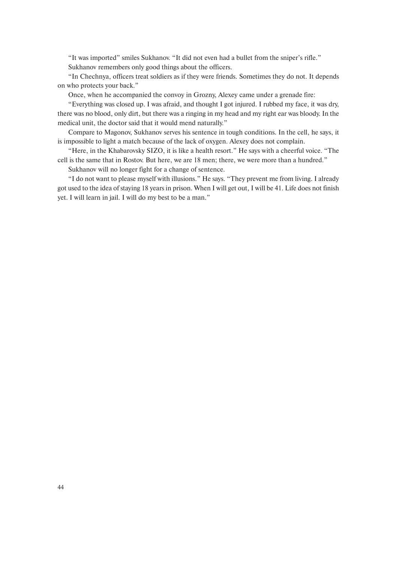"It was imported" smiles Sukhanov. "It did not even had a bullet from the sniper's rifle." Sukhanov remembers only good things about the officers.

"In Chechnya, officers treat soldiers as if they were friends. Sometimes they do not. It depends on who protects your back."

Once, when he accompanied the convoy in Grozny, Alexey came under a grenade fire:

"Everything was closed up. I was afraid, and thought I got injured. I rubbed my face, it was dry, there was no blood, only dirt, but there was a ringing in my head and my right ear was bloody. In the medical unit, the doctor said that it would mend naturally."

Compare to Magonov, Sukhanov serves his sentence in tough conditions. In the cell, he says, it is impossible to light a match because of the lack of oxygen. Alexey does not complain.

"Here, in the Khabarovsky SIZO, it is like a health resort." He says with a cheerful voice. "The cell is the same that in Rostov. But here, we are 18 men; there, we were more than a hundred."

Sukhanov will no longer fight for a change of sentence.

"I do not want to please myself with illusions." He says. "They prevent me from living. I already got used to the idea of staying 18 years in prison. When I will get out, I will be 41. Life does not finish yet. I will learn in jail. I will do my best to be a man."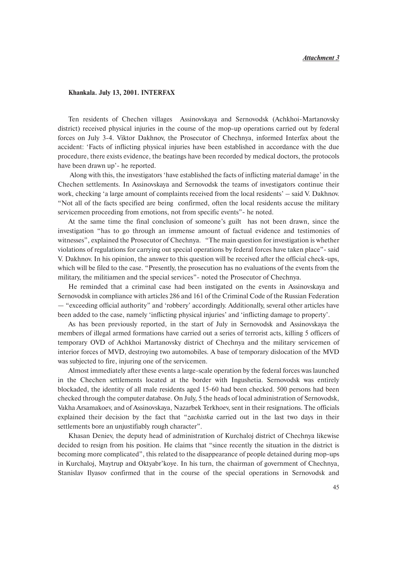# **Khankala. July 13, 2001. INTERFAX**

Ten residents of Chechen villages Assinovskaya and Sernovodsk (Achkhoi-Martanovsky district) received physical injuries in the course of the mop-up operations carried out by federal forces on July 3-4. Viktor Dakhnov, the Prosecutor of Chechnya, informed Interfax about the accident: 'Facts of inflicting physical injuries have been established in accordance with the due procedure, there exists evidence, the beatings have been recorded by medical doctors, the protocols have been drawn up'- he reported.

Along with this, the investigators 'have established the facts of inflicting material damage' in the Chechen settlements. In Assinovskaya and Sernovodsk the teams of investigators continue their work, checking 'a large amount of complaints received from the local residents' – said V. Dakhnov. "Not all of the facts specified are being confirmed, often the local residents accuse the military servicemen proceeding from emotions, not from specific events"- he noted.

At the same time the final conclusion of someone's guilt has not been drawn, since the investigation "has to go through an immense amount of factual evidence and testimonies of witnesses", explained the Prosecutor of Chechnya. "The main question for investigation is whether violations of regulations for carrying out special operations by federal forces have taken place"- said V. Dakhnov. In his opinion, the answer to this question will be received after the official check-ups, which will be filed to the case. "Presently, the prosecution has no evaluations of the events from the military, the militiamen and the special services"- noted the Prosecutor of Chechnya.

He reminded that a criminal case had been instigated on the events in Assinovskaya and Sernovodsk in compliance with articles 286 and 161 of the Criminal Code of the Russian Federation — "exceeding official authority" and 'robbery' accordingly. Additionally, several other articles have been added to the case, namely 'inflicting physical injuries' and 'inflicting damage to property'.

As has been previously reported, in the start of July in Sernovodsk and Assinovskaya the members of illegal armed formations have carried out a series of terrorist acts, killing 5 officers of temporary OVD of Achkhoi Martanovsky district of Chechnya and the military servicemen of interior forces of MVD, destroying two automobiles. A base of temporary dislocation of the MVD was subjected to fire, injuring one of the servicemen.

Almost immediately after these events a large-scale operation by the federal forces was launched in the Chechen settlements located at the border with Ingushetia. Sernovodsk was entirely blockaded, the identity of all male residents aged 15-60 had been checked. 500 persons had been checked through the computer database. On July, 5 the heads of local administration of Sernovodsk, Vakha Arsamakoev, and of Assinovskaya, Nazarbek Terkhoev, sent in their resignations. The officials explained their decision by the fact that "*zachistka* carried out in the last two days in their settlements bore an unjustifiably rough character".

Khasan Deniev, the deputy head of administration of Kurchaloj district of Chechnya likewise decided to resign from his position. He claims that "since recently the situation in the district is becoming more complicated", this related to the disappearance of people detained during mop-ups in Kurchaloj, Maytrup and Oktyabr'koye. In his turn, the chairman of government of Chechnya, Stanislav Ilyasov confirmed that in the course of the special operations in Sernovodsk and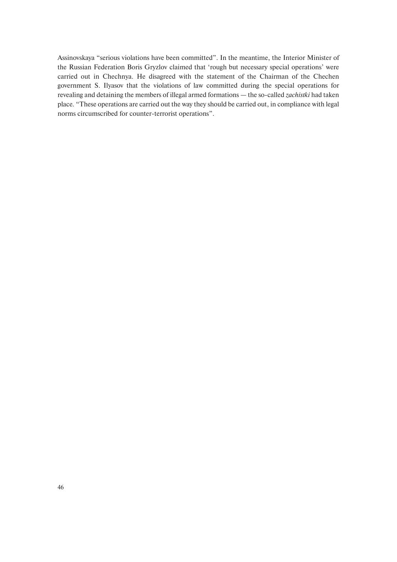Assinovskaya "serious violations have been committed". In the meantime, the Interior Minister of the Russian Federation Boris Gryzlov claimed that 'rough but necessary special operations' were carried out in Chechnya. He disagreed with the statement of the Chairman of the Chechen government S. Ilyasov that the violations of law committed during the special operations for revealing and detaining the members of illegal armed formations — the so-called *zachistki* had taken place*.* "These operations are carried out the way they should be carried out, in compliance with legal norms circumscribed for counter-terrorist operations".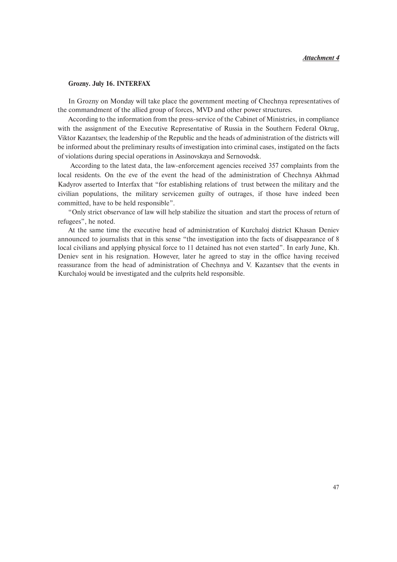# **Grozny. July 16. INTERFAX**

In Grozny on Monday will take place the government meeting of Chechnya representatives of the commandment of the allied group of forces, MVD and other power structures.

According to the information from the press-service of the Cabinet of Ministries, in compliance with the assignment of the Executive Representative of Russia in the Southern Federal Okrug, Viktor Kazantsev, the leadership of the Republic and the heads of administration of the districts will be informed about the preliminary results of investigation into criminal cases, instigated on the facts of violations during special operations in Assinovskaya and Sernovodsk.

According to the latest data, the law-enforcement agencies received 357 complaints from the local residents. On the eve of the event the head of the administration of Chechnya Akhmad Kadyrov asserted to Interfax that "for establishing relations of trust between the military and the civilian populations, the military servicemen guilty of outrages, if those have indeed been committed, have to be held responsible".

"Only strict observance of law will help stabilize the situation and start the process of return of refugees", he noted.

At the same time the executive head of administration of Kurchaloj district Khasan Deniev announced to journalists that in this sense "the investigation into the facts of disappearance of 8 local civilians and applying physical force to 11 detained has not even started". In early June, Kh. Deniev sent in his resignation. However, later he agreed to stay in the office having received reassurance from the head of administration of Chechnya and V. Kazantsev that the events in Kurchaloj would be investigated and the culprits held responsible.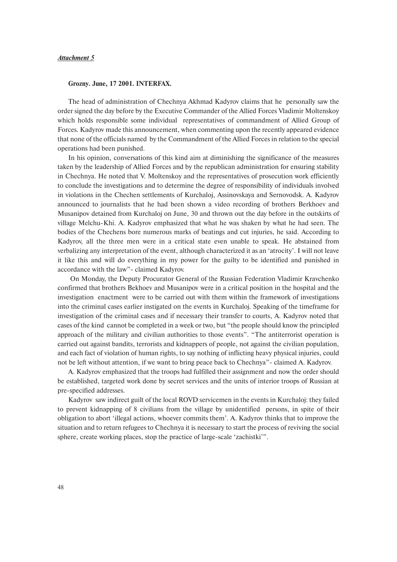# *Attachment 5*

## **Grozny. June, 17 2001. INTERFAX.**

The head of administration of Chechnya Akhmad Kadyrov claims that he personally saw the order signed the day before by the Executive Commander of the Allied Forces Vladimir Moltenskoy which holds responsible some individual representatives of commandment of Allied Group of Forces. Kadyrov made this announcement, when commenting upon the recently appeared evidence that none of the officials named by the Commandment of the Allied Forces in relation to the special operations had been punished.

In his opinion, conversations of this kind aim at diminishing the significance of the measures taken by the leadership of Allied Forces and by the republican administration for ensuring stability in Chechnya. He noted that V. Moltenskoy and the representatives of prosecution work efficiently to conclude the investigations and to determine the degree of responsibility of individuals involved in violations in the Chechen settlements of Kurchaloj, Assinovskaya and Sernovodsk. A. Kadyrov announced to journalists that he had been shown a video recording of brothers Berkhoev and Musanipov detained from Kurchaloj on June, 30 and thrown out the day before in the outskirts of village Melchu-Khi. A. Kadyrov emphasized that what he was shaken by what he had seen. The bodies of the Chechens bore numerous marks of beatings and cut injuries, he said. According to Kadyrov, all the three men were in a critical state even unable to speak. He abstained from verbalizing any interpretation of the event, although characterized it as an 'atrocity'. I will not leave it like this and will do everything in my power for the guilty to be identified and punished in accordance with the law"- claimed Kadyrov.

On Monday, the Deputy Procurator General of the Russian Federation Vladimir Kravchenko confirmed that brothers Bekhoev and Musanipov were in a critical position in the hospital and the investigation enactment were to be carried out with them within the framework of investigations into the criminal cases earlier instigated on the events in Kurchaloj. Speaking of the timeframe for investigation of the criminal cases and if necessary their transfer to courts, A. Kadyrov noted that cases of the kind cannot be completed in a week or two, but "the people should know the principled approach of the military and civilian authorities to those events". "The antiterrorist operation is carried out against bandits, terrorists and kidnappers of people, not against the civilian population, and each fact of violation of human rights, to say nothing of inflicting heavy physical injuries, could not be left without attention, if we want to bring peace back to Chechnya"- claimed A. Kadyrov.

A. Kadyrov emphasized that the troops had fulfilled their assignment and now the order should be established, targeted work done by secret services and the units of interior troops of Russian at pre-specified addresses.

Kadyrov saw indirect guilt of the local ROVD servicemen in the events in Kurchaloj: they failed to prevent kidnapping of 8 civilians from the village by unidentified persons, in spite of their obligation to abort 'illegal actions, whoever commits them'. A. Kadyrov thinks that to improve the situation and to return refugees to Chechnya it is necessary to start the process of reviving the social sphere, create working places, stop the practice of large-scale 'zachistki'".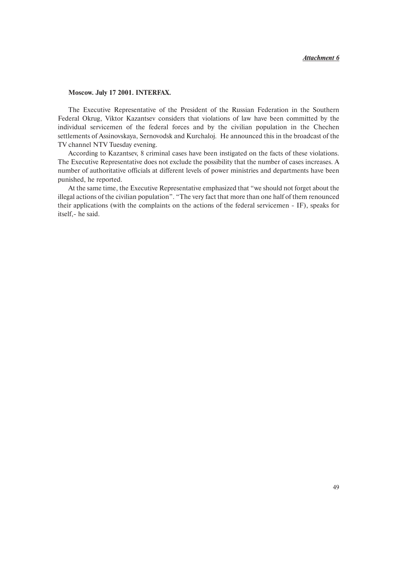# **Moscow. July 17 2001. INTERFAX.**

The Executive Representative of the President of the Russian Federation in the Southern Federal Okrug, Viktor Kazantsev considers that violations of law have been committed by the individual servicemen of the federal forces and by the civilian population in the Chechen settlements of Assinovskaya, Sernovodsk and Kurchaloj. He announced this in the broadcast of the TV channel NTV Tuesday evening.

According to Kazantsev, 8 criminal cases have been instigated on the facts of these violations. The Executive Representative does not exclude the possibility that the number of cases increases. A number of authoritative officials at different levels of power ministries and departments have been punished, he reported.

At the same time, the Executive Representative emphasized that "we should not forget about the illegal actions of the civilian population". "The very fact that more than one half of them renounced their applications (with the complaints on the actions of the federal servicemen - IF), speaks for itself,- he said.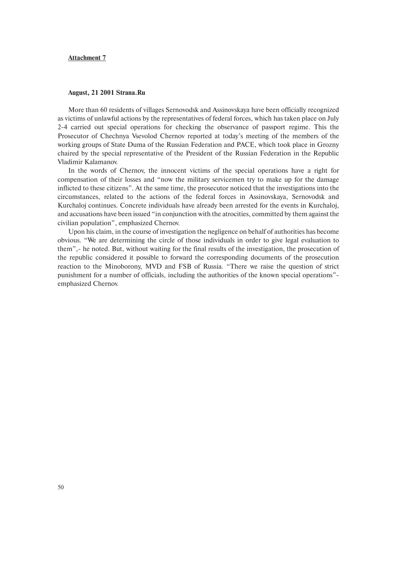# **Attachment 7**

#### **August, 21 2001 Strana.Ru**

More than 60 residents of villages Sernovodsk and Assinovskaya have been officially recognized as victims of unlawful actions by the representatives of federal forces, which has taken place on July 2-4 carried out special operations for checking the observance of passport regime. This the Prosecutor of Chechnya Vsevolod Chernov reported at today's meeting of the members of the working groups of State Duma of the Russian Federation and PACE, which took place in Grozny chaired by the special representative of the President of the Russian Federation in the Republic Vladimir Kalamanov.

In the words of Chernov, the innocent victims of the special operations have a right for compensation of their losses and "now the military servicemen try to make up for the damage inflicted to these citizens". At the same time, the prosecutor noticed that the investigations into the circumstances, related to the actions of the federal forces in Assinovskaya, Sernovodsk and Kurchaloj continues. Concrete individuals have already been arrested for the events in Kurchaloj, and accusations have been issued "in conjunction with the atrocities, committed by them against the civilian population", emphasized Chernov.

Upon his claim, in the course of investigation the negligence on behalf of authorities has become obvious. "We are determining the circle of those individuals in order to give legal evaluation to them",- he noted. But, without waiting for the final results of the investigation, the prosecution of the republic considered it possible to forward the corresponding documents of the prosecution reaction to the Minoborony, MVD and FSB of Russia. "There we raise the question of strict punishment for a number of officials, including the authorities of the known special operations" emphasized Chernov.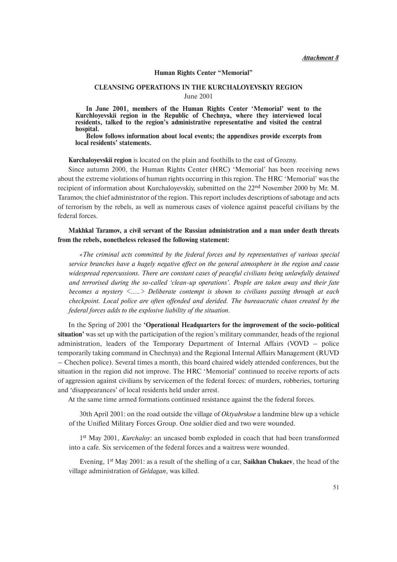*Attachment 8*

#### **Human Rights Center "Memorial"**

# **CLEANSING OPERATIONS IN THE KURCHALOYEVSKIY REGION**

June 2001

**In June 2001, members of the Human Rights Center 'Memorial' went to the Kurchloyevskii region in the Republic of Chechnya, where they interviewed local residents, talked to the region's administrative representative and visited the central hospital.**

**Below follows information about local events; the appendixes provide excerpts from local residents' statements.** 

**Kurchaloyevskii region** is located on the plain and foothills to the east of Grozny.

Since autumn 2000, the Human Rights Center (HRC) 'Memorial' has been receiving news about the extreme violations of human rights occurring in this region. The HRC 'Memorial' was the recipient of information about Kurchaloyevskiy, submitted on the 22nd November 2000 by Mr. M. Taramov, the chief administrator of the region. This report includes descriptions of sabotage and acts of terrorism by the rebels, as well as numerous cases of violence against peaceful civilians by the federal forces.

**Makhkal Taramov, a civil servant of the Russian administration and a man under death threats from the rebels, nonetheless released the following statement:**

*«The criminal acts committed by the federal forces and by representatives of various special service branches have a hugely negative effect on the general atmosphere in the region and cause widespread repercussions. There are constant cases of peaceful civilians being unlawfully detained and terrorised during the so-called 'clean-up operations'. People are taken away and their fate becomes a mystery <…..> Deliberate contempt is shown to civilians passing through at each checkpoint. Local police are often offended and derided. The bureaucratic chaos created by the federal forces adds to the explosive liability of the situation.*

In the Spring of 2001 the **'Operational Headquarters for the improvement of the socio-political situation'** was set up with the participation of the region's military commander, heads of the regional administration, leaders of the Temporary Department of Internal Affairs (VOVD – police temporarily taking command in Chechnya) and the Regional Internal Affairs Management (RUVD – Chechen police). Several times a month, this board chaired widely attended conferences, but the situation in the region did not improve. The HRC 'Memorial' continued to receive reports of acts of aggression against civilians by servicemen of the federal forces: of murders, robberies, torturing and 'disappearances' of local residents held under arrest.

At the same time armed formations continued resistance against the the federal forces.

30th April 2001: on the road outside the village of *Oktyabrskoe* a landmine blew up a vehicle of the Unified Military Forces Group. One soldier died and two were wounded.

1st May 2001, *Kurchaloy*: an uncased bomb exploded in coach that had been transformed into a cafe. Six servicemen of the federal forces and a waitress were wounded.

Evening, 1<sup>st</sup> May 2001: as a result of the shelling of a car, **Saikhan Chukaev**, the head of the village administration of *Geldagan*, was killed.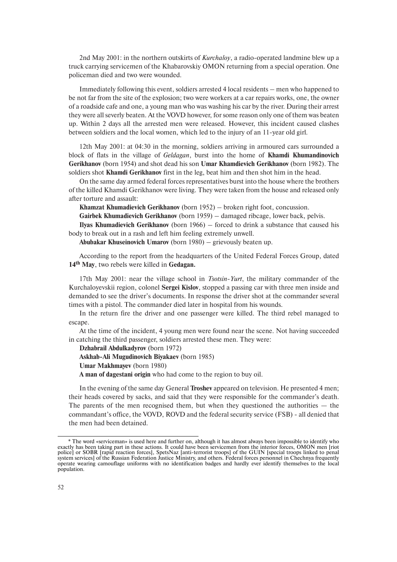2nd May 2001: in the northern outskirts of *Kurchaloy*, a radio-operated landmine blew up a truck carrying servicemen of the Khabarovskiy OMON returning from a special operation. One policeman died and two were wounded.

Immediately following this event, soldiers arrested 4 local residents – men who happened to be not far from the site of the explosion; two were workers at a car repairs works, one, the owner of a roadside cafe and one, a young man who was washing his car by the river. During their arrest they were all severly beaten. At the VOVD however, for some reason only one of them was beaten up. Within 2 days all the arrested men were released. However, this incident caused clashes between soldiers and the local women, which led to the injury of an 11-year old girl*.*

12th May 2001: at 04:30 in the morning, soldiers arriving in armoured cars surrounded a block of flats in the village of *Geldagan*, burst into the home of **Khamdi Khumandinovich Gerikhanov** (born 1954) and shot dead his son **Umar Khamdievich Gerikhanov** (born 1982). The soldiers shot **Khamdi Gerikhanov** first in the leg, beat him and then shot him in the head.

On the same day armed federal forces representatives burst into the house where the brothers of the killed Khamdi Gerikhanov were living. They were taken from the house and released only after torture and assault:

**Khamzat Khumadievich Gerikhanov** (born 1952) – broken right foot, concussion.

**Gairbek Khumadievich Gerikhanov** (born 1959) – damaged ribcage, lower back, pelvis.

**Ilyas Khumadievich Gerikhanov** (born 1966) – forced to drink a substance that caused his body to break out in a rash and left him feeling extremely unwell.

**Abubakar Khuseinovich Umarov** (born 1980) – grievously beaten up.

According to the report from the headquarters of the United Federal Forces Group, dated **14th May**, two rebels were killed in **Gedagan.**

17th May 2001: near the village school in *Tsotsin-Yurt*, the military commander of the Kurchaloyevskii region, colonel **Sergei Kislov**, stopped a passing car with three men inside and demanded to see the driver's documents. In response the driver shot at the commander several times with a pistol. The commander died later in hospital from his wounds.

In the return fire the driver and one passenger were killed. The third rebel managed to escape.

At the time of the incident, 4 young men were found near the scene. Not having succeeded in catching the third passenger, soldiers arrested these men. They were:

**Dzhabrail Abdulkadyrov** (born 1972)

**Askhab-Ali Mugudinovich Biyakaev** (born 1985) **Umar Makhmayev** (born 1980)

**A man of dagestani origin** who had come to the region to buy oil.

In the evening of the same day General **Troshev** appeared on television. He presented 4 men; their heads covered by sacks, and said that they were responsible for the commander's death. The parents of the men recognised them, but when they questioned the authorities — the commandant's office, the VOVD, ROVD and the federal security service (FSB) - all denied that the men had been detained.

<sup>\*</sup> The word «serviceman» is used here and further on, although it has almost always been impossible to identify who exactly has been taking part in these actions. It could have been servicemen from the interior forces, OMON men [riot police] or SOBR [rapid reaction forces], SpetsNaz [anti-terrorist troops] of the GUIN [special troops linked to penal system services] of the Russian Federation Justice Ministry, and others. Federal forces personnel in Chechnya frequently operate wearing camouflage uniforms with no identification badges and hardly ever identify themselves to the local population.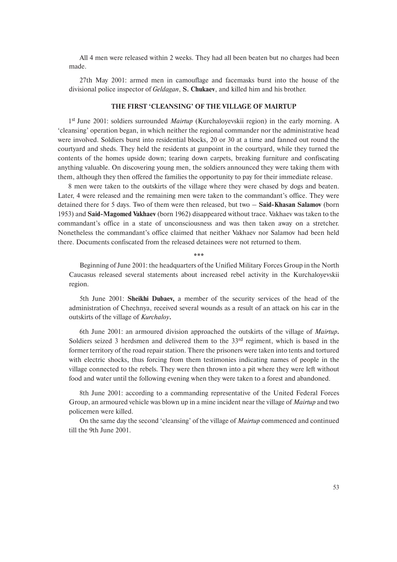All 4 men were released within 2 weeks. They had all been beaten but no charges had been made.

27th May 2001: armed men in camouflage and facemasks burst into the house of the divisional police inspector of *Geldagan*, **S. Chukaev**, and killed him and his brother.

# **THE FIRST 'CLEANSING' OF THE VILLAGE OF MAIRTUP**

1st June 2001: soldiers surrounded *Mairtup* (Kurchaloyevskii region) in the early morning. A 'cleansing' operation began, in which neither the regional commander nor the administrative head were involved. Soldiers burst into residential blocks, 20 or 30 at a time and fanned out round the courtyard and sheds. They held the residents at gunpoint in the courtyard, while they turned the contents of the homes upside down; tearing down carpets, breaking furniture and confiscating anything valuable. On discovering young men, the soldiers announced they were taking them with them, although they then offered the families the opportunity to pay for their immediate release.

8 men were taken to the outskirts of the village where they were chased by dogs and beaten. Later, 4 were released and the remaining men were taken to the commandant's office. They were detained there for 5 days. Two of them were then released, but two – **Said-Khasan Salamov** (born 1953) and **Said-Magomed Vakhaev** (born 1962) disappeared without trace. Vakhaev was taken to the commandant's office in a state of unconsciousness and was then taken away on a stretcher. Nonetheless the commandant's office claimed that neither Vakhaev nor Salamov had been held there. Documents confiscated from the released detainees were not returned to them.

*\*\*\**

Beginning of June 2001: the headquarters of the Unified Military Forces Group in the North Caucasus released several statements about increased rebel activity in the Kurchaloyevskii region.

5th June 2001: **Sheikhi Dubaev,** a member of the security services of the head of the administration of Chechnya, received several wounds as a result of an attack on his car in the outskirts of the village of *Kurchaloy***.**

6th June 2001: an armoured division approached the outskirts of the village of *Mairtup***.** Soldiers seized 3 herdsmen and delivered them to the  $33<sup>rd</sup>$  regiment, which is based in the former territory of the road repair station. There the prisoners were taken into tents and tortured with electric shocks, thus forcing from them testimonies indicating names of people in the village connected to the rebels. They were then thrown into a pit where they were left without food and water until the following evening when they were taken to a forest and abandoned.

8th June 2001: according to a commanding representative of the United Federal Forces Group, an armoured vehicle was blown up in a mine incident near the village of *Mairtup* and two policemen were killed.

On the same day the second 'cleansing' of the village of *Mairtup* commenced and continued till the 9th June 2001.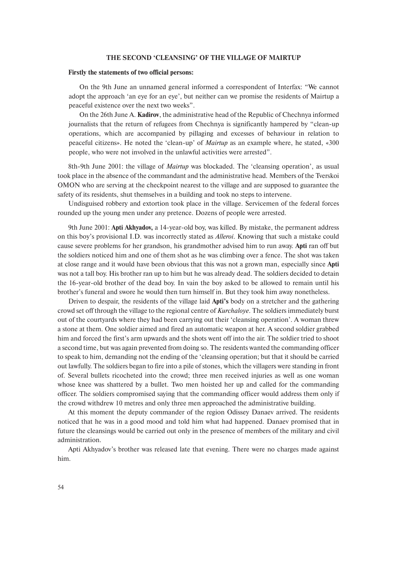#### **THE SECOND 'CLEANSING' OF THE VILLAGE OF MAIRTUP**

#### **Firstly the statements of two official persons:**

On the 9th June an unnamed general informed a correspondent of Interfax: "We cannot adopt the approach 'an eye for an eye', but neither can we promise the residents of Mairtup a peaceful existence over the next two weeks".

On the 26th June A. **Kadirov**, the administrative head of the Republic of Chechnya informed journalists that the return of refugees from Chechnya is significantly hampered by "clean-up operations, which are accompanied by pillaging and excesses of behaviour in relation to peaceful citizens». He noted the 'clean-up' of *Mairtup* as an example where, he stated, «300 people, who were not involved in the unlawful activities were arrested".

8th-9th June 2001: the village of *Mairtup* was blockaded. The 'cleansing operation', as usual took place in the absence of the commandant and the administrative head. Members of the Tverskoi OMON who are serving at the checkpoint nearest to the village and are supposed to guarantee the safety of its residents, shut themselves in a building and took no steps to intervene.

Undisguised robbery and extortion took place in the village. Servicemen of the federal forces rounded up the young men under any pretence. Dozens of people were arrested.

9th June 2001: **Apti Akhyadov,** a 14-year-old boy, was killed. By mistake, the permanent address on this boy's provisional I.D. was incorrectly stated as *Alleroi*. Knowing that such a mistake could cause severe problems for her grandson, his grandmother advised him to run away. **Apti** ran off but the soldiers noticed him and one of them shot as he was climbing over a fence. The shot was taken at close range and it would have been obvious that this was not a grown man, especially since **Apti** was not a tall boy. His brother ran up to him but he was already dead. The soldiers decided to detain the 16-year-old brother of the dead boy. In vain the boy asked to be allowed to remain until his brother's funeral and swore he would then turn himself in. But they took him away nonetheless.

Driven to despair, the residents of the village laid **Apti's** body on a stretcher and the gathering crowd set off through the village to the regional centre of *Kurchaloye*. The soldiers immediately burst out of the courtyards where they had been carrying out their 'cleansing operation'. A woman threw a stone at them. One soldier aimed and fired an automatic weapon at her. A second soldier grabbed him and forced the first's arm upwards and the shots went off into the air. The soldier tried to shoot a second time, but was again prevented from doing so. The residents wanted the commanding officer to speak to him, demanding not the ending of the 'cleansing operation; but that it should be carried out lawfully. The soldiers began to fire into a pile of stones, which the villagers were standing in front of. Several bullets ricocheted into the crowd; three men received injuries as well as one woman whose knee was shattered by a bullet. Two men hoisted her up and called for the commanding officer. The soldiers compromised saying that the commanding officer would address them only if the crowd withdrew 10 metres and only three men approached the administrative building.

At this moment the deputy commander of the region Odissey Danaev arrived. The residents noticed that he was in a good mood and told him what had happened. Danaev promised that in future the cleansings would be carried out only in the presence of members of the military and civil administration.

Apti Akhyadov's brother was released late that evening. There were no charges made against him.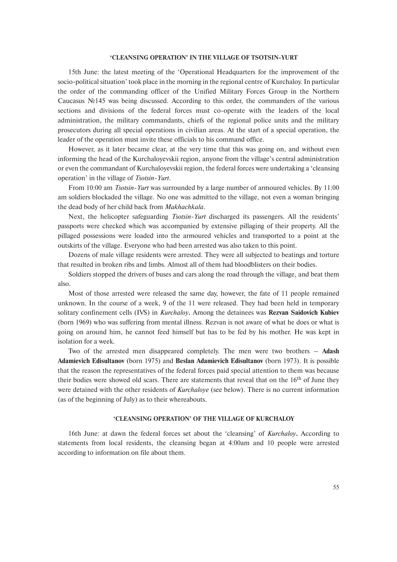#### **'CLEANSING OPERATION' IN THE VILLAGE OF TSOTSIN-YURT**

15th June: the latest meeting of the 'Operational Headquarters for the improvement of the socio-political situation' took place in the morning in the regional centre of Kurchaloy. In particular the order of the commanding officer of the Unified Military Forces Group in the Northern Caucasus №145 was being discussed. According to this order, the commanders of the various sections and divisions of the federal forces must co-operate with the leaders of the local administration, the military commandants, chiefs of the regional police units and the military prosecutors during all special operations in civilian areas. At the start of a special operation, the leader of the operation must invite these officials to his command office.

However, as it later became clear, at the very time that this was going on, and without even informing the head of the Kurchaloyevskii region, anyone from the village's central administration or even the commandant of Kurchaloyevskii region, the federal forces were undertaking a 'cleansing operation' in the village of *Tsotsin-Yurt*.

From 10:00 am *Tsotsin-Yurt* was surrounded by a large number of armoured vehicles. By 11:00 am soldiers blockaded the village. No one was admitted to the village, not even a woman bringing the dead body of her child back from *Makhachkala*.

Next, the helicopter safeguarding *Tsotsin-Yurt* discharged its passengers. All the residents' passports were checked which was accompanied by extensive pillaging of their property. All the pillaged possessions were loaded into the armoured vehicles and transported to a point at the outskirts of the village. Everyone who had been arrested was also taken to this point.

Dozens of male village residents were arrested. They were all subjected to beatings and torture that resulted in broken ribs and limbs. Almost all of them had bloodblisters on their bodies.

Soldiers stopped the drivers of buses and cars along the road through the village, and beat them also.

Most of those arrested were released the same day, however, the fate of 11 people remained unknown. In the course of a week, 9 of the 11 were released. They had been held in temporary solitary confinement cells (IVS) in *Kurchaloy***.** Among the detainees was **Rezvan Saidovich Kubiev** (born 1969) who was suffering from mental illness. Rezvan is not aware of what he does or what is going on around him, he cannot feed himself but has to be fed by his mother. He was kept in isolation for a week.

Two of the arrested men disappeared completely. The men were two brothers – **Adash Adamievich Edisultanov** (born 1975) and **Beslan Adamievich Edisultanov** (born 1973). It is possible that the reason the representatives of the federal forces paid special attention to them was because their bodies were showed old scars. There are statements that reveal that on the  $16<sup>th</sup>$  of June they were detained with the other residents of *Kurchaloye* (see below). There is no current information (as of the beginning of July) as to their whereabouts.

## **'CLEANSING OPERATION' OF THE VILLAGE OF KURCHALOY**

16th June: at dawn the federal forces set about the 'cleansing' of *Kurchaloy***.** According to statements from local residents, the cleansing began at 4:00am and 10 people were arrested according to information on file about them.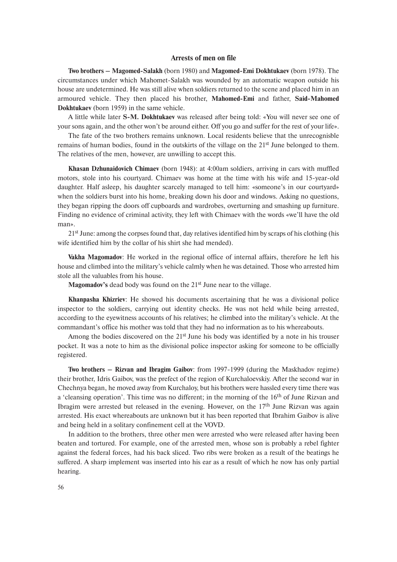# **Arrests of men on file**

**Two brothers – Magomed-Salakh** (born 1980) and **Magomed-Emi Dokhtukaev** (born 1978). The circumstances under which Mahomet-Salakh was wounded by an automatic weapon outside his house are undetermined. He was still alive when soldiers returned to the scene and placed him in an armoured vehicle. They then placed his brother, **Mahomed-Emi** and father, **Said-Mahomed Dokhtukaev** (born 1959) in the same vehicle.

A little while later **S-M. Dokhtukaev** was released after being told: «You will never see one of your sons again, and the other won't be around either. Off you go and suffer for the rest of your life».

The fate of the two brothers remains unknown. Local residents believe that the unrecognisble remains of human bodies, found in the outskirts of the village on the 21<sup>st</sup> June belonged to them. The relatives of the men, however, are unwilling to accept this.

**Khasan Dzhunaidovich Chimaev** (born 1948): at 4:00am soldiers, arriving in cars with muffled motors, stole into his courtyard. Chimaev was home at the time with his wife and 15-year-old daughter. Half asleep, his daughter scarcely managed to tell him: «someone's in our courtyard» when the soldiers burst into his home, breaking down his door and windows. Asking no questions, they began ripping the doors off cupboards and wardrobes, overturning and smashing up furniture. Finding no evidence of criminal activity, they left with Chimaev with the words «we'll have the old man».

21st June: among the corpses found that, day relatives identified him by scraps of his clothing (his wife identified him by the collar of his shirt she had mended).

**Vakha Magomadov**: He worked in the regional office of internal affairs, therefore he left his house and climbed into the military's vehicle calmly when he was detained. Those who arrested him stole all the valuables from his house.

**Magomadov's** dead body was found on the 21<sup>st</sup> June near to the village.

**Khanpasha Khizriev**: He showed his documents ascertaining that he was a divisional police inspector to the soldiers, carrying out identity checks. He was not held while being arrested, according to the eyewitness accounts of his relatives; he climbed into the military's vehicle. At the commandant's office his mother was told that they had no information as to his whereabouts.

Among the bodies discovered on the  $21<sup>st</sup>$  June his body was identified by a note in his trouser pocket. It was a note to him as the divisional police inspector asking for someone to be officially registered.

**Two brothers – Rizvan and Ibragim Gaibov**: from 1997-1999 (during the Maskhadov regime) their brother, Idris Gaibov, was the prefect of the region of Kurchaloevskiy. After the second war in Chechnya began, he moved away from Kurchaloy, but his brothers were hassled every time there was a 'cleansing operation'. This time was no different; in the morning of the 16<sup>th</sup> of June Rizvan and Ibragim were arrested but released in the evening. However, on the 17<sup>th</sup> June Rizvan was again arrested. His exact whereabouts are unknown but it has been reported that Ibrahim Gaibov is alive and being held in a solitary confinement cell at the VOVD.

In addition to the brothers, three other men were arrested who were released after having been beaten and tortured. For example, one of the arrested men, whose son is probably a rebel fighter against the federal forces, had his back sliced. Two ribs were broken as a result of the beatings he suffered. A sharp implement was inserted into his ear as a result of which he now has only partial hearing.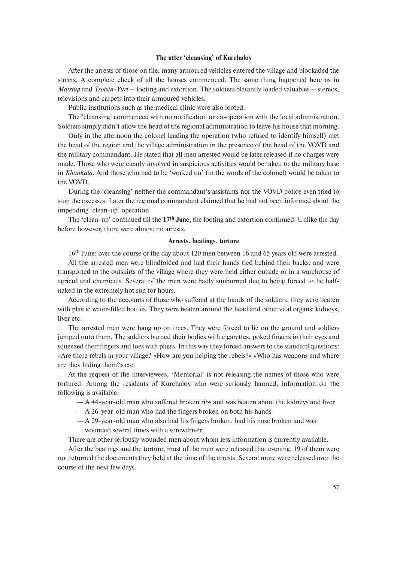#### **The utter 'cleansing' of Kurchaloy**

After the arrests of those on file, many armoured vehicles entered the village and blockaded the streets. A complete check of all the houses commenced. The same thing happened here as in *Mairtup* and *Tsotsin-Yurt* – looting and extortion. The soldiers blatantly loaded valuables – stereos, televisions and carpets into their armoured vehicles.

Public institutions such as the medical clinic were also looted.

The 'cleansing' commenced with no notification or co-operation with the local administration. Soldiers simply didn't allow the head of the regional administration to leave his house that morning.

Only in the afternoon the colonel leading the operation (who refused to identify himself) met the head of the region and the village administration in the presence of the head of the VOVD and the military commandant. He stated that all men arrested would be later released if no charges were made. Those who were clearly involved in suspicious activities would be taken to the military base in *Khankala*. And those who had to be 'worked on' (in the words of the colonel) would be taken to the VOVD.

During the 'cleansing' neither the commandant's assistants nor the VOVD police even tried to stop the excesses. Later the regional commandant claimed that he had not been informed about the impending 'clean-up' operation.

The 'clean-up' continued till the **17th June**, the looting and extortion continued. Unlike the day before however, there were almost no arrests.

#### **Arrests, beatings, torture**

16th June: over the course of the day about 120 men between 16 and 65 years old were arrested.

All the arrested men were blindfolded and had their hands tied behind their backs, and were transported to the outskirts of the village where they were held either outside or in a warehouse of agricultural chemicals. Several of the men were badly sunburned due to being forced to lie halfnaked in the extremely hot sun for hours.

According to the accounts of those who suffered at the hands of the soldiers, they were beaten with plastic water-filled bottles. They were beaten around the head and other vital organs: kidneys, liver etc.

The arrested men were hang up on trees. They were forced to lie on the ground and soldiers jumped onto them. The soldiers burned their bodies with cigarettes, poked fingers in their eyes and squeezed their fingers and toes with pliers. In this way they forced answers to the standard questions: «Are there rebels in your village? «How are you helping the rebels?» «Who has weapons and where are they hiding them?» etc.

At the request of the interviewees, 'Memorial' is not releasing the names of those who were tortured. Among the residents of Kurchaloy who were seriously harmed, information on the following is available:

- A 44-year-old man who suffered broken ribs and was beaten about the kidneys and liver
- A 26-year-old man who had the fingers broken on both his hands
- A 29-year-old man who also had his fingers broken, had his nose broken and was wounded several times with a screwdriver.

There are other seriously wounded men about whom less information is currently available.

After the beatings and the torture, most of the men were released that evening. 19 of them were not returned the documents they held at the time of the arrests. Several more were released over the course of the next few days.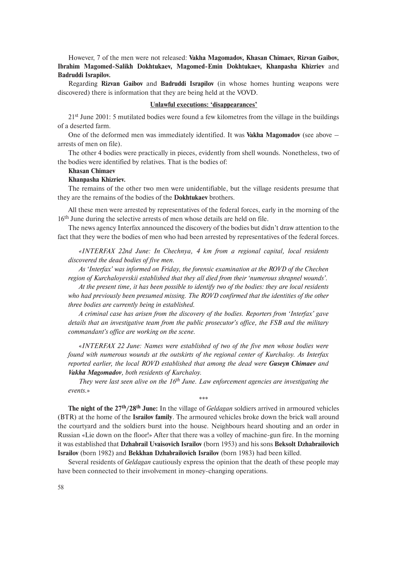However, 7 of the men were not released: **Vakha Magomadov, Khasan Chimaev, Rizvan Gaibov, Ibrahim Magomed-Salikh Dokhtukaev, Magomed-Emin Dokhtukaev, Khanpasha Khizriev** and **Badruddi Israpilov.**

Regarding **Rizvan Gaibov** and **Badruddi Israpilov** (in whose homes hunting weapons were discovered) there is information that they are being held at the VOVD.

#### **Unlawful executions: 'disappearances'**

21st June 2001: 5 mutilated bodies were found a few kilometres from the village in the buildings of a deserted farm.

One of the deformed men was immediately identified. It was **Vakha Magomadov** (see above – arrests of men on file).

The other 4 bodies were practically in pieces, evidently from shell wounds. Nonetheless, two of the bodies were identified by relatives. That is the bodies of:

#### **Khasan Chimaev**

## **Khanpasha Khizriev.**

The remains of the other two men were unidentifiable, but the village residents presume that they are the remains of the bodies of the **Dokhtukaev** brothers.

All these men were arrested by representatives of the federal forces, early in the morning of the 16<sup>th</sup> June during the selective arrests of men whose details are held on file.

The news agency Interfax announced the discovery of the bodies but didn't draw attention to the fact that they were the bodies of men who had been arrested by representatives of the federal forces.

*«INTERFAX 22nd June: In Chechnya, 4 km from a regional capital, local residents discovered the dead bodies of five men.*

*As 'Interfax' was informed on Friday, the forensic examination at the ROVD of the Chechen region of Kurchaloyevskii established that they all died from their 'numerous shrapnel wounds'.*

*At the present time, it has been possible to identify two of the bodies: they are local residents who had previously been presumed missing. The ROVD confirmed that the identities of the other three bodies are currently being in established.* 

*A criminal case has arisen from the discovery of the bodies. Reporters from 'Interfax' gave details that an investigative team from the public prosecutor's office, the FSB and the military commandant's office are working on the scene.*

«*INTERFAX 22 June: Names were established of two of the five men whose bodies were found with numerous wounds at the outskirts of the regional center of Kurchaloy. As Interfax reported earlier, the local ROVD established that among the dead were Guseyn Chimaev and Vakha Magomadov, both residents of Kurchaloy.*

*They were last seen alive on the 16th June. Law enforcement agencies are investigating the events.*»

\*\*\*

**The night of the 27th/28th June:** In the village of *Geldagan* soldiers arrived in armoured vehicles (BTR) at the home of the **Israilov family**. The armoured vehicles broke down the brick wall around the courtyard and the soldiers burst into the house. Neighbours heard shouting and an order in Russian «Lie down on the floor!» After that there was a volley of machine-gun fire. In the morning it was established that **Dzhabrail Uvaisovich Israilov** (born 1953) and his sons **Beksolt Dzhabrailovich Israilov** (born 1982) and **Bekkhan Dzhabrailovich Israilov** (born 1983) had been killed.

Several residents of *Geldagan* cautiously express the opinion that the death of these people may have been connected to their involvement in money-changing operations.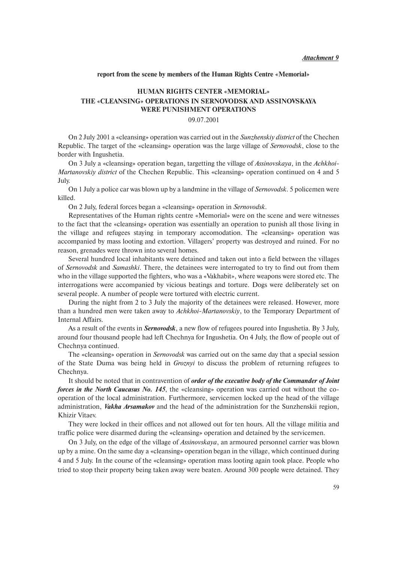#### **report from the scene by members of the Human Rights Centre «Memorial»**

# **HUMAN RIGHTS CENTER «MEMORIAL» THE «CLEANSING» OPERATIONS IN SERNOVODSK AND ASSINOVSKAYA WERE PUNISHMENT OPERATIONS**

#### 09.07.2001

On 2 July 2001 a «cleansing» operation was carried out in the *Sunzhenskiy district* of the Chechen Republic. The target of the «cleansing» operation was the large village of *Sernovodsk*, close to the border with Ingushetia.

On 3 July a «cleansing» operation began, targetting the village of *Assinovskaya*, in the *Achkhoi-Martanovskiy district* of the Chechen Republic. This «cleansing» operation continued on 4 and 5 July.

On 1 July a police car was blown up by a landmine in the village of *Sernovodsk*. 5 policemen were killed.

On 2 July, federal forces began a «cleansing» operation in *Sernovodsk*.

Representatives of the Human rights centre «Memorial» were on the scene and were witnesses to the fact that the «cleansing» operation was essentially an operation to punish all those living in the village and refugees staying in temporary accomodation. The «cleansing» operation was accompanied by mass looting and extortion. Villagers' property was destroyed and ruined. For no reason, grenades were thrown into several homes.

Several hundred local inhabitants were detained and taken out into a field between the villages of *Sernovodsk* and *Samashki*. There, the detainees were interrogated to try to find out from them who in the village supported the fighters, who was a «Vakhabit», where weapons were stored etc. The interrogations were accompanied by vicious beatings and torture. Dogs were deliberately set on several people. A number of people were tortured with electric current.

During the night from 2 to 3 July the majority of the detainees were released. However, more than a hundred men were taken away to *Achkhoi-Martanovskiy*, to the Temporary Department of Internal Affairs.

As a result of the events in *Sernovodsk*, a new flow of refugees poured into Ingushetia. By 3 July, around four thousand people had left Chechnya for Ingushetia. On 4 July, the flow of people out of Chechnya continued.

The «cleansing» operation in *Sernovodsk* was carried out on the same day that a special session of the State Duma was being held in *Groznyi* to discuss the problem of returning refugees to Chechnya.

It should be noted that in contravention of *order of the executive body of the Commander of Joint forces in the North Caucasus No. 145*, the «cleansing» operation was carried out without the cooperation of the local administration. Furthermore, servicemen locked up the head of the village administration, *Vakha Arsamakov* and the head of the administration for the Sunzhenskii region, Khizir Vitaev.

They were locked in their offices and not allowed out for ten hours. All the village militia and traffic police were disarmed during the «cleansing» operation and detained by the servicemen.

On 3 July, on the edge of the village of *Assinovskaya*, an armoured personnel carrier was blown up by a mine. On the same day a «cleansing» operation began in the village, which continued during 4 and 5 July. In the course of the «cleansing» operation mass looting again took place. People who tried to stop their property being taken away were beaten. Around 300 people were detained. They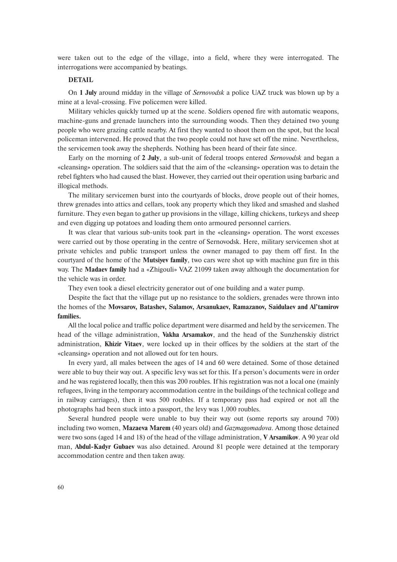were taken out to the edge of the village, into a field, where they were interrogated. The interrogations were accompanied by beatings.

#### **DETAIL**

On **1 July** around midday in the village of *Sernovodsk* a police UAZ truck was blown up by a mine at a leval-crossing. Five policemen were killed.

Military vehicles quickly turned up at the scene. Soldiers opened fire with automatic weapons, machine-guns and grenade launchers into the surrounding woods. Then they detained two young people who were grazing cattle nearby. At first they wanted to shoot them on the spot, but the local policeman intervened. He proved that the two people could not have set off the mine. Nevertheless, the servicemen took away the shepherds. Nothing has been heard of their fate since.

Early on the morning of **2 July**, a sub-unit of federal troops entered *Sernovodsk* and began a «cleansing» operation. The soldiers said that the aim of the «cleansing» operation was to detain the rebel fighters who had caused the blast. However, they carried out their operation using barbaric and illogical methods.

The military servicemen burst into the courtyards of blocks, drove people out of their homes, threw grenades into attics and cellars, took any property which they liked and smashed and slashed furniture. They even began to gather up provisions in the village, killing chickens, turkeys and sheep and even digging up potatoes and loading them onto armoured personnel carriers.

It was clear that various sub-units took part in the «cleansing» operation. The worst excesses were carried out by those operating in the centre of Sernovodsk. Here, military servicemen shot at private vehicles and public transport unless the owner managed to pay them off first. In the courtyard of the home of the **Mutsiyev family**, two cars were shot up with machine gun fire in this way. The **Madaev family** had a «Zhigouli» VAZ 21099 taken away although the documentation for the vehicle was in order.

They even took a diesel electricity generator out of one building and a water pump.

Despite the fact that the village put up no resistance to the soldiers, grenades were thrown into the homes of the **Movsarov, Batashev, Salamov, Arsanukaev, Ramazanov, Saidulaev and Al'tamirov families.**

All the local police and traffic police department were disarmed and held by the servicemen. The head of the village administration, **Vakha Arsamakov**, and the head of the Sunzhenskiy district administration, **Khizir Vitaev**, were locked up in their offices by the soldiers at the start of the «cleansing» operation and not allowed out for ten hours.

In every yard, all males between the ages of 14 and 60 were detained. Some of those detained were able to buy their way out. A specific levy was set for this. If a person's documents were in order and he was registered locally, then this was 200 roubles. If his registration was not a local one (mainly refugees, living in the temporary accommodation centre in the buildings of the technical college and in railway carriages), then it was 500 roubles. If a temporary pass had expired or not all the photographs had been stuck into a passport, the levy was 1,000 roubles.

Several hundred people were unable to buy their way out (some reports say around 700) including two women, **Mazaeva Marem** (40 years old) and *Gazmagomadova*. Among those detained were two sons (aged 14 and 18) of the head of the village administration, **V Arsamikov**. A 90 year old man, **Abdul-Kadyr Gubaev** was also detained. Around 81 people were detained at the temporary accommodation centre and then taken away.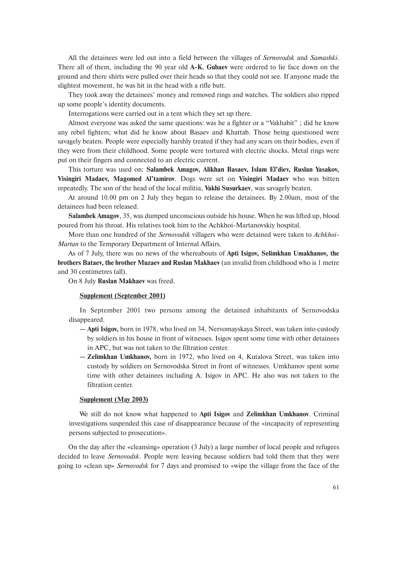All the detainees were led out into a field between the villages of *Sernovodsk* and *Samashki*. There all of them, including the 90 year old **A-K. Gubaev** were ordered to lie face down on the ground and there shirts were pulled over their heads so that they could not see. If anyone made the slightest movement, he was hit in the head with a rifle butt.

They took away the detainees' money and removed rings and watches. The soldiers also ripped up some people's identity documents.

Interrogations were carried out in a tent which they set up there.

Almost everyone was asked the same questions: was he a fighter or a "Vakhabit" ; did he know any rebel fighters; what did he know about Basaev and Khattab. Those being questioned were savagely beaten. People were especially harshly treated if they had any scars on their bodies, even if they were from their childhood. Some people were tortured with electric shocks. Metal rings were put on their fingers and connected to an electric current.

This torture was used on: **Salambek Amagov, Alikhan Basaev, Islam El'diev, Ruslan Yasakov, Visingiri Madaev, Magomed Al'tamirov**. Dogs were set on **Visingiri Madaev** who was bitten repeatedly. The son of the head of the local militia, **Vakhi Susurkaev**, was savagely beaten.

At around 10.00 pm on 2 July they began to release the detainees. By 2.00am, most of the detainees had been released.

**Salambek Amagov**, 35, was dumped unconscious outside his house. When he was lifted up, blood poured from his throat. His relatives took him to the Achkhoi-Martanovskiy hospital.

More than one hundred of the *Sernovodsk* villagers who were detained were taken to *Achkhoi-Martan* to the Temporary Department of Internal Affairs.

As of 7 July, there was no news of the whereabouts of **Apti Isigov, Selimkhan Umakhanov, the brothers Bataev, the brother Muzaev and Ruslan Makhaev** (an invalid from childhood who is 1 metre and 30 centimetres tall).

On 8 July **Ruslan Makhaev** was freed.

#### **Supplement (September 2001)**

In September 2001 two persons among the detained inhabitants of Sernovodska disappeared.

- **Apti Isigov,** born in 1978, who lived on 34, Nervomayskaya Street, was taken into custody by soldiers in his house in front of witnesses. Isigov spent some time with other detainees in APC, but was not taken to the filtration center.
- **Zelimkhan Umkhanov,** born in 1972, who lived on 4, Kutalova Street, was taken into custody by soldiers on Sernovodska Street in front of witnesses. Umkhanov spent some time with other detainees including A. Isigov in APC. He also was not taken to the filtration center.

#### **Supplement (May 2003)**

We still do not know what happened to **Apti Isigov** and **Zelimkhan Umkhanov**. Criminal investigations suspended this case of disappearance because of the «incapacity of representing persons subjected to prosecution».

On the day after the «cleansing» operation (3 July) a large number of local people and refugees decided to leave *Sernovodsk*. People were leaving because soldiers had told them that they were going to «clean up» *Sernovodsk* for 7 days and promised to «wipe the village from the face of the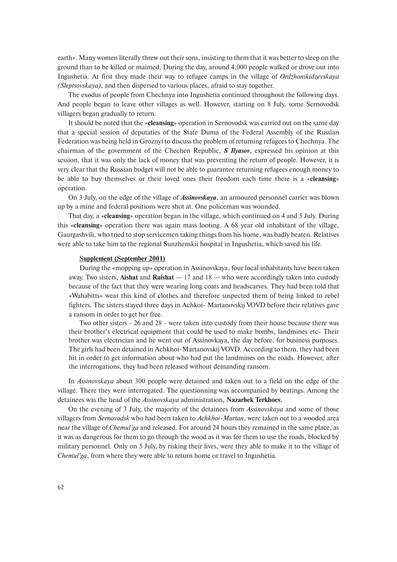earth». Many women literally threw out their sons, insisting to them that it was better to sleep on the ground than to be killed or maimed. During the day, around 4,000 people walked or drove out into Ingushetia. At first they made their way to refugee camps in the village of *Ordzhonikidzevskaya (Sleptsovskaya)*, and then dispersed to various places, afraid to stay together.

The exodus of people from Chechnya into Ingushetia continued throughout the following days. And people began to leave other villages as well. However, starting on 8 July, some Sernovodsk villagers began gradually to return.

It should be noted that the «**cleansing**» operation in Sernovodsk was carried out on the same day that a special session of deputaties of the State Duma of the Federal Assembly of the Russian Federation was being held in Groznyi to discuss the problem of returning refugees to Chechnya. The chairman of the government of the Chechen Republic, *S Ilyasov*, expressed his opinion at this session, that it was only the lack of money that was preventing the return of people. However, it is very clear that the Russian budget will not be able to guarantee returning refugees enough money to be able to buy themselves or their loved ones their freedom each time there is a «**cleansing**» operation.

On 3 July, on the edge of the village of *Assinovskaya*, an armoured personnel carrier was blown up by a mine and federal positions were shot at. One policeman was wounded.

That day, a «**cleansing**» operation began in the village, which continued on 4 and 5 July. During this «**cleansing**» operation there was again mass looting. A 68 year old inhabitant of the village, Gaurgashvili, who tried to stop servicemen taking things from his home, was badly beaten. Relatives were able to take him to the regional Sunzhenskii hospital in Ingushetia, which saved his life.

## **Supplement (September 2001)**

During the «mopping up» operation in Assinovskaya, four local inhabitants have been taken away. Two sisters, **Aishat** and **Raishat** — 17 and 18 — who were accordingly taken into custody because of the fact that they were wearing long coats and headscarves. They had been told that «Wahabitts» wear this kind of clothes and therefore suspected them of being linked to rebel fighters. The sisters stayed three days in Achkoi- Martanovskij VOVD before their relatives gave a ransom in order to get her free.

Two other sisters - 26 and 28 - were taken into custody from their house because there was their brother's electrical equipment that could be used to make bombs, landmines etc- Their brother was electrician and he went out of Assinovkaya, the day before, for business purposes. The girls had been detained in Achkhoi-Martanovskij VOVD. According to them, they had been hit in order to get information about who had put the landmines on the roads. However, after the interrogations, they had been released without demanding ransom.

In *Assinovskaya* about 300 people were detained and taken out to a field on the edge of the village. There they were interrogated. The questionning was accompanied by beatings. Among the detainees was the head of the *Assinovskaya* administration, **Nazarbek Terkhoev.**

On the evening of 3 July, the majority of the detainees from *Assinovskaya* and some of those villagers from *Sernovodsk* who had been taken to *Achkhoi-Martan*, were taken out to a wooded area near the village of *Chemul'ga* and released. For around 24 hours they remained in the same place, as it was as dangerous for them to go through the wood as it was for them to use the roads, blocked by military personnel. Only on 5 July, by risking their lives, were they able to make it to the village of *Chemul'ga*, from where they were able to return home or travel to Ingushetia.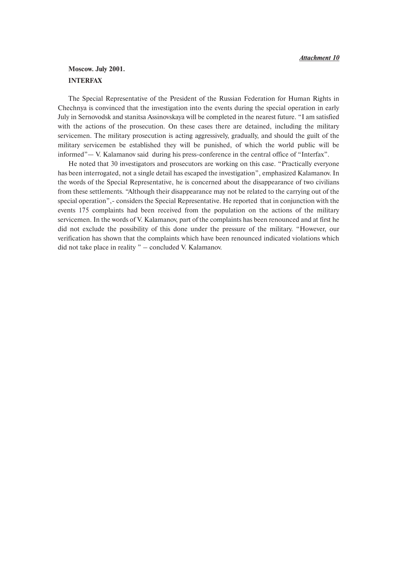# **Moscow. July 2001. INTERFAX**

The Special Representative of the President of the Russian Federation for Human Rights in Chechnya is convinced that the investigation into the events during the special operation in early July in Sernovodsk and stanitsa Assinovskaya will be completed in the nearest future. "I am satisfied with the actions of the prosecution. On these cases there are detained, including the military servicemen. The military prosecution is acting aggressively, gradually, and should the guilt of the military servicemen be established they will be punished, of which the world public will be informed"— V. Kalamanov said during his press-conference in the central office of "Interfax".

He noted that 30 investigators and prosecutors are working on this case. "Practically everyone has been interrogated, not a single detail has escaped the investigation", emphasized Kalamanov. In the words of the Special Representative, he is concerned about the disappearance of two civilians from these settlements. "Although their disappearance may not be related to the carrying out of the special operation",- considers the Special Representative. He reported that in conjunction with the events 175 complaints had been received from the population on the actions of the military servicemen. In the words of V. Kalamanov, part of the complaints has been renounced and at first he did not exclude the possibility of this done under the pressure of the military. "However, our verification has shown that the complaints which have been renounced indicated violations which did not take place in reality " – concluded V. Kalamanov.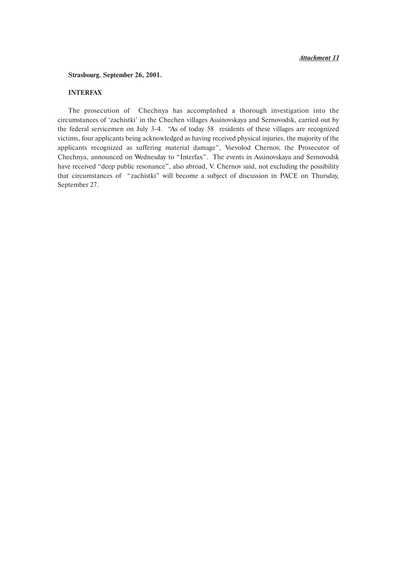#### **Strasbourg. September 26, 2001.**

# **INTERFAX**

The prosecution of Chechnya has accomplished a thorough investigation into the circumstances of 'zachistki' in the Chechen villages Assinovskaya and Sernovodsk, carried out by the federal servicemen on July 3-4. "As of today 58 residents of these villages are recognized victims, four applicants being acknowledged as having received physical injuries, the majority of the applicants recognized as suffering material damage", Vsevolod Chernov, the Prosecutor of Chechnya, announced on Wednesday to "Interfax". The events in Assinovskaya and Sernovodsk have received "deep public resonance", also abroad, V. Chernov said, not excluding the possibility that circumstances of "zachistki" will become a subject of discussion in PACE on Thursday, September 27.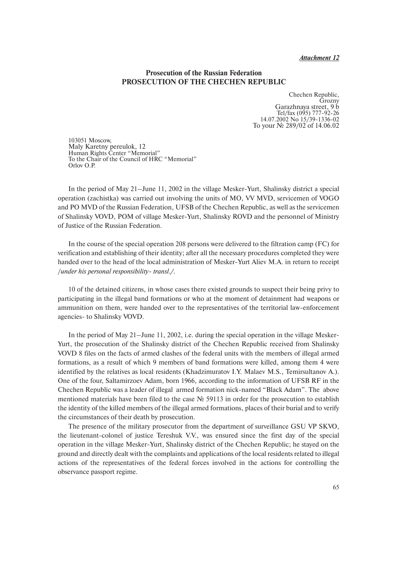# **Prosecution of the Russian Federation PROSECUTION OF THE CHECHEN REPUBLIC**

Chechen Republic, Grozny Garazhnaya street, 9 b Tel/fax  $(095)$  777-92-26 14.07.2002 No 15/39-1336-02 To your № 289/02 оf 14.06.02

103051 Moscow, Maly Karetny pereulok, 12 Human Rights Center "Memorial" To the Chair of the Council of HRC "Memorial" Orlov O.P.

In the period of May 21–June 11, 2002 in the village Mesker-Yurt, Shalinsky district a special operation (zachistka) was carried out involving the units of MO, VV MVD, servicemen of VOGO and PO MVD of the Russian Federation, UFSB of the Chechen Republic, as well as the servicemen of Shalinsky VOVD, POM of village Mesker-Yurt, Shalinsky ROVD and the personnel of Ministry of Justice of the Russian Federation.

In the course of the special operation 208 persons were delivered to the filtration camp (FC) for verification and establishing of their identity; after all the necessary procedures completed they were handed over to the head of the local administration of Mesker-Yurt Aliev M.A. in return to receipt /*under his personal responsibility- transl./.*

10 of the detained citizens, in whose cases there existed grounds to suspect their being privy to participating in the illegal band formations or who at the moment of detainment had weapons or ammunition on them, were handed over to the representatives of the territorial law-enforcement agencies- to Shalinsky VOVD.

In the period of May 21–June 11, 2002, i.e. during the special operation in the village Mesker-Yurt, the prosecution of the Shalinsky district of the Chechen Republic received from Shalinsky VOVD 8 files on the facts of armed clashes of the federal units with the members of illegal armed formations, as a result of which 9 members of band formations were killed, among them 4 were identified by the relatives as local residents (Khadzimuratov I.Y. Malaev M.S., Temirsultanov A.). One of the four, Saltamirzoev Adam, born 1966, according to the information of UFSB RF in the Chechen Republic was a leader of illegal armed formation nick-named "Black Adam". The above mentioned materials have been filed to the case № 59113 in order for the prosecution to establish the identity of the killed members of the illegal armed formations, places of their burial and to verify the circumstances of their death by prosecution.

The presence of the military prosecutor from the department of surveillance GSU VP SKVO, the lieutenant-colonel of justice Tereshuk V.V., was ensured since the first day of the special operation in the village Mesker-Yurt, Shalinsky district of the Chechen Republic; he stayed on the ground and directly dealt with the complaints and applications of the local residents related to illegal actions of the representatives of the federal forces involved in the actions for controlling the observance passport regime.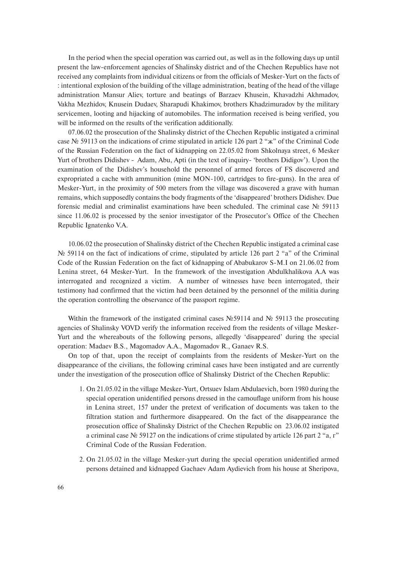In the period when the special operation was carried out, as well as in the following days up until present the law-enforcement agencies of Shalinsky district and of the Chechen Republics have not received any complaints from individual citizens or from the officials of Mesker-Yurt on the facts of : intentional explosion of the building of the village administration, beating of the head of the village administration Mansur Aliev, torture and beatings of Barzaev Khusein, Khavadzhi Akhmadov, Vakha Mezhidov, Knusein Dudaev, Sharapudi Khakimov, brothers Khadzimuradov by the military servicemen, looting and hijacking of automobiles. The information received is being verified, you will be informed on the results of the verification additionally.

07.06.02 the prosecution of the Shalinsky district of the Chechen Republic instigated a criminal case № 59113 on the indications of crime stipulated in article 126 part 2 "ж" of the Criminal Code of the Russian Federation on the fact of kidnapping on 22.05.02 from Shkolnaya street, 6 Mesker Yurt of brothers Didishev - Adam, Abu, Apti (in the text of inquiry- 'brothers Didigov'). Upon the examination of the Didishev's household the personnel of armed forces of FS discovered and expropriated a cache with ammunition (mine MON-100, cartridges to fire-guns). In the area of Mesker-Yurt, in the proximity of 500 meters from the village was discovered a grave with human remains, which supposedly contains the body fragments of the 'disappeared' brothers Didishev. Due forensic medial and criminalist examinations have been scheduled. The criminal case № 59113 since 11.06.02 is processed by the senior investigator of the Prosecutor's Office of the Chechen Republic Ignatenko V.A.

10.06.02 the prosecution of Shalinsky district of the Chechen Republic instigated a criminal case No 59114 on the fact of indications of crime, stipulated by article 126 part 2 "a" of the Criminal Code of the Russian Federation on the fact of kidnapping of Ababukarov S-M.I on 21.06.02 from Lenina street, 64 Mesker-Yurt. In the framework of the investigation Abdulkhalikova A.A was interrogated and recognized a victim. A number of witnesses have been interrogated, their testimony had confirmed that the victim had been detained by the personnel of the militia during the operation controlling the observance of the passport regime.

Within the framework of the instigated criminal cases  $N \in \mathbb{S}9114$  and  $N \in \mathbb{S}9113$  the prosecuting agencies of Shalinsky VOVD verify the information received from the residents of village Mesker-Yurt and the whereabouts of the following persons, allegedly 'disappeared' during the special operation: Madaev B.S., Magomadov A.A., Magomadov R., Ganaev R.S.

On top of that, upon the receipt of complaints from the residents of Mesker-Yurt on the disappearance of the civilians, the following criminal cases have been instigated and are currently under the investigation of the prosecution office of Shalinsky District of the Chechen Republic:

- 1. On 21.05.02 in the village Mesker-Yurt, Ortsuev Islam Abdulaevich, born 1980 during the special operation unidentified persons dressed in the camouflage uniform from his house in Lenina street, 157 under the pretext of verification of documents was taken to the filtration station and furthermore disappeared. On the fact of the disappearance the prosecution office of Shalinsky District of the Chechen Republic on 23.06.02 instigated a criminal case № 59127 on the indications of crime stipulated by article 126 part 2 "a, г" Criminal Code of the Russian Federation.
- 2. On 21.05.02 in the village Mesker-yurt during the special operation unidentified armed persons detained and kidnapped Gachaev Adam Aydievich from his house at Sheripova,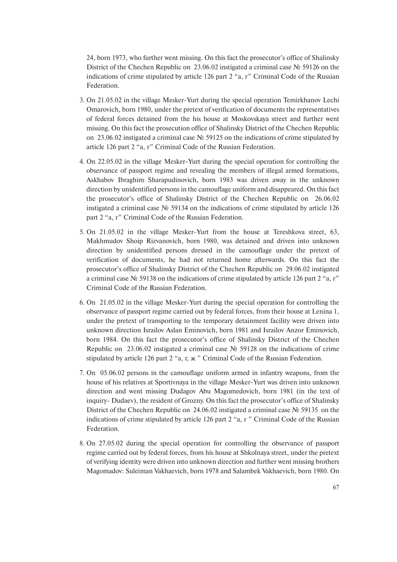24, born 1973, who further went missing. On this fact the prosecutor's office of Shalinsky District of the Chechen Republic on 23.06.02 instigated a criminal case № 59126 on the indications of crime stipulated by article 126 part 2 "a, г" Criminal Code of the Russian Federation.

- 3. On 21.05.02 in the village Mesker-Yurt during the special operation Temirkhanov Lechi Omarovich, born 1980, under the pretext of verification of documents the representatives of federal forces detained from the his house at Moskovskaya street and further went missing. On this fact the prosecution office of Shalinsky District of the Chechen Republic on 23.06.02 instigated a criminal case № 59125 on the indications of crime stipulated by article 126 part 2 "a, г" Criminal Code of the Russian Federation.
- 4. On 22.05.02 in the village Mesker-Yurt during the special operation for controlling the observance of passport regime and revealing the members of illegal armed formations, Askhabov Ibraghim Sharapudinovich, born 1983 was driven away in the unknown direction by unidentified persons in the camouflage uniform and disappeared. On this fact the prosecutor's office of Shalinsky District of the Chechen Republic on 26.06.02 instigated a criminal case № 59134 on the indications of crime stipulated by article 126 part 2 "a, г" Criminal Code of the Russian Federation.
- 5. On 21.05.02 in the village Mesker-Yurt from the house at Tereshkova street, 63, Makhmudov Shoip Rizvanovich, born 1980, was detained and driven into unknown direction by unidentified persons dressed in the camouflage under the pretext of verification of documents, he had not returned home afterwards. On this fact the prosecutor's office of Shalinsky District of the Chechen Republic on 29.06.02 instigated a criminal case № 59138 on the indications of crime stipulated by article 126 part 2 "a, г" Criminal Code of the Russian Federation.
- 6. On 21.05.02 in the village Mesker-Yurt during the special operation for controlling the observance of passport regime carried out by federal forces, from their house at Lenina 1, under the pretext of transporting to the temporary detainment facility were driven into unknown direction Israilov Aslan Eminovich, born 1981 and Israilov Anzor Eminovich, born 1984. On this fact the prosecutor's office of Shalinsky District of the Chechen Republic on 23.06.02 instigated a criminal case № 59128 on the indications of crime stipulated by article 126 part 2 "a, г, ж " Criminal Code of the Russian Federation.
- 7. On 05.06.02 persons in the camouflage uniform armed in infantry weapons, from the house of his relatives at Sportivnaya in the village Mesker-Yurt was driven into unknown direction and went missing Dudagov Abu Magomedovich, born 1981 (in the text of inquiry- Dudaev), the resident of Grozny. On this fact the prosecutor's office of Shalinsky District of the Chechen Republic on 24.06.02 instigated a criminal case № 59135 on the indications of crime stipulated by article 126 part 2 "a, r " Criminal Code of the Russian Federation.
- 8. On 27.05.02 during the special operation for controlling the observance of passport regime carried out by federal forces, from his house at Shkolnaya street, under the pretext of verifying identity were driven into unknown direction and further went missing brothers Magomadov: Suleiman Vakhaevich, born 1978 and Salambek Vakhaevich, born 1980. On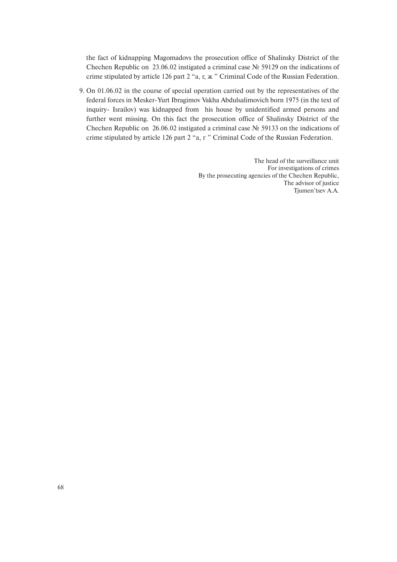the fact of kidnapping Magomadovs the prosecution office of Shalinsky District of the Chechen Republic on 23.06.02 instigated a criminal case № 59129 on the indications of crime stipulated by article 126 part 2 "a, г, ж " Criminal Code of the Russian Federation.

9. On 01.06.02 in the course of special operation carried out by the representatives of the federal forces in Mesker-Yurt Ibragimov Vakha Abdulsalimovich born 1975 (in the text of inquiry- Israilov) was kidnapped from his house by unidentified armed persons and further went missing. On this fact the prosecution office of Shalinsky District of the Chechen Republic on 26.06.02 instigated a criminal case № 59133 on the indications of crime stipulated by article 126 part 2 "a, г " Criminal Code of the Russian Federation.

> The head of the surveillance unit For investigations of crimes By the prosecuting agencies of the Chechen Republic, The advisor of justice Tjumen'tsev A.A.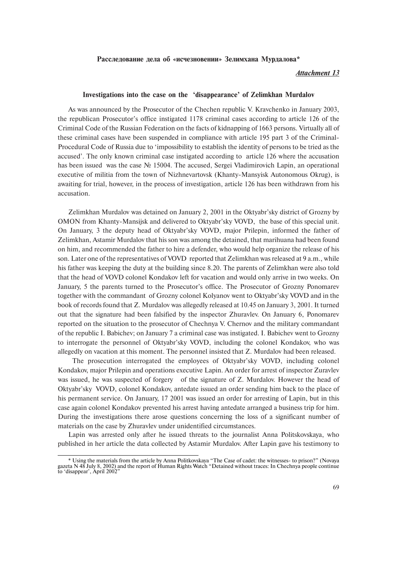#### Расследование дела об «исчезновении» Зелимхана Мурдалова\*

# *Attachment 13*

# **Investigations into the case on the 'disappearance' of Zelimkhan Murdalov**

As was announced by the Prosecutor of the Chechen republic V. Kravchenko in January 2003, the republican Prosecutor's office instigated 1178 criminal cases according to article 126 of the Criminal Code of the Russian Federation on the facts of kidnapping of 1663 persons. Virtually all of these criminal cases have been suspended in compliance with article 195 part 3 of the Criminal-Procedural Code of Russia due to 'impossibility to establish the identity of persons to be tried as the accused'. The only known criminal case instigated according to article 126 where the accusation has been issued was the case № 15004. The accused, Sergei Vladimirovich Lapin, an operational executive of militia from the town of Nizhnevartovsk (Khanty-Mansyisk Autonomous Okrug), is awaiting for trial, however, in the process of investigation, article 126 has been withdrawn from his accusation.

Zelimkhan Murdalov was detained on January 2, 2001 in the Oktyabr'sky district of Grozny by OMON from Khanty-Mansijsk and delivered to Oktyabr'sky VOVD, the base of this special unit. On January, 3 the deputy head of Oktyabr'sky VOVD, major Prilepin, informed the father of Zelimkhan, Astamir Murdalov that his son was among the detained, that marihuana had been found on him, and recommended the father to hire a defender, who would help organize the release of his son. Later one of the representatives of VOVD reported that Zelimkhan was released at 9 a.m., while his father was keeping the duty at the building since 8.20. The parents of Zelimkhan were also told that the head of VOVD colonel Kondakov left for vacation and would only arrive in two weeks. On January, 5 the parents turned to the Prosecutor's office. The Prosecutor of Grozny Ponomarev together with the commandant of Grozny colonel Kolyanov went to Oktyabr'sky VOVD and in the book of records found that Z. Murdalov was allegedly released at 10.45 on January 3, 2001. It turned out that the signature had been falsified by the inspector Zhuravlev. On January 6, Ponomarev reported on the situation to the prosecutor of Chechnya V. Chernov and the military commandant of the republic I. Babichev; on January 7 a criminal case was instigated. I. Babichev went to Grozny to interrogate the personnel of Oktyabr'sky VOVD, including the colonel Kondakov, who was allegedly on vacation at this moment. The personnel insisted that Z. Murdalov had been released.

The prosecution interrogated the employees of Oktyabr'sky VOVD, including colonel Kondakov, major Prilepin and operations executive Lapin. An order for arrest of inspector Zuravlev was issued, he was suspected of forgery of the signature of Z. Murdalov. However the head of Oktyabr'sky VOVD, colonel Kondakov, antedate issued an order sending him back to the place of his permanent service. On January, 17 2001 was issued an order for arresting of Lapin, but in this case again colonel Kondakov prevented his arrest having antedate arranged a business trip for him. During the investigations there arose questions concerning the loss of a significant number of materials on the case by Zhuravlev under unidentified circumstances.

Lapin was arrested only after he issued threats to the journalist Anna Politskovskaya, who published in her article the data collected by Astamir Murdalov. After Lapin gave his testimony to

<sup>\*</sup> Using the materials from the article by Anna Politkovskaya "The Case of cadet: the witnesses- to prison?" (Novaya gazeta N 48 July 8, 2002) and the report of Human Rights Watch "Detained without traces: In Chechnya people continue to 'disappear', April 2002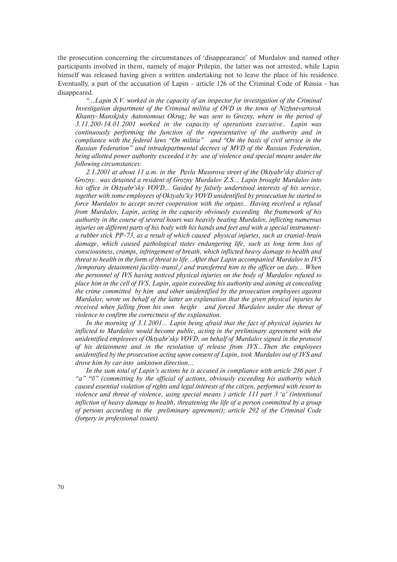the prosecution concerning the circumstances of 'disappearance' of Murdalov and named other participants involved in them, namely of major Prilepin, the latter was not arrested, while Lapin himself was released having given a written undertaking not to leave the place of his residence. Eventually, a part of the accusation of Lapin - article 126 of the Criminal Code of Russia - has disappeared.

*"…Lapin S.V. worked in the capacity of an inspector for investigation of the Criminal Investigation department of the Criminal militia of OVD in the town of Nizhnevartovsk Khanty-Manskjsky Autonomous Okrug; he was sent to Grozny, where in the period of 3.11.200-14.01.2001 worked in the capacity of operations executive.. Lapin was continuously performing the function of the representative of the authority and in compliance with the federal laws "On militia" and "On the basis of civil service in the Russian Federation" and intradepartmental decrees of MVD of the Russian Federation, being allotted power authority exceeded it by use of violence and special means under the following circumstances:* 

*2.1.2001 at about 11 a.m. in the Pavla Musorova street of the Oktyabr'sky district of Grozny.. was detained a resident of Grozny Murdalov Z.S… Lapin brought Murdalov into his office in Oktyabr'sky VOVD… Guided by falsely understood interests of his service, together with some employees of Oktyabs'ky VOVD unidentified by prosecution he started to force Murdalov to accept secret cooperation with the organs.. Having received a refusal from Murdalov, Lapin, acting in the capacity obviously exceeding the framework of his authority in the course of several hours was heavily beating Murdalov, inflicting numerous injuries on different parts of his body with his hands and feet and with a special instrumenta rubber stick PP-73, as a result of which caused physical injuries, such as cranial-brain damage, which caused pathological states endangering life, such as long term loss of consciousness, cramps, infringement of breath, which inflicted heavy damage to health and threat to health in the form of threat to life...After that Lapin accompanied Murdalov to IVS /temporary detainment facility-transl./ and transferred him to the officer on duty… When the personnel of IVS having noticed physical injuries on the body of Murdalov refused to place him in the cell of IVS, Lapin, again exceeding his authority and aiming at concealing the crime committed by him and other unidentified by the prosecution employees against Murdalov, wrote on behalf of the latter an explanation that the given physical injuries he received when falling from his own height and forced Murdalov under the threat of violence to confirm the correctness of the explanation.* 

*In the morning of 3.1.2001… Lapin being afraid that the fact of physical injuries he inflicted to Murdalov would become public, acting in the preliminary agreement with the unidentified employees of Oktyabr'sky VOVD, on behalf of Murdalov signed in the protocol of his detainment and in the resolution of release from IVS…Then the employees unidentified by the prosecution acting upon consent of Lapin, took Murdalov out of IVS and drove him by car into unknown direction…*

*In the sum total of Lapin's actions he is accused in compliance with article 286 part 3 "а" "б" (committing by the official of actions, obviously exceeding his authority which caused essential violation of rights and legal interests of the citizen, performed with resort to violence and threat of violence, using special means ) article 111 part 3 'а' (intentional infliction of heavy damage to health, threatening the life of a person committed by a group of persons according to the preliminary agreement); article 292 of the Criminal Code (forgery in professional issues).*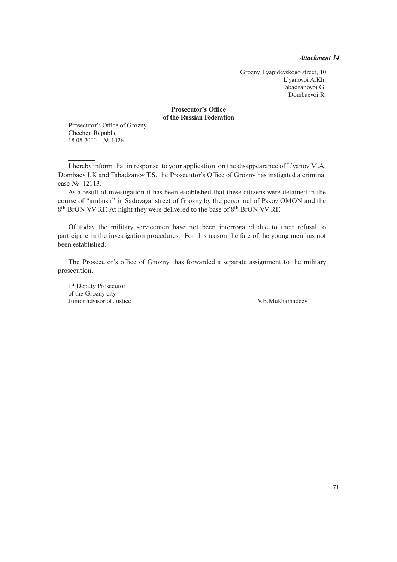*Attachment 14*

Grozny, Lyapidevskogo street, 10 L'yanovoi A.Kh. Tabadzanovoi G. Dombaevoi R.

# **Prosecutor's Office of the Russian Federation**

Prosecutor's Office of Grozny Chechen Republic 18.08.2000 № 1026

I hereby inform that in response to your application on the disappearance of L'yanov M.A, Dombaev I.K and Tabadzanov T.S. the Prosecutor's Office of Grozny has instigated a criminal case № 12113.

As a result of investigation it has been established that these citizens were detained in the course of "ambush" in Sadovaya street of Grozny by the personnel of Pskov OMON and the 8<sup>th</sup> BrON VV RF. At night they were delivered to the base of 8<sup>th</sup> BrON VV RF.

Of today the military servicemen have not been interrogated due to their refusal to participate in the investigation procedures. For this reason the fate of the young men has not been established.

The Prosecutor's office of Grozny has forwarded a separate assignment to the military prosecution.

1st Deputy Prosecutor of the Grozny city Junior advisor of Justice V.B.Mukhamadeev